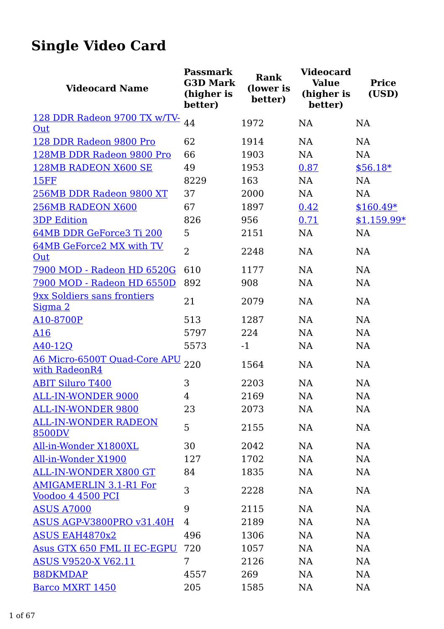## Single Video Card

| <b>Videocard Name</b>                                     | <b>Passmark</b><br><b>G3D Mark</b><br>(higher is<br>better) | Rank<br>(lower is<br>better) | <b>Videocard</b><br><b>Value</b><br>(higher is<br>better) | <b>Price</b><br>(USD) |
|-----------------------------------------------------------|-------------------------------------------------------------|------------------------------|-----------------------------------------------------------|-----------------------|
| 128 DDR Radeon 9700 TX w/TV-                              | 44                                                          | 1972                         | <b>NA</b>                                                 | <b>NA</b>             |
| Out                                                       |                                                             |                              |                                                           |                       |
| 128 DDR Radeon 9800 Pro                                   | 62                                                          | 1914                         | NA                                                        | <b>NA</b>             |
| 128MB DDR Radeon 9800 Pro                                 | 66                                                          | 1903                         | <b>NA</b>                                                 | <b>NA</b>             |
| <b>128MB RADEON X600 SE</b>                               | 49                                                          | 1953                         | 0.87                                                      | $$56.18*$             |
| <b>15FF</b>                                               | 8229                                                        | 163                          | <b>NA</b>                                                 | <b>NA</b>             |
| 256MB DDR Radeon 9800 XT                                  | 37                                                          | 2000                         | <b>NA</b>                                                 | <b>NA</b>             |
| 256MB RADEON X600                                         | 67                                                          | 1897                         | 0.42                                                      | $$160.49*$            |
| <b>3DP Edition</b>                                        | 826                                                         | 956                          | 0.71                                                      | \$1,159.99*           |
| 64MB DDR GeForce3 Ti 200                                  | 5                                                           | 2151                         | <b>NA</b>                                                 | <b>NA</b>             |
| 64MB GeForce2 MX with TV<br>Out                           | $\overline{2}$                                              | 2248                         | <b>NA</b>                                                 | <b>NA</b>             |
| 7900 MOD - Radeon HD 6520G                                | 610                                                         | 1177                         | NA                                                        | <b>NA</b>             |
| 7900 MOD - Radeon HD 6550D                                | 892                                                         | 908                          | <b>NA</b>                                                 | <b>NA</b>             |
| 9xx Soldiers sans frontiers<br>Sigma 2                    | 21                                                          | 2079                         | <b>NA</b>                                                 | <b>NA</b>             |
| A10-8700P                                                 | 513                                                         | 1287                         | <b>NA</b>                                                 | <b>NA</b>             |
| A16                                                       | 5797                                                        | 224                          | <b>NA</b>                                                 | NA                    |
| $A40-12Q$                                                 | 5573                                                        | $-1$                         | NA                                                        | NA                    |
| <b>A6 Micro-6500T Quad-Core APU</b><br>with RadeonR4      | 220                                                         | 1564                         | NA                                                        | <b>NA</b>             |
| <b>ABIT Siluro T400</b>                                   | 3                                                           | 2203                         | <b>NA</b>                                                 | <b>NA</b>             |
| <b>ALL-IN-WONDER 9000</b>                                 | 4                                                           | 2169                         | <b>NA</b>                                                 | NA                    |
| <b>ALL-IN-WONDER 9800</b>                                 | 23                                                          | 2073                         | <b>NA</b>                                                 | NA                    |
| <b>ALL-IN-WONDER RADEON</b><br>8500DV                     | 5                                                           | 2155                         | NA                                                        | NA                    |
| All-in-Wonder X1800XL                                     | 30                                                          | 2042                         | NA                                                        | NA                    |
| All-in-Wonder X1900                                       | 127                                                         | 1702                         | NA                                                        | <b>NA</b>             |
| <b>ALL-IN-WONDER X800 GT</b>                              | 84                                                          | 1835                         | <b>NA</b>                                                 | <b>NA</b>             |
| <b>AMIGAMERLIN 3.1-R1 For</b><br><u>Voodoo 4 4500 PCI</u> | 3                                                           | 2228                         | NA                                                        | NA                    |
| <b>ASUS A7000</b>                                         | 9                                                           | 2115                         | NA                                                        | NA                    |
| ASUS AGP-V3800PRO v31.40H                                 | $\overline{4}$                                              | 2189                         | NA                                                        | NA                    |
| <b>ASUS EAH4870x2</b>                                     | 496                                                         | 1306                         | NA                                                        | <b>NA</b>             |
| Asus GTX 650 FML II EC-EGPU                               | 720                                                         | 1057                         | NA                                                        | <b>NA</b>             |
| <b>ASUS V9520-X V62.11</b>                                | 7                                                           | 2126                         | NA                                                        | NA                    |
| <b>B8DKMDAP</b>                                           | 4557                                                        | 269                          | NA                                                        | NA                    |
| Barco MXRT 1450                                           | 205                                                         | 1585                         | NA                                                        | NA                    |
|                                                           |                                                             |                              |                                                           |                       |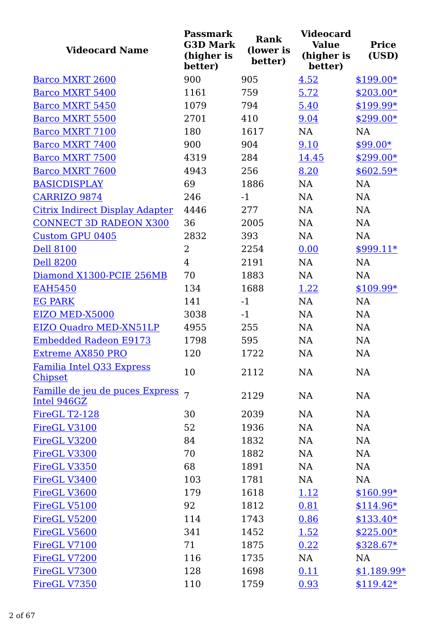| <b>Videocard Name</b>                          | <b>Passmark</b><br><b>G3D Mark</b><br>(higher is<br>better) | <b>Rank</b><br>(lower is<br>better) | <b>Videocard</b><br><b>Value</b><br>(higher is<br>better) | <b>Price</b><br>(USD) |
|------------------------------------------------|-------------------------------------------------------------|-------------------------------------|-----------------------------------------------------------|-----------------------|
| Barco MXRT 2600                                | 900                                                         | 905                                 | 4.52                                                      | $$199.00*$            |
| <b>Barco MXRT 5400</b>                         | 1161                                                        | 759                                 | 5.72                                                      | $$203.00*$            |
| <b>Barco MXRT 5450</b>                         | 1079                                                        | 794                                 | 5.40                                                      | \$199.99*             |
| <b>Barco MXRT 5500</b>                         | 2701                                                        | 410                                 | 9.04                                                      | $$299.00*$            |
| <b>Barco MXRT 7100</b>                         | 180                                                         | 1617                                | <b>NA</b>                                                 | <b>NA</b>             |
| <b>Barco MXRT 7400</b>                         | 900                                                         | 904                                 | 9.10                                                      | $$99.00*$             |
| <b>Barco MXRT 7500</b>                         | 4319                                                        | 284                                 | 14.45                                                     | $$299.00*$            |
| <b>Barco MXRT 7600</b>                         | 4943                                                        | 256                                 | 8.20                                                      | $$602.59*$            |
| <b>BASICDISPLAY</b>                            | 69                                                          | 1886                                | <b>NA</b>                                                 | <b>NA</b>             |
| <b>CARRIZO 9874</b>                            | 246                                                         | $-1$                                | NA                                                        | NA                    |
| <b>Citrix Indirect Display Adapter</b>         | 4446                                                        | 277                                 | <b>NA</b>                                                 | <b>NA</b>             |
| <b>CONNECT 3D RADEON X300</b>                  | 36                                                          | 2005                                | <b>NA</b>                                                 | <b>NA</b>             |
| <b>Custom GPU 0405</b>                         | 2832                                                        | 393                                 | <b>NA</b>                                                 | <b>NA</b>             |
| <b>Dell 8100</b>                               | $\overline{2}$                                              | 2254                                | 0.00                                                      | $$999.11*$            |
| <b>Dell 8200</b>                               | $\overline{4}$                                              | 2191                                | <b>NA</b>                                                 | <b>NA</b>             |
| Diamond X1300-PCIE 256MB                       | 70                                                          | 1883                                | <b>NA</b>                                                 | <b>NA</b>             |
| <b>EAH5450</b>                                 | 134                                                         | 1688                                | 1.22                                                      | $$109.99*$            |
| <b>EG PARK</b>                                 | 141                                                         | $-1$                                | <b>NA</b>                                                 | <b>NA</b>             |
| EIZO MED-X5000                                 | 3038                                                        | $-1$                                | <b>NA</b>                                                 | <b>NA</b>             |
| EIZO Quadro MED-XN51LP                         | 4955                                                        | 255                                 | <b>NA</b>                                                 | <b>NA</b>             |
| <b>Embedded Radeon E9173</b>                   | 1798                                                        | 595                                 | <b>NA</b>                                                 | <b>NA</b>             |
| <b>Extreme AX850 PRO</b>                       | 120                                                         | 1722                                | NA                                                        | <b>NA</b>             |
| Familia Intel Q33 Express<br><b>Chipset</b>    | 10                                                          | 2112                                | NA                                                        | NA                    |
| Famille de jeu de puces Express<br>Intel 946GZ | 7                                                           | 2129                                | <b>NA</b>                                                 | <b>NA</b>             |
| FireGL T2-128                                  | 30                                                          | 2039                                | NA                                                        | NA                    |
| FireGL V3100                                   | 52                                                          | 1936                                | NA                                                        | NA                    |
| FireGL V3200                                   | 84                                                          | 1832                                | NA                                                        | <b>NA</b>             |
| FireGL V3300                                   | 70                                                          | 1882                                | NA                                                        | NA                    |
| FireGL V3350                                   | 68                                                          | 1891                                | NA                                                        | NA                    |
| FireGL V3400                                   | 103                                                         | 1781                                | NA                                                        | NA                    |
| FireGL V3600                                   | 179                                                         | 1618                                | 1.12                                                      | $$160.99*$            |
| FireGL V5100                                   | 92                                                          | 1812                                | 0.81                                                      | $$114.96*$            |
| FireGL V5200                                   | 114                                                         | 1743                                | 0.86                                                      | $$133.40*$            |
| FireGL V5600                                   | 341                                                         | 1452                                | 1.52                                                      | $$225.00*$            |
| FireGL V7100                                   | 71                                                          | 1875                                | 0.22                                                      | $$328.67*$            |
| FireGL V7200                                   | 116                                                         | 1735                                | NA                                                        | NA                    |
| FireGL V7300                                   | 128                                                         | 1698                                | 0.11                                                      | $$1,189.99*$          |
| FireGL V7350                                   | 110                                                         | 1759                                | 0.93                                                      | $$119.42*$            |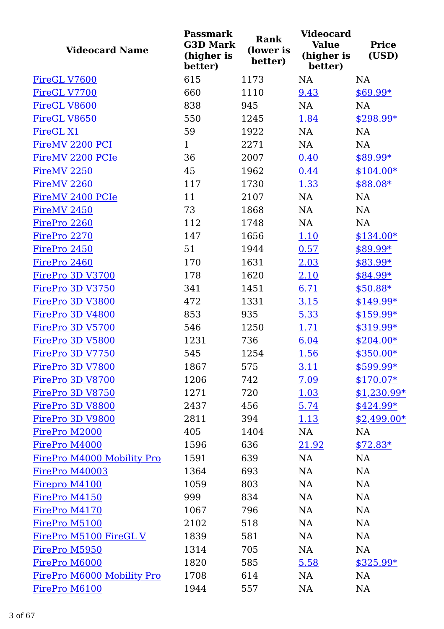| <b>Videocard Name</b>      | <b>Passmark</b><br><b>G3D Mark</b><br>(higher is<br>better) | <b>Rank</b><br>(lower is<br>better) | <b>Videocard</b><br><b>Value</b><br>(higher is<br>better) | <b>Price</b><br>(USD) |
|----------------------------|-------------------------------------------------------------|-------------------------------------|-----------------------------------------------------------|-----------------------|
| FireGL V7600               | 615                                                         | 1173                                | <b>NA</b>                                                 | <b>NA</b>             |
| FireGL V7700               | 660                                                         | 1110                                | 9.43                                                      | \$69.99*              |
| FireGL V8600               | 838                                                         | 945                                 | <b>NA</b>                                                 | <b>NA</b>             |
| FireGL V8650               | 550                                                         | 1245                                | 1.84                                                      | $$298.99*$            |
| <b>FireGL X1</b>           | 59                                                          | 1922                                | <b>NA</b>                                                 | <b>NA</b>             |
| FireMV 2200 PCI            | $\mathbf{1}$                                                | 2271                                | <b>NA</b>                                                 | NA                    |
| FireMV 2200 PCIe           | 36                                                          | 2007                                | 0.40                                                      | $$89.99*$             |
| FireMV <sub>2250</sub>     | 45                                                          | 1962                                | 0.44                                                      | $$104.00*$            |
| FireMV <sub>2260</sub>     | 117                                                         | 1730                                | 1.33                                                      | \$88.08*              |
| FireMV 2400 PCIe           | 11                                                          | 2107                                | NA                                                        | NA                    |
| FireMV 2450                | 73                                                          | 1868                                | <b>NA</b>                                                 | <b>NA</b>             |
| FirePro 2260               | 112                                                         | 1748                                | <b>NA</b>                                                 | NA                    |
| FirePro 2270               | 147                                                         | 1656                                | 1.10                                                      | $$134.00*$            |
| FirePro 2450               | 51                                                          | 1944                                | 0.57                                                      | \$89.99*              |
| FirePro 2460               | 170                                                         | 1631                                | 2.03                                                      | \$83.99*              |
| FirePro 3D V3700           | 178                                                         | 1620                                | 2.10                                                      | $$84.99*$             |
| FirePro 3D V3750           | 341                                                         | 1451                                | 6.71                                                      | $$50.88*$             |
| FirePro 3D V3800           | 472                                                         | 1331                                | 3.15                                                      | $$149.99*$            |
| FirePro 3D V4800           | 853                                                         | 935                                 | 5.33                                                      | $$159.99*$            |
| FirePro 3D V5700           | 546                                                         | 1250                                | 1.71                                                      | \$319.99*             |
| FirePro 3D V5800           | 1231                                                        | 736                                 | 6.04                                                      | $$204.00*$            |
| FirePro 3D V7750           | 545                                                         | 1254                                | 1.56                                                      | \$350.00*             |
| FirePro 3D V7800           | 1867                                                        | 575                                 | <u>3.11</u>                                               | $$599.99*$            |
| FirePro 3D V8700           | 1206                                                        | 742                                 | 7.09                                                      | $$170.07*$            |
| FirePro 3D V8750           | 1271                                                        | 720                                 | 1.03                                                      | $$1,230.99*$          |
| FirePro 3D V8800           | 2437                                                        | 456                                 | 5.74                                                      | $$424.99*$            |
| FirePro 3D V9800           | 2811                                                        | 394                                 | <u>1.13</u>                                               | $$2,499.00*$          |
| FirePro M2000              | 405                                                         | 1404                                | NA                                                        | NA                    |
| FirePro M4000              | 1596                                                        | 636                                 | 21.92                                                     | $$72.83*$             |
| FirePro M4000 Mobility Pro | 1591                                                        | 639                                 | NA                                                        | NA                    |
| FirePro M40003             | 1364                                                        | 693                                 | NA                                                        | NA                    |
| Firepro M4100              | 1059                                                        | 803                                 | NA                                                        | NA                    |
| FirePro M4150              | 999                                                         | 834                                 | NA                                                        | NA                    |
| FirePro M4170              | 1067                                                        | 796                                 | NA                                                        | NA                    |
| FirePro M5100              | 2102                                                        | 518                                 | <b>NA</b>                                                 | <b>NA</b>             |
| FirePro M5100 FireGL V     | 1839                                                        | 581                                 | <b>NA</b>                                                 | NA                    |
| FirePro M5950              | 1314                                                        | 705                                 | NA                                                        | <b>NA</b>             |
| FirePro M6000              | 1820                                                        | 585                                 | 5.58                                                      | $$325.99*$            |
| FirePro M6000 Mobility Pro | 1708                                                        | 614                                 | NA                                                        | <b>NA</b>             |
| FirePro M6100              | 1944                                                        | 557                                 | NA                                                        | NA                    |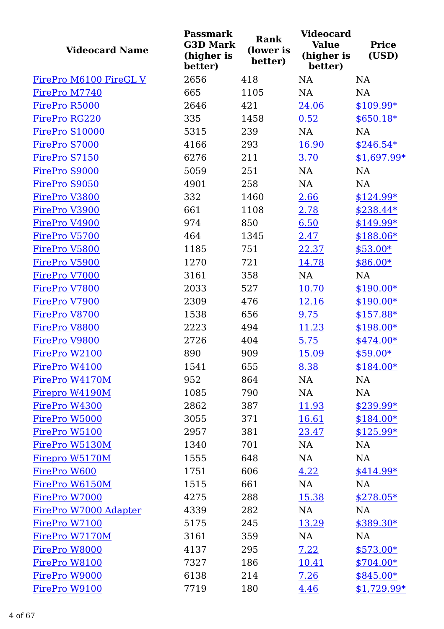| <b>Videocard Name</b>  | <b>Passmark</b><br><b>G3D Mark</b><br>(higher is<br>better) | <b>Rank</b><br>(lower is<br>better) | <b>Videocard</b><br><b>Value</b><br>(higher is<br>better) | <b>Price</b><br>(USD) |
|------------------------|-------------------------------------------------------------|-------------------------------------|-----------------------------------------------------------|-----------------------|
| FirePro M6100 FireGL V | 2656                                                        | 418                                 | <b>NA</b>                                                 | NA                    |
| FirePro M7740          | 665                                                         | 1105                                | <b>NA</b>                                                 | <b>NA</b>             |
| FirePro R5000          | 2646                                                        | 421                                 | 24.06                                                     | $$109.99*$            |
| FirePro RG220          | 335                                                         | 1458                                | 0.52                                                      | $$650.18*$            |
| FirePro S10000         | 5315                                                        | 239                                 | NA                                                        | <b>NA</b>             |
| FirePro S7000          | 4166                                                        | 293                                 | 16.90                                                     | $$246.54*$            |
| FirePro S7150          | 6276                                                        | 211                                 | 3.70                                                      | $$1,697.99*$          |
| FirePro S9000          | 5059                                                        | 251                                 | NA                                                        | <b>NA</b>             |
| FirePro S9050          | 4901                                                        | 258                                 | <b>NA</b>                                                 | <b>NA</b>             |
| FirePro V3800          | 332                                                         | 1460                                | 2.66                                                      | \$124.99*             |
| FirePro V3900          | 661                                                         | 1108                                | 2.78                                                      | $$238.44*$            |
| FirePro V4900          | 974                                                         | 850                                 | 6.50                                                      | \$149.99*             |
| FirePro V5700          | 464                                                         | 1345                                | 2.47                                                      | \$188.06*             |
| FirePro V5800          | 1185                                                        | 751                                 | 22.37                                                     | $$53.00*$             |
| FirePro V5900          | 1270                                                        | 721                                 | 14.78                                                     | $$86.00*$             |
| FirePro V7000          | 3161                                                        | 358                                 | <b>NA</b>                                                 | <b>NA</b>             |
| FirePro V7800          | 2033                                                        | 527                                 | 10.70                                                     | $$190.00*$            |
| FirePro V7900          | 2309                                                        | 476                                 | 12.16                                                     | $$190.00*$            |
| FirePro V8700          | 1538                                                        | 656                                 | 9.75                                                      | $$157.88*$            |
| FirePro V8800          | 2223                                                        | 494                                 | 11.23                                                     | $$198.00*$            |
| FirePro V9800          | 2726                                                        | 404                                 | 5.75                                                      | \$474.00*             |
| FirePro W2100          | 890                                                         | 909                                 | 15.09                                                     | \$59.00*              |
| FirePro W4100          | 1541                                                        | 655                                 | 8.38                                                      | $$184.00*$            |
| FirePro W4170M         | 952                                                         | 864                                 | NA                                                        | NA                    |
| Firepro W4190M         | 1085                                                        | 790                                 | NA                                                        | NA                    |
| FirePro W4300          | 2862                                                        | 387                                 | 11.93                                                     | \$239.99*             |
| FirePro W5000          | 3055                                                        | 371                                 | 16.61                                                     | $$184.00*$            |
| FirePro W5100          | 2957                                                        | 381                                 | 23.47                                                     | $$125.99*$            |
| FirePro W5130M         | 1340                                                        | 701                                 | NA                                                        | NA                    |
| Firepro W5170M         | 1555                                                        | 648                                 | NA                                                        | NA                    |
| FirePro W600           | 1751                                                        | 606                                 | 4.22                                                      | $$414.99*$            |
| FirePro W6150M         | 1515                                                        | 661                                 | NA                                                        | NA                    |
| FirePro W7000          | 4275                                                        | 288                                 | 15.38                                                     | $$278.05*$            |
| FirePro W7000 Adapter  | 4339                                                        | 282                                 | NA                                                        | NA                    |
| FirePro W7100          | 5175                                                        | 245                                 | 13.29                                                     | $$389.30*$            |
| FirePro W7170M         | 3161                                                        | 359                                 | NA                                                        | NA                    |
| FirePro W8000          | 4137                                                        | 295                                 | 7.22                                                      | $$573.00*$            |
| FirePro W8100          | 7327                                                        | 186                                 | 10.41                                                     | $$704.00*$            |
| FirePro W9000          | 6138                                                        | 214                                 | 7.26                                                      | $$845.00*$            |
| FirePro W9100          | 7719                                                        | 180                                 | 4.46                                                      | $$1,729.99*$          |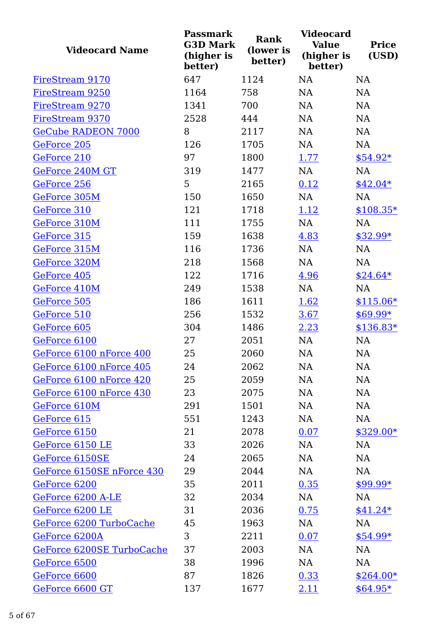| <b>Videocard Name</b>     | <b>Passmark</b><br><b>G3D Mark</b><br>(higher is<br>better) | Rank<br>(lower is<br>better) | <b>Videocard</b><br><b>Value</b><br>(higher is<br>better) | <b>Price</b><br>(USD) |
|---------------------------|-------------------------------------------------------------|------------------------------|-----------------------------------------------------------|-----------------------|
| FireStream 9170           | 647                                                         | 1124                         | <b>NA</b>                                                 | NA                    |
| FireStream 9250           | 1164                                                        | 758                          | <b>NA</b>                                                 | <b>NA</b>             |
| FireStream 9270           | 1341                                                        | 700                          | <b>NA</b>                                                 | <b>NA</b>             |
| FireStream 9370           | 2528                                                        | 444                          | <b>NA</b>                                                 | NA                    |
| <b>GeCube RADEON 7000</b> | 8                                                           | 2117                         | <b>NA</b>                                                 | NA                    |
| GeForce 205               | 126                                                         | 1705                         | NA                                                        | NA                    |
| GeForce 210               | 97                                                          | 1800                         | 1.77                                                      | $$54.92*$             |
| GeForce 240M GT           | 319                                                         | 1477                         | NA                                                        | NA                    |
| GeForce 256               | 5                                                           | 2165                         | 0.12                                                      | $$42.04*$             |
| GeForce 305M              | 150                                                         | 1650                         | NA                                                        | NA                    |
| GeForce 310               | 121                                                         | 1718                         | 1.12                                                      | $$108.35*$            |
| GeForce 310M              | 111                                                         | 1755                         | NA                                                        | NA                    |
| GeForce 315               | 159                                                         | 1638                         | 4.83                                                      | $$32.99*$             |
| GeForce 315M              | 116                                                         | 1736                         | NA                                                        | NA                    |
| GeForce 320M              | 218                                                         | 1568                         | NA                                                        | NA                    |
| GeForce 405               | 122                                                         | 1716                         | 4.96                                                      | $$24.64*$             |
| GeForce 410M              | 249                                                         | 1538                         | NA                                                        | <b>NA</b>             |
| GeForce 505               | 186                                                         | 1611                         | 1.62                                                      | $$115.06*$            |
| GeForce 510               | 256                                                         | 1532                         | 3.67                                                      | $$69.99*$             |
| GeForce 605               | 304                                                         | 1486                         | 2.23                                                      | $$136.83*$            |
| GeForce 6100              | 27                                                          | 2051                         | NA                                                        | NA                    |
| GeForce 6100 nForce 400   | 25                                                          | 2060                         | NA                                                        | NA                    |
| GeForce 6100 nForce 405   | 24                                                          | 2062                         | NA                                                        | NA                    |
| GeForce 6100 nForce 420   | 25                                                          | 2059                         | NA                                                        | NA                    |
| GeForce 6100 nForce 430   | 23                                                          | 2075                         | <b>NA</b>                                                 | NA                    |
| GeForce 610M              | 291                                                         | 1501                         | <b>NA</b>                                                 | NA                    |
| GeForce 615               | 551                                                         | 1243                         | <b>NA</b>                                                 | NA                    |
| GeForce 6150              | 21                                                          | 2078                         | 0.07                                                      | \$329.00*             |
| GeForce 6150 LE           | 33                                                          | 2026                         | NA                                                        | NA                    |
| GeForce 6150SE            | 24                                                          | 2065                         | <b>NA</b>                                                 | NA                    |
| GeForce 6150SE nForce 430 | 29                                                          | 2044                         | NA                                                        | NA                    |
| GeForce 6200              | 35                                                          | 2011                         | 0.35                                                      | $$99.99*$             |
| GeForce 6200 A-LE         | 32                                                          | 2034                         | <b>NA</b>                                                 | NA                    |
| GeForce 6200 LE           | 31                                                          | 2036                         | 0.75                                                      | $$41.24*$             |
| GeForce 6200 TurboCache   | 45                                                          | 1963                         | NA                                                        | NA                    |
| GeForce 6200A             | 3                                                           | 2211                         | 0.07                                                      | $$54.99*$             |
| GeForce 6200SE TurboCache | 37                                                          | 2003                         | NA                                                        | NA                    |
| GeForce 6500              | 38                                                          | 1996                         | <b>NA</b>                                                 | NA                    |
| GeForce 6600              | 87                                                          | 1826                         | 0.33                                                      | $$264.00*$            |
| GeForce 6600 GT           | 137                                                         | 1677                         | <u>2.11</u>                                               | $$64.95*$             |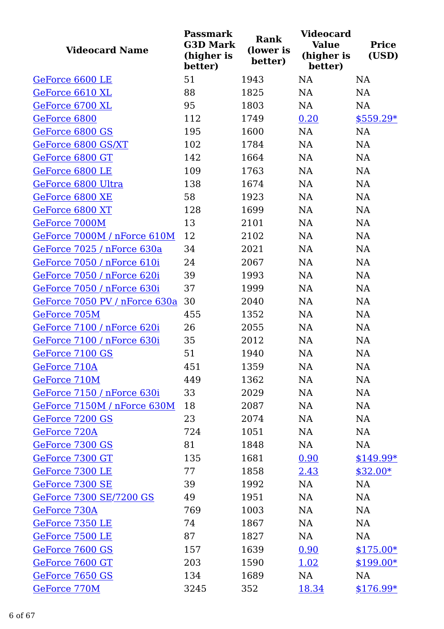| <b>Videocard Name</b>         | <b>Passmark</b><br><b>G3D Mark</b><br>(higher is<br>better) | Rank<br>(lower is<br>better) | <b>Videocard</b><br><b>Value</b><br>(higher is<br>better) | <b>Price</b><br>(USD) |
|-------------------------------|-------------------------------------------------------------|------------------------------|-----------------------------------------------------------|-----------------------|
| GeForce 6600 LE               | 51                                                          | 1943                         | <b>NA</b>                                                 | <b>NA</b>             |
| GeForce 6610 XL               | 88                                                          | 1825                         | <b>NA</b>                                                 | <b>NA</b>             |
| GeForce 6700 XL               | 95                                                          | 1803                         | <b>NA</b>                                                 | NA                    |
| GeForce 6800                  | 112                                                         | 1749                         | 0.20                                                      | $$559.29*$            |
| GeForce 6800 GS               | 195                                                         | 1600                         | <b>NA</b>                                                 | <b>NA</b>             |
| GeForce 6800 GS/XT            | 102                                                         | 1784                         | <b>NA</b>                                                 | <b>NA</b>             |
| GeForce 6800 GT               | 142                                                         | 1664                         | <b>NA</b>                                                 | <b>NA</b>             |
| GeForce 6800 LE               | 109                                                         | 1763                         | NA                                                        | NA                    |
| GeForce 6800 Ultra            | 138                                                         | 1674                         | <b>NA</b>                                                 | <b>NA</b>             |
| GeForce 6800 XE               | 58                                                          | 1923                         | <b>NA</b>                                                 | NA                    |
| GeForce 6800 XT               | 128                                                         | 1699                         | <b>NA</b>                                                 | NA                    |
| GeForce 7000M                 | 13                                                          | 2101                         | NA                                                        | NA                    |
| GeForce 7000M / nForce 610M   | 12                                                          | 2102                         | <b>NA</b>                                                 | <b>NA</b>             |
| GeForce 7025 / nForce 630a    | 34                                                          | 2021                         | <b>NA</b>                                                 | NA                    |
| GeForce 7050 / nForce 610i    | 24                                                          | 2067                         | <b>NA</b>                                                 | NA                    |
| GeForce 7050 / nForce 620i    | 39                                                          | 1993                         | <b>NA</b>                                                 | <b>NA</b>             |
| GeForce 7050 / nForce 630i    | 37                                                          | 1999                         | <b>NA</b>                                                 | NA                    |
| GeForce 7050 PV / nForce 630a | 30                                                          | 2040                         | <b>NA</b>                                                 | <b>NA</b>             |
| GeForce 705M                  | 455                                                         | 1352                         | NA                                                        | <b>NA</b>             |
| GeForce 7100 / nForce 620i    | 26                                                          | 2055                         | <b>NA</b>                                                 | NA                    |
| GeForce 7100 / nForce 630i    | 35                                                          | 2012                         | NA                                                        | NA                    |
| GeForce 7100 GS               | 51                                                          | 1940                         | <b>NA</b>                                                 | NA                    |
| GeForce 710A                  | 451                                                         | 1359                         | NA                                                        | NA                    |
| GeForce 710M                  | 449                                                         | 1362                         | NA                                                        | NA                    |
| GeForce 7150 / nForce 630i    | 33                                                          | 2029                         | NA                                                        | NA                    |
| GeForce 7150M / nForce 630M   | 18                                                          | 2087                         | NA                                                        | <b>NA</b>             |
| GeForce 7200 GS               | 23                                                          | 2074                         | NA                                                        | <b>NA</b>             |
| GeForce 720A                  | 724                                                         | 1051                         | NA                                                        | <b>NA</b>             |
| GeForce 7300 GS               | 81                                                          | 1848                         | NA                                                        | <b>NA</b>             |
| GeForce 7300 GT               | 135                                                         | 1681                         | 0.90                                                      | $$149.99*$            |
| GeForce 7300 LE               | 77                                                          | 1858                         | 2.43                                                      | $$32.00*$             |
| GeForce 7300 SE               | 39                                                          | 1992                         | NA                                                        | NA                    |
| GeForce 7300 SE/7200 GS       | 49                                                          | 1951                         | NA                                                        | <b>NA</b>             |
| GeForce 730A                  | 769                                                         | 1003                         | NA                                                        | <b>NA</b>             |
| GeForce 7350 LE               | 74                                                          | 1867                         | NA                                                        | <b>NA</b>             |
| GeForce 7500 LE               | 87                                                          | 1827                         | NA                                                        | <b>NA</b>             |
| GeForce 7600 GS               | 157                                                         | 1639                         | 0.90                                                      | $$175.00*$            |
| GeForce 7600 GT               | 203                                                         | 1590                         | 1.02                                                      | $$199.00*$            |
| GeForce 7650 GS               | 134                                                         | 1689                         | NA                                                        | NA                    |
| GeForce 770M                  | 3245                                                        | 352                          | 18.34                                                     | $$176.99*$            |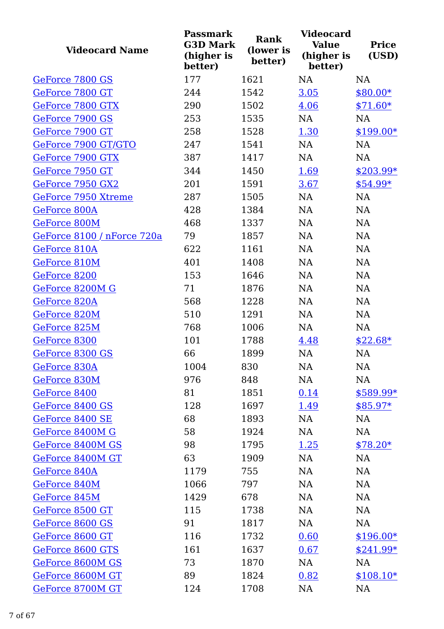| <b>Videocard Name</b>      | <b>Passmark</b><br><b>G3D Mark</b><br>(higher is<br>better) | Rank<br>(lower is<br>better) | <b>Videocard</b><br><b>Value</b><br>(higher is<br>better) | <b>Price</b><br>(USD) |
|----------------------------|-------------------------------------------------------------|------------------------------|-----------------------------------------------------------|-----------------------|
| GeForce 7800 GS            | 177                                                         | 1621                         | <b>NA</b>                                                 | <b>NA</b>             |
| GeForce 7800 GT            | 244                                                         | 1542                         | 3.05                                                      | $$80.00*$             |
| GeForce 7800 GTX           | 290                                                         | 1502                         | 4.06                                                      | $$71.60*$             |
| GeForce 7900 GS            | 253                                                         | 1535                         | NA                                                        | <b>NA</b>             |
| GeForce 7900 GT            | 258                                                         | 1528                         | 1.30                                                      | $$199.00*$            |
| GeForce 7900 GT/GTO        | 247                                                         | 1541                         | <b>NA</b>                                                 | NA                    |
| GeForce 7900 GTX           | 387                                                         | 1417                         | NA                                                        | <b>NA</b>             |
| GeForce 7950 GT            | 344                                                         | 1450                         | 1.69                                                      | $$203.99*$            |
| GeForce 7950 GX2           | 201                                                         | 1591                         | 3.67                                                      | \$54.99*              |
| GeForce 7950 Xtreme        | 287                                                         | 1505                         | NA                                                        | NA                    |
| GeForce 800A               | 428                                                         | 1384                         | <b>NA</b>                                                 | NA                    |
| GeForce 800M               | 468                                                         | 1337                         | <b>NA</b>                                                 | NA                    |
| GeForce 8100 / nForce 720a | 79                                                          | 1857                         | <b>NA</b>                                                 | <b>NA</b>             |
| GeForce 810A               | 622                                                         | 1161                         | <b>NA</b>                                                 | NA                    |
| GeForce 810M               | 401                                                         | 1408                         | <b>NA</b>                                                 | NA                    |
| GeForce 8200               | 153                                                         | 1646                         | <b>NA</b>                                                 | NA                    |
| GeForce 8200M G            | 71                                                          | 1876                         | <b>NA</b>                                                 | NA                    |
| GeForce 820A               | 568                                                         | 1228                         | <b>NA</b>                                                 | <b>NA</b>             |
| GeForce 820M               | 510                                                         | 1291                         | NA                                                        | NA                    |
| GeForce 825M               | 768                                                         | 1006                         | NA                                                        | NA                    |
| GeForce 8300               | 101                                                         | 1788                         | 4.48                                                      | $$22.68*$             |
| GeForce 8300 GS            | 66                                                          | 1899                         | NA                                                        | NA                    |
| GeForce 830A               | 1004                                                        | 830                          | NA                                                        | NA                    |
| GeForce 830M               | 976                                                         | 848                          | NA                                                        | NA                    |
| GeForce 8400               | 81                                                          | 1851                         | 0.14                                                      | $$589.99*$            |
| GeForce 8400 GS            | 128                                                         | 1697                         | <u>1.49</u>                                               | $$85.97*$             |
| GeForce 8400 SE            | 68                                                          | 1893                         | <b>NA</b>                                                 | <b>NA</b>             |
| GeForce 8400M G            | 58                                                          | 1924                         | <b>NA</b>                                                 | <b>NA</b>             |
| GeForce 8400M GS           | 98                                                          | 1795                         | <u>1.25</u>                                               | $$78.20*$             |
| GeForce 8400M GT           | 63                                                          | 1909                         | <b>NA</b>                                                 | NA                    |
| GeForce 840A               | 1179                                                        | 755                          | <b>NA</b>                                                 | NA                    |
| GeForce 840M               | 1066                                                        | 797                          | <b>NA</b>                                                 | NA                    |
| GeForce 845M               | 1429                                                        | 678                          | <b>NA</b>                                                 | NA                    |
| GeForce 8500 GT            | 115                                                         | 1738                         | <b>NA</b>                                                 | NA                    |
| GeForce 8600 GS            | 91                                                          | 1817                         | <b>NA</b>                                                 | NA                    |
| GeForce 8600 GT            | 116                                                         | 1732                         | 0.60                                                      | $$196.00*$            |
| GeForce 8600 GTS           | 161                                                         | 1637                         | 0.67                                                      | $$241.99*$            |
| GeForce 8600M GS           | 73                                                          | 1870                         | <b>NA</b>                                                 | NA                    |
| GeForce 8600M GT           | 89                                                          | 1824                         | 0.82                                                      | $$108.10*$            |
| GeForce 8700M GT           | 124                                                         | 1708                         | NA                                                        | NA                    |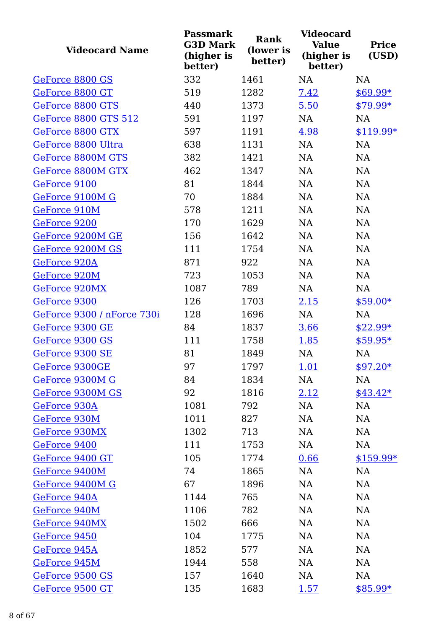| <b>Videocard Name</b>       | <b>Passmark</b><br><b>G3D Mark</b><br>(higher is<br>better) | <b>Rank</b><br>(lower is<br>better) | <b>Videocard</b><br><b>Value</b><br>(higher is<br>better) | <b>Price</b><br>(USD) |
|-----------------------------|-------------------------------------------------------------|-------------------------------------|-----------------------------------------------------------|-----------------------|
| GeForce 8800 GS             | 332                                                         | 1461                                | <b>NA</b>                                                 | <b>NA</b>             |
| GeForce 8800 GT             | 519                                                         | 1282                                | 7.42                                                      | $$69.99*$             |
| GeForce 8800 GTS            | 440                                                         | 1373                                | 5.50                                                      | $$79.99*$             |
| <b>GeForce 8800 GTS 512</b> | 591                                                         | 1197                                | <b>NA</b>                                                 | <b>NA</b>             |
| GeForce 8800 GTX            | 597                                                         | 1191                                | 4.98                                                      | \$119.99*             |
| GeForce 8800 Ultra          | 638                                                         | 1131                                | <b>NA</b>                                                 | NA                    |
| GeForce 8800M GTS           | 382                                                         | 1421                                | <b>NA</b>                                                 | NA                    |
| GeForce 8800M GTX           | 462                                                         | 1347                                | NA                                                        | NA                    |
| GeForce 9100                | 81                                                          | 1844                                | <b>NA</b>                                                 | NA                    |
| GeForce 9100M G             | 70                                                          | 1884                                | NA                                                        | NA                    |
| GeForce 910M                | 578                                                         | 1211                                | NA                                                        | NA                    |
| GeForce 9200                | 170                                                         | 1629                                | <b>NA</b>                                                 | <b>NA</b>             |
| GeForce 9200M GE            | 156                                                         | 1642                                | <b>NA</b>                                                 | NA                    |
| GeForce 9200M GS            | 111                                                         | 1754                                | NA                                                        | <b>NA</b>             |
| GeForce 920A                | 871                                                         | 922                                 | <b>NA</b>                                                 | NA                    |
| GeForce 920M                | 723                                                         | 1053                                | <b>NA</b>                                                 | NA                    |
| GeForce 920MX               | 1087                                                        | 789                                 | NA                                                        | NA                    |
| GeForce 9300                | 126                                                         | 1703                                | 2.15                                                      | $$59.00*$             |
| GeForce 9300 / nForce 730i  | 128                                                         | 1696                                | NA                                                        | NA                    |
| GeForce 9300 GE             | 84                                                          | 1837                                | 3.66                                                      | $$22.99*$             |
| GeForce 9300 GS             | 111                                                         | 1758                                | 1.85                                                      | $$59.95*$             |
| GeForce 9300 SE             | 81                                                          | 1849                                | NA                                                        | NA                    |
| GeForce 9300GE              | 97                                                          | 1797                                | 1.01                                                      | $$97.20*$             |
| GeForce 9300M G             | 84                                                          | 1834                                | NA                                                        | NA                    |
| GeForce 9300M GS            | 92                                                          | 1816                                | <u>2.12</u>                                               | $$43.42*$             |
| GeForce 930A                | 1081                                                        | 792                                 | NA                                                        | NA                    |
| GeForce 930M                | 1011                                                        | 827                                 | NA                                                        | NA                    |
| GeForce 930MX               | 1302                                                        | 713                                 | NA                                                        | NA                    |
| GeForce 9400                | 111                                                         | 1753                                | NA                                                        | NA                    |
| GeForce 9400 GT             | 105                                                         | 1774                                | 0.66                                                      | \$159.99*             |
| GeForce 9400M               | 74                                                          | 1865                                | NA                                                        | <b>NA</b>             |
| GeForce 9400M G             | 67                                                          | 1896                                | NA                                                        | <b>NA</b>             |
| GeForce 940A                | 1144                                                        | 765                                 | <b>NA</b>                                                 | NA                    |
| GeForce 940M                | 1106                                                        | 782                                 | <b>NA</b>                                                 | NA                    |
| GeForce 940MX               | 1502                                                        | 666                                 | <b>NA</b>                                                 | <b>NA</b>             |
| GeForce 9450                | 104                                                         | 1775                                | NA                                                        | NA                    |
| GeForce 945A                | 1852                                                        | 577                                 | NA                                                        | <b>NA</b>             |
| GeForce 945M                | 1944                                                        | 558                                 | <b>NA</b>                                                 | <b>NA</b>             |
| GeForce 9500 GS             | 157                                                         | 1640                                | <b>NA</b>                                                 | NA                    |
| GeForce 9500 GT             | 135                                                         | 1683                                | 1.57                                                      | $$85.99*$             |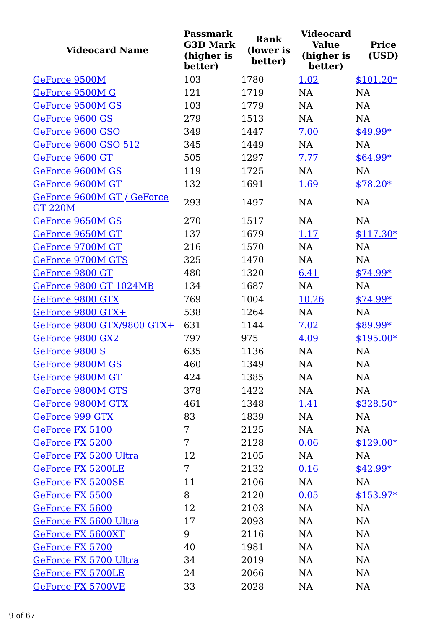| <b>Videocard Name</b>                        | <b>Passmark</b><br><b>G3D Mark</b><br>(higher is<br>better) | <b>Rank</b><br>(lower is<br>better) | <b>Videocard</b><br><b>Value</b><br>(higher is<br>better) | <b>Price</b><br>(USD) |
|----------------------------------------------|-------------------------------------------------------------|-------------------------------------|-----------------------------------------------------------|-----------------------|
| GeForce 9500M                                | 103                                                         | 1780                                | 1.02                                                      | $$101.20*$            |
| GeForce 9500M G                              | 121                                                         | 1719                                | <b>NA</b>                                                 | NA                    |
| GeForce 9500M GS                             | 103                                                         | 1779                                | <b>NA</b>                                                 | <b>NA</b>             |
| GeForce 9600 GS                              | 279                                                         | 1513                                | <b>NA</b>                                                 | <b>NA</b>             |
| GeForce 9600 GSO                             | 349                                                         | 1447                                | 7.00                                                      | $$49.99*$             |
| GeForce 9600 GSO 512                         | 345                                                         | 1449                                | NA                                                        | <b>NA</b>             |
| GeForce 9600 GT                              | 505                                                         | 1297                                | 7.77                                                      | $$64.99*$             |
| GeForce 9600M GS                             | 119                                                         | 1725                                | NA                                                        | <b>NA</b>             |
| GeForce 9600M GT                             | 132                                                         | 1691                                | 1.69                                                      | $$78.20*$             |
| GeForce 9600M GT / GeForce<br><b>GT 220M</b> | 293                                                         | 1497                                | <b>NA</b>                                                 | <b>NA</b>             |
| GeForce 9650M GS                             | 270                                                         | 1517                                | NA                                                        | <b>NA</b>             |
| GeForce 9650M GT                             | 137                                                         | 1679                                | 1.17                                                      | $$117.30*$            |
| GeForce 9700M GT                             | 216                                                         | 1570                                | <b>NA</b>                                                 | <b>NA</b>             |
| GeForce 9700M GTS                            | 325                                                         | 1470                                | NA                                                        | NA                    |
| GeForce 9800 GT                              | 480                                                         | 1320                                | 6.41                                                      | $$74.99*$             |
| <b>GeForce 9800 GT 1024MB</b>                | 134                                                         | 1687                                | <b>NA</b>                                                 | <b>NA</b>             |
| GeForce 9800 GTX                             | 769                                                         | 1004                                | 10.26                                                     | $$74.99*$             |
| GeForce 9800 GTX+                            | 538                                                         | 1264                                | <b>NA</b>                                                 | <b>NA</b>             |
| GeForce 9800 GTX/9800 GTX+                   | 631                                                         | 1144                                | 7.02                                                      | $$89.99*$             |
| GeForce 9800 GX2                             | 797                                                         | 975                                 | 4.09                                                      | $$195.00*$            |
| GeForce 9800 S                               | 635                                                         | 1136                                | <b>NA</b>                                                 | <b>NA</b>             |
| GeForce 9800M GS                             | 460                                                         | 1349                                | NA                                                        | NA                    |
| GeForce 9800M GT                             | 424                                                         | 1385                                | NA                                                        | NA                    |
| GeForce 9800M GTS                            | 378                                                         | 1422                                | NA                                                        | NA                    |
| GeForce 9800M GTX                            | 461                                                         | 1348                                | <u>1.41</u>                                               | \$328.50*             |
| GeForce 999 GTX                              | 83                                                          | 1839                                | <b>NA</b>                                                 | NA                    |
| GeForce FX 5100                              | 7                                                           | 2125                                | <b>NA</b>                                                 | NA                    |
| GeForce FX 5200                              | 7                                                           | 2128                                | 0.06                                                      | $$129.00*$            |
| GeForce FX 5200 Ultra                        | 12                                                          | 2105                                | <b>NA</b>                                                 | NA                    |
| GeForce FX 5200LE                            | 7                                                           | 2132                                | 0.16                                                      | $$42.99*$             |
| GeForce FX 5200SE                            | 11                                                          | 2106                                | <b>NA</b>                                                 | <b>NA</b>             |
| GeForce FX 5500                              | 8                                                           | 2120                                | 0.05                                                      | $$153.97*$            |
| GeForce FX 5600                              | 12                                                          | 2103                                | <b>NA</b>                                                 | <b>NA</b>             |
| GeForce FX 5600 Ultra                        | 17                                                          | 2093                                | <b>NA</b>                                                 | NA                    |
| GeForce FX 5600XT                            | 9                                                           | 2116                                | <b>NA</b>                                                 | NA                    |
| GeForce FX 5700                              | 40                                                          | 1981                                | <b>NA</b>                                                 | NA                    |
| GeForce FX 5700 Ultra                        | 34                                                          | 2019                                | <b>NA</b>                                                 | NA                    |
| <b>GeForce FX 5700LE</b>                     | 24                                                          | 2066                                | <b>NA</b>                                                 | NA                    |
| GeForce FX 5700VE                            | 33                                                          | 2028                                | <b>NA</b>                                                 | NA                    |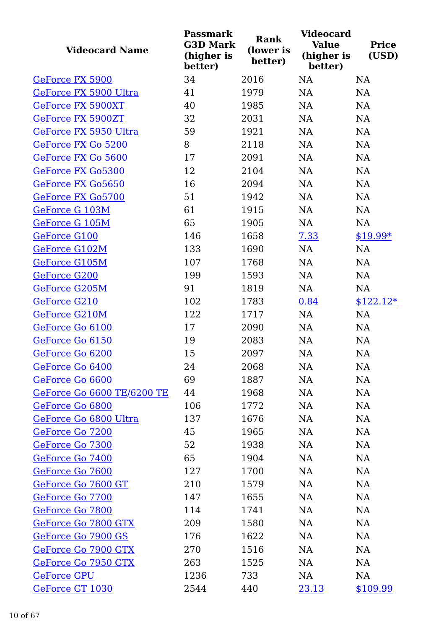| <b>Videocard Name</b>      | <b>Passmark</b><br><b>G3D Mark</b><br>(higher is<br>better) | <b>Rank</b><br>(lower is<br>better) | <b>Videocard</b><br><b>Value</b><br>(higher is<br>better) | <b>Price</b><br>(USD) |
|----------------------------|-------------------------------------------------------------|-------------------------------------|-----------------------------------------------------------|-----------------------|
| GeForce FX 5900            | 34                                                          | 2016                                | <b>NA</b>                                                 | <b>NA</b>             |
| GeForce FX 5900 Ultra      | 41                                                          | 1979                                | NA                                                        | NA                    |
| <b>GeForce FX 5900XT</b>   | 40                                                          | 1985                                | <b>NA</b>                                                 | NA                    |
| <b>GeForce FX 5900ZT</b>   | 32                                                          | 2031                                | NA                                                        | NA                    |
| GeForce FX 5950 Ultra      | 59                                                          | 1921                                | <b>NA</b>                                                 | NA                    |
| GeForce FX Go 5200         | 8                                                           | 2118                                | NA                                                        | NA                    |
| GeForce FX Go 5600         | 17                                                          | 2091                                | NA                                                        | NA                    |
| GeForce FX Go5300          | 12                                                          | 2104                                | NA                                                        | NA                    |
| GeForce FX Go5650          | 16                                                          | 2094                                | NA                                                        | NA                    |
| GeForce FX Go5700          | 51                                                          | 1942                                | NA                                                        | NA                    |
| GeForce G 103M             | 61                                                          | 1915                                | NA                                                        | NA                    |
| GeForce G 105M             | 65                                                          | 1905                                | NA                                                        | NA                    |
| GeForce G100               | 146                                                         | 1658                                | 7.33                                                      | $$19.99*$             |
| GeForce G102M              | 133                                                         | 1690                                | NA                                                        | NA                    |
| GeForce G105M              | 107                                                         | 1768                                | <b>NA</b>                                                 | NA                    |
| GeForce G200               | 199                                                         | 1593                                | NA                                                        | NA                    |
| GeForce G205M              | 91                                                          | 1819                                | NA                                                        | NA                    |
| GeForce G210               | 102                                                         | 1783                                | 0.84                                                      | $$122.12*$            |
| GeForce G210M              | 122                                                         | 1717                                | NA                                                        | NA                    |
| GeForce Go 6100            | 17                                                          | 2090                                | NA                                                        | NA                    |
| GeForce Go 6150            | 19                                                          | 2083                                | <b>NA</b>                                                 | NA                    |
| GeForce Go 6200            | 15                                                          | 2097                                | <b>NA</b>                                                 | <b>NA</b>             |
| GeForce Go 6400            | 24                                                          | 2068                                | NA                                                        | NA                    |
| GeForce Go 6600            | 69                                                          | 1887                                | NA                                                        | NA                    |
| GeForce Go 6600 TE/6200 TE | 44                                                          | 1968                                | <b>NA</b>                                                 | <b>NA</b>             |
| GeForce Go 6800            | 106                                                         | 1772                                | NA                                                        | <b>NA</b>             |
| GeForce Go 6800 Ultra      | 137                                                         | 1676                                | <b>NA</b>                                                 | NA                    |
| GeForce Go 7200            | 45                                                          | 1965                                | <b>NA</b>                                                 | NA                    |
| GeForce Go 7300            | 52                                                          | 1938                                | <b>NA</b>                                                 | NA                    |
| GeForce Go 7400            | 65                                                          | 1904                                | <b>NA</b>                                                 | NA                    |
| GeForce Go 7600            | 127                                                         | 1700                                | NA                                                        | <b>NA</b>             |
| GeForce Go 7600 GT         | 210                                                         | 1579                                | NA                                                        | NA                    |
| GeForce Go 7700            | 147                                                         | 1655                                | <b>NA</b>                                                 | <b>NA</b>             |
| GeForce Go 7800            | 114                                                         | 1741                                | <b>NA</b>                                                 | <b>NA</b>             |
| GeForce Go 7800 GTX        | 209                                                         | 1580                                | <b>NA</b>                                                 | <b>NA</b>             |
| GeForce Go 7900 GS         | 176                                                         | 1622                                | <b>NA</b>                                                 | NA                    |
| GeForce Go 7900 GTX        | 270                                                         | 1516                                | <b>NA</b>                                                 | <b>NA</b>             |
| GeForce Go 7950 GTX        | 263                                                         | 1525                                | NA                                                        | <b>NA</b>             |
| <b>GeForce GPU</b>         | 1236                                                        | 733                                 | NA                                                        | NA                    |
| GeForce GT 1030            | 2544                                                        | 440                                 | 23.13                                                     | \$109.99              |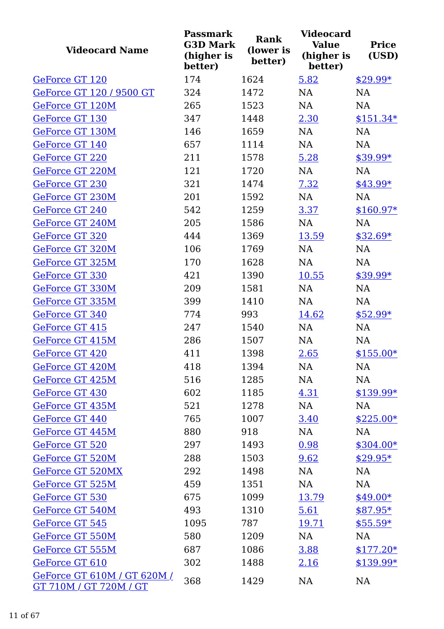| <b>Videocard Name</b>                                 | <b>Passmark</b><br><b>G3D Mark</b><br>(higher is<br>better) | Rank<br>(lower is<br>better) | <b>Videocard</b><br><b>Value</b><br>(higher is<br>better) | <b>Price</b><br>(USD) |
|-------------------------------------------------------|-------------------------------------------------------------|------------------------------|-----------------------------------------------------------|-----------------------|
| GeForce GT 120                                        | 174                                                         | 1624                         | 5.82                                                      | $$29.99*$             |
| GeForce GT 120 / 9500 GT                              | 324                                                         | 1472                         | <b>NA</b>                                                 | NA                    |
| GeForce GT 120M                                       | 265                                                         | 1523                         | <b>NA</b>                                                 | <b>NA</b>             |
| GeForce GT 130                                        | 347                                                         | 1448                         | 2.30                                                      | $$151.34*$            |
| GeForce GT 130M                                       | 146                                                         | 1659                         | NA                                                        | NA                    |
| GeForce GT 140                                        | 657                                                         | 1114                         | <b>NA</b>                                                 | NA                    |
| GeForce GT 220                                        | 211                                                         | 1578                         | 5.28                                                      | $$39.99*$             |
| GeForce GT 220M                                       | 121                                                         | 1720                         | NA                                                        | NA                    |
| GeForce GT 230                                        | 321                                                         | 1474                         | 7.32                                                      | \$43.99*              |
| GeForce GT 230M                                       | 201                                                         | 1592                         | NA                                                        | NA                    |
| GeForce GT 240                                        | 542                                                         | 1259                         | 3.37                                                      | $$160.97*$            |
| GeForce GT 240M                                       | 205                                                         | 1586                         | NA                                                        | <b>NA</b>             |
| GeForce GT 320                                        | 444                                                         | 1369                         | 13.59                                                     | $$32.69*$             |
| GeForce GT 320M                                       | 106                                                         | 1769                         | NA                                                        | NA                    |
| GeForce GT 325M                                       | 170                                                         | 1628                         | NA                                                        | <b>NA</b>             |
| GeForce GT 330                                        | 421                                                         | 1390                         | 10.55                                                     | $$39.99*$             |
| GeForce GT 330M                                       | 209                                                         | 1581                         | NA                                                        | NA                    |
| GeForce GT 335M                                       | 399                                                         | 1410                         | <b>NA</b>                                                 | NA                    |
| GeForce GT 340                                        | 774                                                         | 993                          | 14.62                                                     | $$52.99*$             |
| <b>GeForce GT 415</b>                                 | 247                                                         | 1540                         | NA                                                        | NA                    |
| GeForce GT 415M                                       | 286                                                         | 1507                         | NA                                                        | NA                    |
| GeForce GT 420                                        | 411                                                         | 1398                         | 2.65                                                      | $$155.00*$            |
| GeForce GT 420M                                       | 418                                                         | 1394                         | NA                                                        | NA                    |
| GeForce GT 425M                                       | 516                                                         | 1285                         | NA                                                        | NA                    |
| GeForce GT 430                                        | 602                                                         | 1185                         | 4.31                                                      | $$139.99*$            |
| GeForce GT 435M                                       | 521                                                         | 1278                         | NA                                                        | NA                    |
| GeForce GT 440                                        | 765                                                         | 1007                         | 3.40                                                      | $$225.00*$            |
| GeForce GT 445M                                       | 880                                                         | 918                          | NA                                                        | NA                    |
| GeForce GT 520                                        | 297                                                         | 1493                         | 0.98                                                      | $$304.00*$            |
| <b>GeForce GT 520M</b>                                | 288                                                         | 1503                         | 9.62                                                      | $$29.95*$             |
| GeForce GT 520MX                                      | 292                                                         | 1498                         | NA                                                        | NA                    |
| GeForce GT 525M                                       | 459                                                         | 1351                         | NA                                                        | NA                    |
| GeForce GT 530                                        | 675                                                         | 1099                         | 13.79                                                     | $$49.00*$             |
| GeForce GT 540M                                       | 493                                                         | 1310                         | 5.61                                                      | $$87.95*$             |
| GeForce GT 545                                        | 1095                                                        | 787                          | 19.71                                                     | $$55.59*$             |
| GeForce GT 550M                                       | 580                                                         | 1209                         | NA                                                        | NA                    |
| GeForce GT 555M                                       | 687                                                         | 1086                         | 3.88                                                      | $$177.20*$            |
| GeForce GT 610                                        | 302                                                         | 1488                         | <u>2.16</u>                                               | $$139.99*$            |
| GeForce GT 610M / GT 620M /<br>GT 710M / GT 720M / GT | 368                                                         | 1429                         | NA                                                        | NA                    |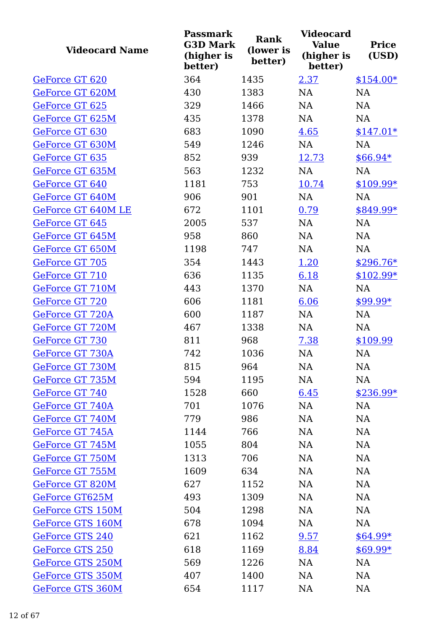| <b>Videocard Name</b>   | <b>Passmark</b><br><b>G3D Mark</b><br>(higher is<br>better) | <b>Rank</b><br>(lower is<br>better) | <b>Videocard</b><br><b>Value</b><br>(higher is<br>better) | <b>Price</b><br>(USD) |
|-------------------------|-------------------------------------------------------------|-------------------------------------|-----------------------------------------------------------|-----------------------|
| GeForce GT 620          | 364                                                         | 1435                                | 2.37                                                      | $$154.00*$            |
| GeForce GT 620M         | 430                                                         | 1383                                | NA                                                        | NA                    |
| GeForce GT 625          | 329                                                         | 1466                                | <b>NA</b>                                                 | NA                    |
| GeForce GT 625M         | 435                                                         | 1378                                | <b>NA</b>                                                 | NA                    |
| GeForce GT 630          | 683                                                         | 1090                                | 4.65                                                      | $$147.01*$            |
| GeForce GT 630M         | 549                                                         | 1246                                | NA                                                        | NA                    |
| GeForce GT 635          | 852                                                         | 939                                 | 12.73                                                     | $$66.94*$             |
| GeForce GT 635M         | 563                                                         | 1232                                | NA                                                        | NA                    |
| GeForce GT 640          | 1181                                                        | 753                                 | 10.74                                                     | $$109.99*$            |
| GeForce GT 640M         | 906                                                         | 901                                 | NA                                                        | NA                    |
| GeForce GT 640M LE      | 672                                                         | 1101                                | 0.79                                                      | \$849.99*             |
| GeForce GT 645          | 2005                                                        | 537                                 | <b>NA</b>                                                 | <b>NA</b>             |
| GeForce GT 645M         | 958                                                         | 860                                 | <b>NA</b>                                                 | NA                    |
| GeForce GT 650M         | 1198                                                        | 747                                 | <b>NA</b>                                                 | NA                    |
| GeForce GT 705          | 354                                                         | 1443                                | 1.20                                                      | $$296.76*$            |
| GeForce GT 710          | 636                                                         | 1135                                | 6.18                                                      | $$102.99*$            |
| GeForce GT 710M         | 443                                                         | 1370                                | NA                                                        | NA                    |
| GeForce GT 720          | 606                                                         | 1181                                | 6.06                                                      | $$99.99*$             |
| GeForce GT 720A         | 600                                                         | 1187                                | NA                                                        | NA                    |
| GeForce GT 720M         | 467                                                         | 1338                                | NA                                                        | NA                    |
| GeForce GT 730          | 811                                                         | 968                                 | 7.38                                                      | \$109.99              |
| GeForce GT 730A         | 742                                                         | 1036                                | <b>NA</b>                                                 | NA                    |
| GeForce GT 730M         | 815                                                         | 964                                 | NA                                                        | NA                    |
| GeForce GT 735M         | 594                                                         | 1195                                | NA                                                        | NA                    |
| GeForce GT 740          | 1528                                                        | 660                                 | 6.45                                                      | $$236.99*$            |
| GeForce GT 740A         | 701                                                         | 1076                                | NA                                                        | NA                    |
| GeForce GT 740M         | 779                                                         | 986                                 | <b>NA</b>                                                 | NA                    |
| GeForce GT 745A         | 1144                                                        | 766                                 | NA                                                        | NA                    |
| GeForce GT 745M         | 1055                                                        | 804                                 | <b>NA</b>                                                 | NA                    |
| GeForce GT 750M         | 1313                                                        | 706                                 | <b>NA</b>                                                 | NA                    |
| GeForce GT 755M         | 1609                                                        | 634                                 | <b>NA</b>                                                 | NA                    |
| GeForce GT 820M         | 627                                                         | 1152                                | <b>NA</b>                                                 | NA                    |
| GeForce GT625M          | 493                                                         | 1309                                | <b>NA</b>                                                 | NA                    |
| <b>GeForce GTS 150M</b> | 504                                                         | 1298                                | <b>NA</b>                                                 | NA                    |
| GeForce GTS 160M        | 678                                                         | 1094                                | <b>NA</b>                                                 | NA                    |
| GeForce GTS 240         | 621                                                         | 1162                                | 9.57                                                      | $$64.99*$             |
| GeForce GTS 250         | 618                                                         | 1169                                | 8.84                                                      | $$69.99*$             |
| <b>GeForce GTS 250M</b> | 569                                                         | 1226                                | <b>NA</b>                                                 | NA                    |
| GeForce GTS 350M        | 407                                                         | 1400                                | <b>NA</b>                                                 | NA                    |
| GeForce GTS 360M        | 654                                                         | 1117                                | NA                                                        | NA                    |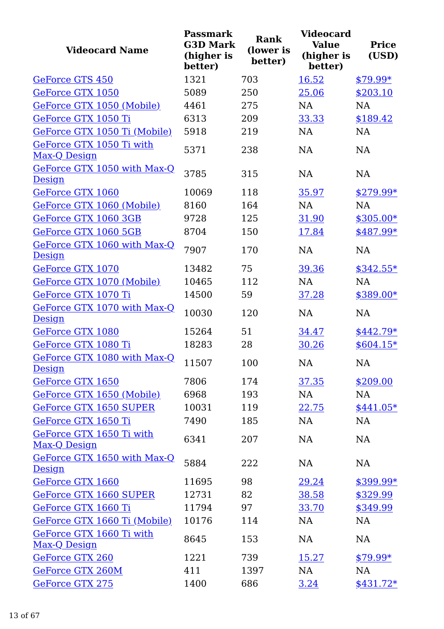| <b>Videocard Name</b>                    | <b>Passmark</b><br><b>G3D Mark</b><br>(higher is<br>better) | <b>Rank</b><br>(lower is<br>better) | <b>Videocard</b><br><b>Value</b><br>(higher is<br>better) | <b>Price</b><br>(USD) |
|------------------------------------------|-------------------------------------------------------------|-------------------------------------|-----------------------------------------------------------|-----------------------|
| GeForce GTS 450                          | 1321                                                        | 703                                 | 16.52                                                     | $$79.99*$             |
| GeForce GTX 1050                         | 5089                                                        | 250                                 | 25.06                                                     | \$203.10              |
| GeForce GTX 1050 (Mobile)                | 4461                                                        | 275                                 | <b>NA</b>                                                 | <b>NA</b>             |
| GeForce GTX 1050 Ti                      | 6313                                                        | 209                                 | 33.33                                                     | \$189.42              |
| GeForce GTX 1050 Ti (Mobile)             | 5918                                                        | 219                                 | <b>NA</b>                                                 | <b>NA</b>             |
| GeForce GTX 1050 Ti with<br>Max-Q Design | 5371                                                        | 238                                 | <b>NA</b>                                                 | <b>NA</b>             |
| GeForce GTX 1050 with Max-Q<br>Design    | 3785                                                        | 315                                 | <b>NA</b>                                                 | <b>NA</b>             |
| GeForce GTX 1060                         | 10069                                                       | 118                                 | 35.97                                                     | $$279.99*$            |
| GeForce GTX 1060 (Mobile)                | 8160                                                        | 164                                 | <b>NA</b>                                                 | <b>NA</b>             |
| GeForce GTX 1060 3GB                     | 9728                                                        | 125                                 | 31.90                                                     | $$305.00*$            |
| GeForce GTX 1060 5GB                     | 8704                                                        | 150                                 | 17.84                                                     | $$487.99*$            |
| GeForce GTX 1060 with Max-Q<br>Design    | 7907                                                        | 170                                 | <b>NA</b>                                                 | <b>NA</b>             |
| GeForce GTX 1070                         | 13482                                                       | 75                                  | 39.36                                                     | $$342.55*$            |
| GeForce GTX 1070 (Mobile)                | 10465                                                       | 112                                 | <b>NA</b>                                                 | <b>NA</b>             |
| GeForce GTX 1070 Ti                      | 14500                                                       | 59                                  | 37.28                                                     | $$389.00*$            |
| GeForce GTX 1070 with Max-Q<br>Design    | 10030                                                       | 120                                 | <b>NA</b>                                                 | NA                    |
| GeForce GTX 1080                         | 15264                                                       | 51                                  | 34.47                                                     | $$442.79*$            |
| GeForce GTX 1080 Ti                      | 18283                                                       | 28                                  | 30.26                                                     | $$604.15*$            |
| GeForce GTX 1080 with Max-Q<br>Design    | 11507                                                       | 100                                 | NA                                                        | NA                    |
| GeForce GTX 1650                         | 7806                                                        | 174                                 | 37.35                                                     | \$209.00              |
| GeForce GTX 1650 (Mobile)                | 6968                                                        | 193                                 | NA                                                        | NA                    |
| <b>GeForce GTX 1650 SUPER</b>            | 10031                                                       | 119                                 | 22.75                                                     | $$441.05*$            |
| GeForce GTX 1650 Ti                      | 7490                                                        | 185                                 | NA                                                        | NA                    |
| GeForce GTX 1650 Ti with<br>Max-Q Design | 6341                                                        | 207                                 | NA                                                        | NA                    |
| GeForce GTX 1650 with Max-Q<br>Design    | 5884                                                        | 222                                 | <b>NA</b>                                                 | NA                    |
| GeForce GTX 1660                         | 11695                                                       | 98                                  | 29.24                                                     | \$399.99*             |
| GeForce GTX 1660 SUPER                   | 12731                                                       | 82                                  | 38.58                                                     | \$329.99              |
| GeForce GTX 1660 Ti                      | 11794                                                       | 97                                  | 33.70                                                     | \$349.99              |
| GeForce GTX 1660 Ti (Mobile)             | 10176                                                       | 114                                 | <b>NA</b>                                                 | NA                    |
| GeForce GTX 1660 Ti with                 | 8645                                                        | 153                                 | <b>NA</b>                                                 | NA                    |
| Max-Q Design                             |                                                             |                                     |                                                           |                       |
| GeForce GTX 260                          | 1221                                                        | 739                                 | 15.27                                                     | $$79.99*$             |
| <b>GeForce GTX 260M</b>                  | 411                                                         | 1397                                | NA                                                        | <b>NA</b>             |
| GeForce GTX 275                          | 1400                                                        | 686                                 | 3.24                                                      | $$431.72*$            |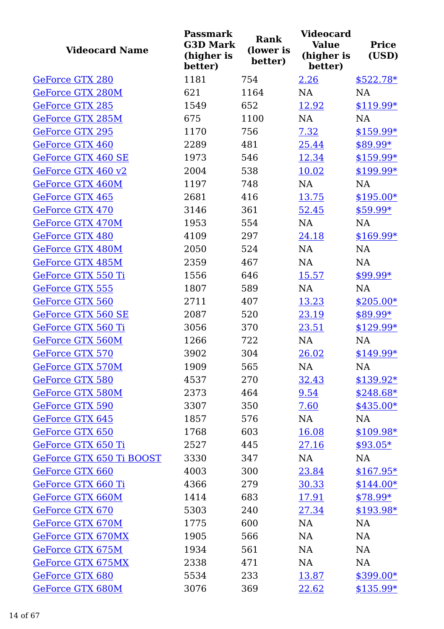| <b>Videocard Name</b>    | <b>Passmark</b><br><b>G3D Mark</b><br>(higher is<br>better) | <b>Rank</b><br>(lower is<br>better) | <b>Videocard</b><br><b>Value</b><br>(higher is<br>better) | <b>Price</b><br>(USD) |
|--------------------------|-------------------------------------------------------------|-------------------------------------|-----------------------------------------------------------|-----------------------|
| GeForce GTX 280          | 1181                                                        | 754                                 | 2.26                                                      | $$522.78*$            |
| GeForce GTX 280M         | 621                                                         | 1164                                | NA                                                        | <b>NA</b>             |
| <b>GeForce GTX 285</b>   | 1549                                                        | 652                                 | 12.92                                                     | $$119.99*$            |
| <b>GeForce GTX 285M</b>  | 675                                                         | 1100                                | <b>NA</b>                                                 | <b>NA</b>             |
| <b>GeForce GTX 295</b>   | 1170                                                        | 756                                 | 7.32                                                      | \$159.99*             |
| GeForce GTX 460          | 2289                                                        | 481                                 | 25.44                                                     | \$89.99*              |
| GeForce GTX 460 SE       | 1973                                                        | 546                                 | 12.34                                                     | $$159.99*$            |
| GeForce GTX 460 v2       | 2004                                                        | 538                                 | 10.02                                                     | \$199.99*             |
| <b>GeForce GTX 460M</b>  | 1197                                                        | 748                                 | NA                                                        | <b>NA</b>             |
| GeForce GTX 465          | 2681                                                        | 416                                 | 13.75                                                     | $$195.00*$            |
| <b>GeForce GTX 470</b>   | 3146                                                        | 361                                 | 52.45                                                     | $$59.99*$             |
| GeForce GTX 470M         | 1953                                                        | 554                                 | <b>NA</b>                                                 | <b>NA</b>             |
| <b>GeForce GTX 480</b>   | 4109                                                        | 297                                 | 24.18                                                     | \$169.99*             |
| GeForce GTX 480M         | 2050                                                        | 524                                 | <b>NA</b>                                                 | NA                    |
| GeForce GTX 485M         | 2359                                                        | 467                                 | NA                                                        | <b>NA</b>             |
| GeForce GTX 550 Ti       | 1556                                                        | 646                                 | 15.57                                                     | $$99.99*$             |
| <b>GeForce GTX 555</b>   | 1807                                                        | 589                                 | NA                                                        | <b>NA</b>             |
| <b>GeForce GTX 560</b>   | 2711                                                        | 407                                 | 13.23                                                     | $$205.00*$            |
| GeForce GTX 560 SE       | 2087                                                        | 520                                 | 23.19                                                     | \$89.99*              |
| GeForce GTX 560 Ti       | 3056                                                        | 370                                 | 23.51                                                     | $$129.99*$            |
| GeForce GTX 560M         | 1266                                                        | 722                                 | NA                                                        | NA                    |
| GeForce GTX 570          | 3902                                                        | 304                                 | 26.02                                                     | $$149.99*$            |
| GeForce GTX 570M         | 1909                                                        | 565                                 | NA                                                        | NA                    |
| GeForce GTX 580          | 4537                                                        | 270                                 | 32.43                                                     | $$139.92*$            |
| <b>GeForce GTX 580M</b>  | 2373                                                        | 464                                 | 9.54                                                      | $$248.68*$            |
| GeForce GTX 590          | 3307                                                        | 350                                 | 7.60                                                      | $$435.00*$            |
| <b>GeForce GTX 645</b>   | 1857                                                        | 576                                 | NA                                                        | <b>NA</b>             |
| GeForce GTX 650          | 1768                                                        | 603                                 | 16.08                                                     | \$109.98*             |
| GeForce GTX 650 Ti       | 2527                                                        | 445                                 | 27.16                                                     | $$93.05*$             |
| GeForce GTX 650 Ti BOOST | 3330                                                        | 347                                 | NA                                                        | NA                    |
| GeForce GTX 660          | 4003                                                        | 300                                 | 23.84                                                     | $$167.95*$            |
| GeForce GTX 660 Ti       | 4366                                                        | 279                                 | 30.33                                                     | $$144.00*$            |
| GeForce GTX 660M         | 1414                                                        | 683                                 | <u>17.91</u>                                              | $$78.99*$             |
| GeForce GTX 670          | 5303                                                        | 240                                 | 27.34                                                     | $$193.98*$            |
| GeForce GTX 670M         | 1775                                                        | 600                                 | NA                                                        | <b>NA</b>             |
| <b>GeForce GTX 670MX</b> | 1905                                                        | 566                                 | NA                                                        | NA                    |
| GeForce GTX 675M         | 1934                                                        | 561                                 | <b>NA</b>                                                 | <b>NA</b>             |
| GeForce GTX 675MX        | 2338                                                        | 471                                 | NA                                                        | NA                    |
| GeForce GTX 680          | 5534                                                        | 233                                 | 13.87                                                     | $$399.00*$            |
| GeForce GTX 680M         | 3076                                                        | 369                                 | 22.62                                                     | $$135.99*$            |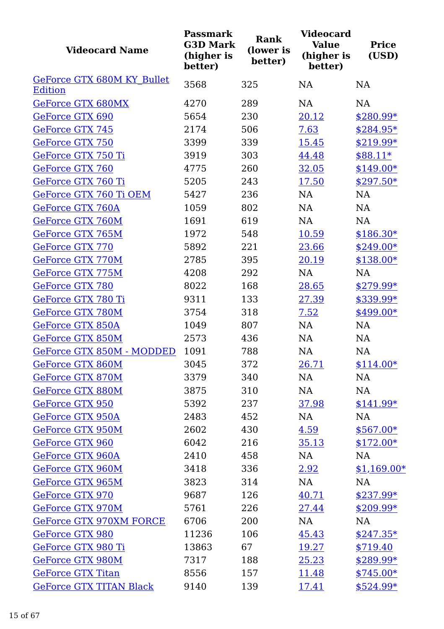| <b>Videocard Name</b>                        | <b>Passmark</b><br><b>G3D Mark</b><br>(higher is<br>better) | <b>Rank</b><br>(lower is<br>better) | <b>Videocard</b><br><b>Value</b><br>(higher is<br>better) | <b>Price</b><br>(USD) |
|----------------------------------------------|-------------------------------------------------------------|-------------------------------------|-----------------------------------------------------------|-----------------------|
| GeForce GTX 680M KY Bullet<br><b>Edition</b> | 3568                                                        | 325                                 | <b>NA</b>                                                 | <b>NA</b>             |
| GeForce GTX 680MX                            | 4270                                                        | 289                                 | <b>NA</b>                                                 | <b>NA</b>             |
| GeForce GTX 690                              | 5654                                                        | 230                                 | 20.12                                                     | $$280.99*$            |
| <b>GeForce GTX 745</b>                       | 2174                                                        | 506                                 | 7.63                                                      | $$284.95*$            |
| GeForce GTX 750                              | 3399                                                        | 339                                 | <u>15.45</u>                                              | \$219.99*             |
| GeForce GTX 750 Ti                           | 3919                                                        | 303                                 | 44.48                                                     | $$88.11*$             |
| GeForce GTX 760                              | 4775                                                        | 260                                 | 32.05                                                     | $$149.00*$            |
| GeForce GTX 760 Ti                           | 5205                                                        | 243                                 | 17.50                                                     | $$297.50*$            |
| GeForce GTX 760 Ti OEM                       | 5427                                                        | 236                                 | <b>NA</b>                                                 | <b>NA</b>             |
| <b>GeForce GTX 760A</b>                      | 1059                                                        | 802                                 | <b>NA</b>                                                 | <b>NA</b>             |
| GeForce GTX 760M                             | 1691                                                        | 619                                 | <b>NA</b>                                                 | NA                    |
| GeForce GTX 765M                             | 1972                                                        | 548                                 | 10.59                                                     | $$186.30*$            |
| <b>GeForce GTX 770</b>                       | 5892                                                        | 221                                 | 23.66                                                     | $$249.00*$            |
| <b>GeForce GTX 770M</b>                      | 2785                                                        | 395                                 | 20.19                                                     | $$138.00*$            |
| GeForce GTX 775M                             | 4208                                                        | 292                                 | <b>NA</b>                                                 | <b>NA</b>             |
| GeForce GTX 780                              | 8022                                                        | 168                                 | 28.65                                                     | $$279.99*$            |
| GeForce GTX 780 Ti                           | 9311                                                        | 133                                 | 27.39                                                     | \$339.99*             |
| GeForce GTX 780M                             | 3754                                                        | 318                                 | 7.52                                                      | $$499.00*$            |
| <b>GeForce GTX 850A</b>                      | 1049                                                        | 807                                 | <b>NA</b>                                                 | NA                    |
| GeForce GTX 850M                             | 2573                                                        | 436                                 | <b>NA</b>                                                 | NA                    |
| GeForce GTX 850M - MODDED                    | 1091                                                        | 788                                 | <b>NA</b>                                                 | NA                    |
| GeForce GTX 860M                             | 3045                                                        | 372                                 | 26.71                                                     | $$114.00*$            |
| <b>GeForce GTX 870M</b>                      | 3379                                                        | 340                                 | NA                                                        | NA                    |
| GeForce GTX 880M                             | 3875                                                        | 310                                 | NA                                                        | NA                    |
| GeForce GTX 950                              | 5392                                                        | 237                                 | 37.98                                                     | $$141.99*$            |
| <b>GeForce GTX 950A</b>                      | 2483                                                        | 452                                 | NA                                                        | NA                    |
| GeForce GTX 950M                             | 2602                                                        | 430                                 | 4.59                                                      | $$567.00*$            |
| GeForce GTX 960                              | 6042                                                        | 216                                 | <u>35.13</u>                                              | $$172.00*$            |
| GeForce GTX 960A                             | 2410                                                        | 458                                 | NA                                                        | <b>NA</b>             |
| GeForce GTX 960M                             | 3418                                                        | 336                                 | 2.92                                                      | $$1,169.00*$          |
| GeForce GTX 965M                             | 3823                                                        | 314                                 | NA                                                        | NA                    |
| GeForce GTX 970                              | 9687                                                        | 126                                 | 40.71                                                     | $$237.99*$            |
| GeForce GTX 970M                             | 5761                                                        | 226                                 | 27.44                                                     | $$209.99*$            |
| GeForce GTX 970XM FORCE                      | 6706                                                        | 200                                 | NA                                                        | NA                    |
| GeForce GTX 980                              | 11236                                                       | 106                                 | 45.43                                                     | $$247.35*$            |
| GeForce GTX 980 Ti                           | 13863                                                       | 67                                  | 19.27                                                     | \$719.40              |
| GeForce GTX 980M                             | 7317                                                        | 188                                 | 25.23                                                     | $$289.99*$            |
| <b>GeForce GTX Titan</b>                     | 8556                                                        | 157                                 | 11.48                                                     | $$745.00*$            |
| <b>GeForce GTX TITAN Black</b>               | 9140                                                        | 139                                 | 17.41                                                     | \$524.99*             |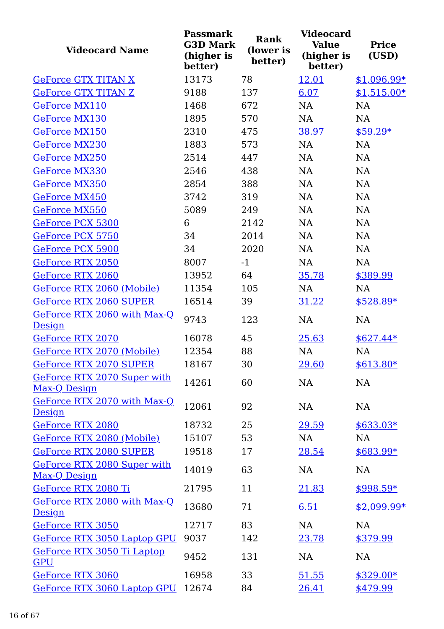| <b>Videocard Name</b>                        | <b>Passmark</b><br><b>G3D Mark</b><br>(higher is<br>better) | <b>Rank</b><br>(lower is<br>better) | <b>Videocard</b><br><b>Value</b><br>(higher is<br>better) | <b>Price</b><br>(USD) |
|----------------------------------------------|-------------------------------------------------------------|-------------------------------------|-----------------------------------------------------------|-----------------------|
| <b>GeForce GTX TITAN X</b>                   | 13173                                                       | 78                                  | 12.01                                                     | $$1,096.99*$          |
| <b>GeForce GTX TITAN Z</b>                   | 9188                                                        | 137                                 | 6.07                                                      | $$1,515.00*$          |
| <b>GeForce MX110</b>                         | 1468                                                        | 672                                 | <b>NA</b>                                                 | <b>NA</b>             |
| <b>GeForce MX130</b>                         | 1895                                                        | 570                                 | NA                                                        | <b>NA</b>             |
| <b>GeForce MX150</b>                         | 2310                                                        | 475                                 | 38.97                                                     | $$59.29*$             |
| <b>GeForce MX230</b>                         | 1883                                                        | 573                                 | <b>NA</b>                                                 | <b>NA</b>             |
| GeForce MX250                                | 2514                                                        | 447                                 | NA                                                        | <b>NA</b>             |
| <b>GeForce MX330</b>                         | 2546                                                        | 438                                 | <b>NA</b>                                                 | NA                    |
| <b>GeForce MX350</b>                         | 2854                                                        | 388                                 | <b>NA</b>                                                 | <b>NA</b>             |
| <b>GeForce MX450</b>                         | 3742                                                        | 319                                 | <b>NA</b>                                                 | <b>NA</b>             |
| GeForce MX550                                | 5089                                                        | 249                                 | <b>NA</b>                                                 | <b>NA</b>             |
| GeForce PCX 5300                             | 6                                                           | 2142                                | <b>NA</b>                                                 | <b>NA</b>             |
| GeForce PCX 5750                             | 34                                                          | 2014                                | <b>NA</b>                                                 | <b>NA</b>             |
| GeForce PCX 5900                             | 34                                                          | 2020                                | <b>NA</b>                                                 | <b>NA</b>             |
| <b>GeForce RTX 2050</b>                      | 8007                                                        | $-1$                                | NA                                                        | <b>NA</b>             |
| <b>GeForce RTX 2060</b>                      | 13952                                                       | 64                                  | 35.78                                                     | \$389.99              |
| GeForce RTX 2060 (Mobile)                    | 11354                                                       | 105                                 | <b>NA</b>                                                 | <b>NA</b>             |
| <b>GeForce RTX 2060 SUPER</b>                | 16514                                                       | 39                                  | 31.22                                                     | $$528.89*$            |
| GeForce RTX 2060 with Max-Q<br>Design        | 9743                                                        | 123                                 | <b>NA</b>                                                 | <b>NA</b>             |
| GeForce RTX 2070                             | 16078                                                       | 45                                  | 25.63                                                     | $$627.44*$            |
| GeForce RTX 2070 (Mobile)                    | 12354                                                       | 88                                  | NA                                                        | NA                    |
| <b>GeForce RTX 2070 SUPER</b>                | 18167                                                       | 30                                  | 29.60                                                     | \$613.80*             |
| GeForce RTX 2070 Super with<br>Max-Q Design  | 14261                                                       | 60                                  | NA                                                        | NA                    |
| GeForce RTX 2070 with Max-Q<br><b>Design</b> | 12061                                                       | 92                                  | NA                                                        | <b>NA</b>             |
| GeForce RTX 2080                             | 18732                                                       | 25                                  | 29.59                                                     | $$633.03*$            |
| GeForce RTX 2080 (Mobile)                    | 15107                                                       | 53                                  | <b>NA</b>                                                 | <b>NA</b>             |
| <b>GeForce RTX 2080 SUPER</b>                | 19518                                                       | 17                                  | 28.54                                                     | $$683.99*$            |
| GeForce RTX 2080 Super with<br>Max-Q Design  | 14019                                                       | 63                                  | <b>NA</b>                                                 | NA                    |
| GeForce RTX 2080 Ti                          | 21795                                                       | 11                                  | 21.83                                                     | $$998.59*$            |
| GeForce RTX 2080 with Max-Q<br>Design        | 13680                                                       | 71                                  | 6.51                                                      | $$2,099.99*$          |
| <b>GeForce RTX 3050</b>                      | 12717                                                       | 83                                  | <b>NA</b>                                                 | <b>NA</b>             |
| GeForce RTX 3050 Laptop GPU                  | 9037                                                        | 142                                 | 23.78                                                     | \$379.99              |
| GeForce RTX 3050 Ti Laptop<br><b>GPU</b>     | 9452                                                        | 131                                 | <b>NA</b>                                                 | <b>NA</b>             |
| GeForce RTX 3060                             | 16958                                                       | 33                                  | 51.55                                                     | $$329.00*$            |
| GeForce RTX 3060 Laptop GPU                  | 12674                                                       | 84                                  | 26.41                                                     | \$479.99              |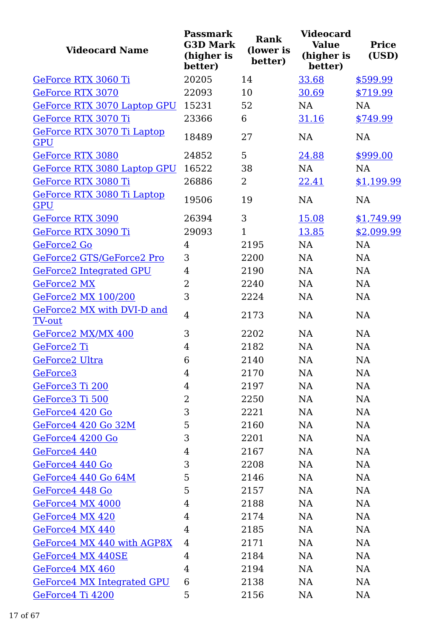| <b>Videocard Name</b>                       | <b>Passmark</b><br><b>G3D Mark</b><br>(higher is<br>better) | <b>Rank</b><br>(lower is<br>better) | <b>Videocard</b><br><b>Value</b><br>(higher is<br>better) | <b>Price</b><br>(USD) |
|---------------------------------------------|-------------------------------------------------------------|-------------------------------------|-----------------------------------------------------------|-----------------------|
| GeForce RTX 3060 Ti                         | 20205                                                       | 14                                  | 33.68                                                     | \$599.99              |
| <b>GeForce RTX 3070</b>                     | 22093                                                       | 10                                  | 30.69                                                     | \$719.99              |
| GeForce RTX 3070 Laptop GPU                 | 15231                                                       | 52                                  | <b>NA</b>                                                 | <b>NA</b>             |
| GeForce RTX 3070 Ti                         | 23366                                                       | 6                                   | 31.16                                                     | \$749.99              |
| GeForce RTX 3070 Ti Laptop<br>GPU           | 18489                                                       | 27                                  | <b>NA</b>                                                 | <b>NA</b>             |
| <b>GeForce RTX 3080</b>                     | 24852                                                       | 5                                   | 24.88                                                     | \$999.00              |
| GeForce RTX 3080 Laptop GPU                 | 16522                                                       | 38                                  | NA                                                        | <b>NA</b>             |
| GeForce RTX 3080 Ti                         | 26886                                                       | $\overline{2}$                      | 22.41                                                     | \$1,199.99            |
| GeForce RTX 3080 Ti Laptop<br><b>GPU</b>    | 19506                                                       | 19                                  | <b>NA</b>                                                 | <b>NA</b>             |
| <b>GeForce RTX 3090</b>                     | 26394                                                       | 3                                   | 15.08                                                     | \$1,749.99            |
| GeForce RTX 3090 Ti                         | 29093                                                       | $\mathbf{1}$                        | 13.85                                                     | \$2,099.99            |
| GeForce2 Go                                 | 4                                                           | 2195                                | <b>NA</b>                                                 | <b>NA</b>             |
| GeForce2 GTS/GeForce2 Pro                   | 3                                                           | 2200                                | <b>NA</b>                                                 | <b>NA</b>             |
| <b>GeForce2 Integrated GPU</b>              | 4                                                           | 2190                                | <b>NA</b>                                                 | <b>NA</b>             |
| <b>GeForce2 MX</b>                          | $\overline{2}$                                              | 2240                                | <b>NA</b>                                                 | <b>NA</b>             |
| <b>GeForce2 MX 100/200</b>                  | 3                                                           | 2224                                | <b>NA</b>                                                 | <b>NA</b>             |
| GeForce2 MX with DVI-D and<br><b>TV-out</b> | 4                                                           | 2173                                | <b>NA</b>                                                 | <b>NA</b>             |
| GeForce2 MX/MX 400                          | 3                                                           | 2202                                | NA                                                        | <b>NA</b>             |
| GeForce2 Ti                                 | 4                                                           | 2182                                | <b>NA</b>                                                 | <b>NA</b>             |
| GeForce2 Ultra                              | 6                                                           | 2140                                | NA                                                        | NA                    |
| GeForce <sub>3</sub>                        | 4                                                           | 2170                                | NA                                                        | NA                    |
| GeForce3 Ti 200                             | 4                                                           | 2197                                | NA                                                        | NA                    |
| GeForce3 Ti 500                             | 2                                                           | 2250                                | <b>NA</b>                                                 | NA                    |
| GeForce4 420 Go                             | 3                                                           | 2221                                | NA                                                        | NA                    |
| GeForce4 420 Go 32M                         | 5                                                           | 2160                                | <b>NA</b>                                                 | <b>NA</b>             |
| GeForce4 4200 Go                            | 3                                                           | 2201                                | <b>NA</b>                                                 | NA                    |
| GeForce4 440                                | 4                                                           | 2167                                | NA                                                        | NA                    |
| GeForce4 440 Go                             | 3                                                           | 2208                                | <b>NA</b>                                                 | NA                    |
| GeForce4 440 Go 64M                         | 5                                                           | 2146                                | <b>NA</b>                                                 | NA                    |
| GeForce4 448 Go                             | 5                                                           | 2157                                | <b>NA</b>                                                 | NA                    |
| GeForce4 MX 4000                            | 4                                                           | 2188                                | <b>NA</b>                                                 | NA                    |
| GeForce4 MX 420                             | 4                                                           | 2174                                | NA                                                        | NA                    |
| GeForce4 MX 440                             | 4                                                           | 2185                                | NA                                                        | NA                    |
| GeForce4 MX 440 with AGP8X                  | 4                                                           | 2171                                | <b>NA</b>                                                 | NA                    |
| GeForce4 MX 440SE                           | 4                                                           | 2184                                | <b>NA</b>                                                 | NA                    |
| GeForce4 MX 460                             | 4                                                           | 2194                                | NA                                                        | NA                    |
| GeForce4 MX Integrated GPU                  | 6                                                           | 2138                                | <b>NA</b>                                                 | <b>NA</b>             |
| GeForce4 Ti 4200                            | 5                                                           | 2156                                | <b>NA</b>                                                 | <b>NA</b>             |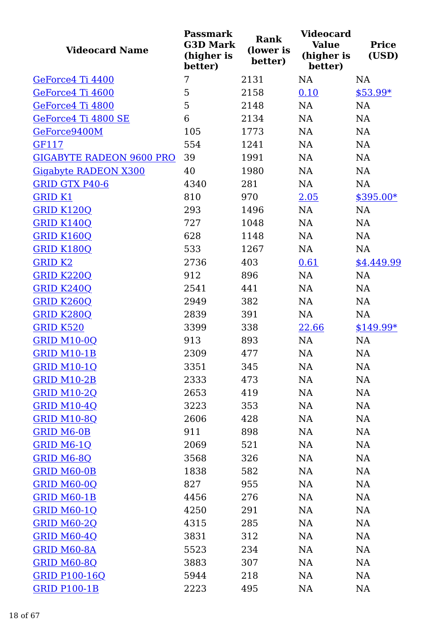| <b>Videocard Name</b>           | <b>Passmark</b><br><b>G3D Mark</b><br>(higher is<br>better) | <b>Rank</b><br>(lower is<br>better) | <b>Videocard</b><br><b>Value</b><br>(higher is<br>better) | <b>Price</b><br>(USD) |
|---------------------------------|-------------------------------------------------------------|-------------------------------------|-----------------------------------------------------------|-----------------------|
| GeForce4 Ti 4400                | 7                                                           | 2131                                | NA                                                        | <b>NA</b>             |
| GeForce4 Ti 4600                | 5                                                           | 2158                                | 0.10                                                      | $$53.99*$             |
| GeForce4 Ti 4800                | 5                                                           | 2148                                | <b>NA</b>                                                 | <b>NA</b>             |
| GeForce4 Ti 4800 SE             | 6                                                           | 2134                                | NA                                                        | NA                    |
| GeForce9400M                    | 105                                                         | 1773                                | <b>NA</b>                                                 | <b>NA</b>             |
| GF117                           | 554                                                         | 1241                                | NA                                                        | NA                    |
| <b>GIGABYTE RADEON 9600 PRO</b> | 39                                                          | 1991                                | NA                                                        | NA                    |
| Gigabyte RADEON X300            | 40                                                          | 1980                                | NA                                                        | NA                    |
| <b>GRID GTX P40-6</b>           | 4340                                                        | 281                                 | NA                                                        | NA                    |
| <b>GRID K1</b>                  | 810                                                         | 970                                 | 2.05                                                      | $$395.00*$            |
| <b>GRID K120Q</b>               | 293                                                         | 1496                                | <b>NA</b>                                                 | NA                    |
| <b>GRID K140Q</b>               | 727                                                         | 1048                                | <b>NA</b>                                                 | NA                    |
| <b>GRID K160Q</b>               | 628                                                         | 1148                                | NA                                                        | NA                    |
| <b>GRID K180Q</b>               | 533                                                         | 1267                                | NA                                                        | NA                    |
| <b>GRID K2</b>                  | 2736                                                        | 403                                 | 0.61                                                      | \$4,449.99            |
| <b>GRID K220Q</b>               | 912                                                         | 896                                 | <b>NA</b>                                                 | NA                    |
| <b>GRID K240Q</b>               | 2541                                                        | 441                                 | NA                                                        | NA                    |
| <b>GRID K260Q</b>               | 2949                                                        | 382                                 | <b>NA</b>                                                 | <b>NA</b>             |
| <b>GRID K280Q</b>               | 2839                                                        | 391                                 | NA                                                        | NA                    |
| <b>GRID K520</b>                | 3399                                                        | 338                                 | 22.66                                                     | $$149.99*$            |
| <b>GRID M10-0Q</b>              | 913                                                         | 893                                 | NA                                                        | NA                    |
| <b>GRID M10-1B</b>              | 2309                                                        | 477                                 | <b>NA</b>                                                 | <b>NA</b>             |
| <b>GRID M10-1Q</b>              | 3351                                                        | 345                                 | NA                                                        | NA                    |
| <b>GRID M10-2B</b>              | 2333                                                        | 473                                 | NA                                                        | NA                    |
| <b>GRID M10-2Q</b>              | 2653                                                        | 419                                 | NA                                                        | NA                    |
| <b>GRID M10-4Q</b>              | 3223                                                        | 353                                 | NA                                                        | NA                    |
| <b>GRID M10-8Q</b>              | 2606                                                        | 428                                 | NA                                                        | NA                    |
| <b>GRID M6-0B</b>               | 911                                                         | 898                                 | NA                                                        | NA                    |
| GRID M6-1Q                      | 2069                                                        | 521                                 | NA                                                        | NA                    |
| GRID M6-8Q                      | 3568                                                        | 326                                 | NA                                                        | NA                    |
| GRID M60-0B                     | 1838                                                        | 582                                 | NA                                                        | <b>NA</b>             |
| <b>GRID M60-0Q</b>              | 827                                                         | 955                                 | NA                                                        | NA                    |
| <b>GRID M60-1B</b>              | 4456                                                        | 276                                 | NA                                                        | <b>NA</b>             |
| <b>GRID M60-1Q</b>              | 4250                                                        | 291                                 | NA                                                        | <b>NA</b>             |
| <b>GRID M60-2Q</b>              | 4315                                                        | 285                                 | NA                                                        | <b>NA</b>             |
| <b>GRID M60-4Q</b>              | 3831                                                        | 312                                 | NA                                                        | NA                    |
| GRID M60-8A                     | 5523                                                        | 234                                 | NA                                                        | <b>NA</b>             |
| <b>GRID M60-8Q</b>              | 3883                                                        | 307                                 | NA                                                        | NA                    |
| <b>GRID P100-16Q</b>            | 5944                                                        | 218                                 | NA                                                        | NA                    |
| <b>GRID P100-1B</b>             | 2223                                                        | 495                                 | NA                                                        | NA                    |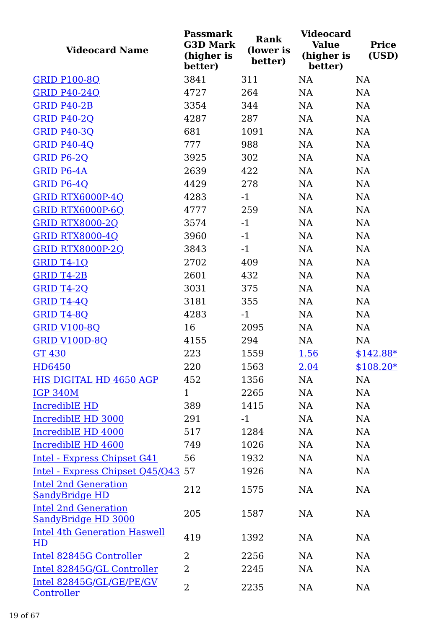| <b>Videocard Name</b>                                | <b>Passmark</b><br><b>G3D Mark</b><br>(higher is<br>better) | Rank<br>(lower is<br>better) | <b>Videocard</b><br><b>Value</b><br>(higher is<br>better) | <b>Price</b><br>(USD) |
|------------------------------------------------------|-------------------------------------------------------------|------------------------------|-----------------------------------------------------------|-----------------------|
| <b>GRID P100-8Q</b>                                  | 3841                                                        | 311                          | <b>NA</b>                                                 | NA                    |
| <b>GRID P40-24Q</b>                                  | 4727                                                        | 264                          | NA                                                        | NA                    |
| <b>GRID P40-2B</b>                                   | 3354                                                        | 344                          | NA                                                        | NA                    |
| <b>GRID P40-2Q</b>                                   | 4287                                                        | 287                          | NA                                                        | NA                    |
| <b>GRID P40-3Q</b>                                   | 681                                                         | 1091                         | NA                                                        | NA                    |
| <b>GRID P40-4Q</b>                                   | 777                                                         | 988                          | NA                                                        | NA                    |
| <b>GRID P6-2Q</b>                                    | 3925                                                        | 302                          | NA                                                        | NA                    |
| <b>GRID P6-4A</b>                                    | 2639                                                        | 422                          | NA                                                        | NA                    |
| GRID P6-4Q                                           | 4429                                                        | 278                          | NA                                                        | NA                    |
| <b>GRID RTX6000P-4Q</b>                              | 4283                                                        | $-1$                         | NA                                                        | NA                    |
| GRID RTX6000P-6Q                                     | 4777                                                        | 259                          | NA                                                        | NA                    |
| <b>GRID RTX8000-2Q</b>                               | 3574                                                        | $-1$                         | NA                                                        | NA                    |
| <b>GRID RTX8000-4Q</b>                               | 3960                                                        | $-1$                         | NA                                                        | NA                    |
| <b>GRID RTX8000P-2Q</b>                              | 3843                                                        | $-1$                         | NA                                                        | NA                    |
| GRID T4-1Q                                           | 2702                                                        | 409                          | NA                                                        | NA                    |
| <b>GRID T4-2B</b>                                    | 2601                                                        | 432                          | <b>NA</b>                                                 | NA                    |
| <b>GRID T4-2Q</b>                                    | 3031                                                        | 375                          | NA                                                        | NA                    |
| GRID T4-4Q                                           | 3181                                                        | 355                          | NA                                                        | NA                    |
| <b>GRID T4-8Q</b>                                    | 4283                                                        | $-1$                         | NA                                                        | NA                    |
| <b>GRID V100-8Q</b>                                  | 16                                                          | 2095                         | NA                                                        | NA                    |
| <b>GRID V100D-8Q</b>                                 | 4155                                                        | 294                          | NA                                                        | NA                    |
| <b>GT 430</b>                                        | 223                                                         | 1559                         | 1.56                                                      | $$142.88*$            |
| HD6450                                               | 220                                                         | 1563                         | <u>2.04</u>                                               | $$108.20*$            |
| HIS DIGITAL HD 4650 AGP                              | 452                                                         | 1356                         | NA                                                        | NA                    |
| <b>IGP 340M</b>                                      | $\mathbf{1}$                                                | 2265                         | NA                                                        | NA                    |
| <b>IncrediblE HD</b>                                 | 389                                                         | 1415                         | NA                                                        | NA                    |
| IncrediblE HD 3000                                   | 291                                                         | $-1$                         | <b>NA</b>                                                 | NA                    |
| IncrediblE HD 4000                                   | 517                                                         | 1284                         | <b>NA</b>                                                 | NA                    |
| IncrediblE HD 4600                                   | 749                                                         | 1026                         | <b>NA</b>                                                 | NA                    |
| Intel - Express Chipset G41                          | 56                                                          | 1932                         | <b>NA</b>                                                 | NA                    |
| Intel - Express Chipset Q45/Q43 57                   |                                                             | 1926                         | NA                                                        | NA                    |
| <b>Intel 2nd Generation</b><br><b>SandyBridge HD</b> | 212                                                         | 1575                         | NA                                                        | NA                    |
| <b>Intel 2nd Generation</b><br>SandyBridge HD 3000   | 205                                                         | 1587                         | NA                                                        | NA                    |
| <b>Intel 4th Generation Haswell</b><br>HD            | 419                                                         | 1392                         | NA                                                        | NA                    |
| Intel 82845G Controller                              | $\overline{2}$                                              | 2256                         | NA                                                        | NA                    |
| Intel 82845G/GL Controller                           | $\overline{2}$                                              | 2245                         | <b>NA</b>                                                 | NA                    |
| Intel 82845G/GL/GE/PE/GV<br>Controller               | $\overline{2}$                                              | 2235                         | NA                                                        | NA                    |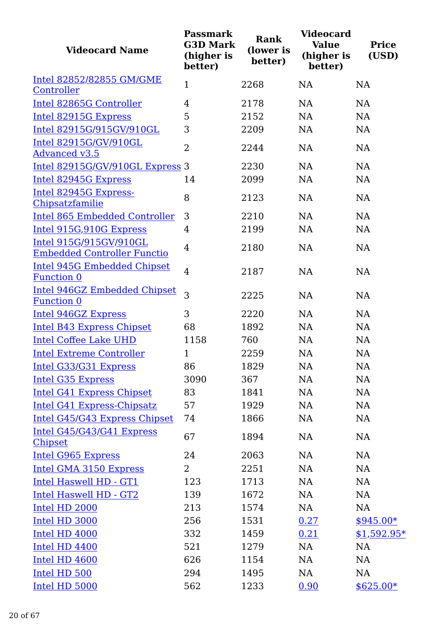| <b>Videocard Name</b>                                        | <b>Passmark</b><br><b>G3D Mark</b><br>(higher is<br>better) | <b>Rank</b><br>(lower is<br>better) | <b>Videocard</b><br><b>Value</b><br>(higher is<br>better) | <b>Price</b><br>(USD) |
|--------------------------------------------------------------|-------------------------------------------------------------|-------------------------------------|-----------------------------------------------------------|-----------------------|
| Intel 82852/82855 GM/GME                                     | $\mathbf{1}$                                                | 2268                                | NA                                                        | NA                    |
| Controller                                                   |                                                             |                                     |                                                           |                       |
| Intel 82865G Controller                                      | 4                                                           | 2178                                | NA                                                        | NA                    |
| Intel 82915G Express                                         | 5                                                           | 2152                                | <b>NA</b>                                                 | <b>NA</b>             |
| Intel 82915G/915GV/910GL                                     | 3                                                           | 2209                                | NA                                                        | <b>NA</b>             |
| Intel 82915G/GV/910GL<br><b>Advanced v3.5</b>                | $\overline{2}$                                              | 2244                                | NA                                                        | <b>NA</b>             |
| Intel 82915G/GV/910GL Express 3                              |                                                             | 2230                                | <b>NA</b>                                                 | <b>NA</b>             |
| Intel 82945G Express                                         | 14                                                          | 2099                                | <b>NA</b>                                                 | <b>NA</b>             |
| Intel 82945G Express-<br>Chipsatzfamilie                     | 8                                                           | 2123                                | <b>NA</b>                                                 | <b>NA</b>             |
| <b>Intel 865 Embedded Controller</b>                         | 3                                                           | 2210                                | NA                                                        | <b>NA</b>             |
| Intel 915G, 910G Express                                     | 4                                                           | 2199                                | NA                                                        | <b>NA</b>             |
| Intel 915G/915GV/910GL<br><b>Embedded Controller Functio</b> | $\overline{4}$                                              | 2180                                | NA                                                        | <b>NA</b>             |
| <b>Intel 945G Embedded Chipset</b><br>Function 0             | $\overline{4}$                                              | 2187                                | <b>NA</b>                                                 | <b>NA</b>             |
| <b>Intel 946GZ Embedded Chipset</b><br><b>Function 0</b>     | 3                                                           | 2225                                | <b>NA</b>                                                 | <b>NA</b>             |
| Intel 946GZ Express                                          | 3                                                           | 2220                                | <b>NA</b>                                                 | <b>NA</b>             |
| Intel B43 Express Chipset                                    | 68                                                          | 1892                                | <b>NA</b>                                                 | <b>NA</b>             |
| <b>Intel Coffee Lake UHD</b>                                 | 1158                                                        | 760                                 | NA                                                        | NA                    |
| <b>Intel Extreme Controller</b>                              | $\mathbf{1}$                                                | 2259                                | <b>NA</b>                                                 | <b>NA</b>             |
| Intel G33/G31 Express                                        | 86                                                          | 1829                                | <b>NA</b>                                                 | NA                    |
| <b>Intel G35 Express</b>                                     | 3090                                                        | 367                                 | NA                                                        | NA                    |
| <b>Intel G41 Express Chipset</b>                             | 83                                                          | 1841                                | NA                                                        | NA                    |
| Intel G41 Express-Chipsatz                                   | 57                                                          | 1929                                | NA                                                        | NA                    |
| Intel G45/G43 Express Chipset                                | 74                                                          | 1866                                | NA                                                        | NA                    |
| Intel G45/G43/G41 Express<br><b>Chipset</b>                  | 67                                                          | 1894                                | NA                                                        | NA                    |
| <b>Intel G965 Express</b>                                    | 24                                                          | 2063                                | <b>NA</b>                                                 | NA                    |
| Intel GMA 3150 Express                                       | $\overline{2}$                                              | 2251                                | NA                                                        | NA                    |
| Intel Haswell HD - GT1                                       | 123                                                         | 1713                                | NA                                                        | NA                    |
| Intel Haswell HD - GT2                                       | 139                                                         | 1672                                | NA                                                        | NA                    |
| Intel HD 2000                                                | 213                                                         | 1574                                | NA                                                        | NA                    |
| Intel HD 3000                                                | 256                                                         | 1531                                | 0.27                                                      | $$945.00*$            |
| Intel HD 4000                                                | 332                                                         | 1459                                | 0.21                                                      | $$1,592.95*$          |
| Intel HD 4400                                                | 521                                                         | 1279                                | NA                                                        | NA                    |
| Intel HD 4600                                                | 626                                                         | 1154                                | NA                                                        | NA                    |
| Intel HD 500                                                 | 294                                                         | 1495                                | NA                                                        | NA                    |
| Intel HD 5000                                                | 562                                                         | 1233                                | 0.90                                                      | $$625.00*$            |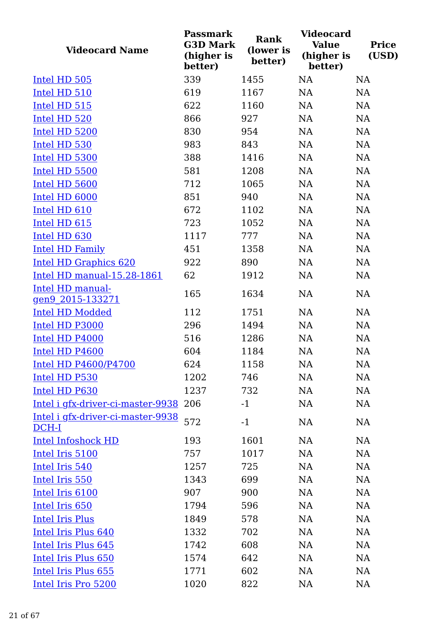| <b>Videocard Name</b>                      | <b>Passmark</b><br><b>G3D Mark</b><br>(higher is<br>better) | Rank<br>(lower is<br>better) | <b>Videocard</b><br><b>Value</b><br>(higher is<br>better) | <b>Price</b><br>(USD) |
|--------------------------------------------|-------------------------------------------------------------|------------------------------|-----------------------------------------------------------|-----------------------|
| Intel HD 505                               | 339                                                         | 1455                         | <b>NA</b>                                                 | NA                    |
| Intel HD 510                               | 619                                                         | 1167                         | NA                                                        | NA                    |
| Intel HD 515                               | 622                                                         | 1160                         | <b>NA</b>                                                 | NA                    |
| Intel HD 520                               | 866                                                         | 927                          | NA                                                        | NA                    |
| Intel HD 5200                              | 830                                                         | 954                          | <b>NA</b>                                                 | NA                    |
| Intel HD 530                               | 983                                                         | 843                          | NA                                                        | NA                    |
| Intel HD 5300                              | 388                                                         | 1416                         | NA                                                        | NA                    |
| Intel HD 5500                              | 581                                                         | 1208                         | <b>NA</b>                                                 | NA                    |
| Intel HD 5600                              | 712                                                         | 1065                         | NA                                                        | NA                    |
| Intel HD 6000                              | 851                                                         | 940                          | <b>NA</b>                                                 | NA                    |
| Intel HD 610                               | 672                                                         | 1102                         | <b>NA</b>                                                 | NA                    |
| Intel HD 615                               | 723                                                         | 1052                         | NA                                                        | <b>NA</b>             |
| Intel HD 630                               | 1117                                                        | 777                          | NA                                                        | NA                    |
| <b>Intel HD Family</b>                     | 451                                                         | 1358                         | <b>NA</b>                                                 | NA                    |
| Intel HD Graphics 620                      | 922                                                         | 890                          | NA                                                        | NA                    |
| Intel HD manual-15.28-1861                 | 62                                                          | 1912                         | NA                                                        | NA                    |
| Intel HD manual-<br>gen9 2015-133271       | 165                                                         | 1634                         | <b>NA</b>                                                 | NA                    |
| <b>Intel HD Modded</b>                     | 112                                                         | 1751                         | NA                                                        | NA                    |
| Intel HD P3000                             | 296                                                         | 1494                         | NA                                                        | NA                    |
| Intel HD P4000                             | 516                                                         | 1286                         | <b>NA</b>                                                 | NA                    |
| Intel HD P4600                             | 604                                                         | 1184                         | NA                                                        | NA                    |
| <b>Intel HD P4600/P4700</b>                | 624                                                         | 1158                         | NA                                                        | NA                    |
| Intel HD P530                              | 1202                                                        | 746                          | <b>NA</b>                                                 | NA                    |
| Intel HD P630                              | 1237                                                        | 732                          | <b>NA</b>                                                 | NA                    |
| Intel i gfx-driver-ci-master-9938 206      |                                                             | $-1$                         | <b>NA</b>                                                 | NA                    |
| Intel i gfx-driver-ci-master-9938<br>DCH-I | 572                                                         | $-1$                         | <b>NA</b>                                                 | NA                    |
| <b>Intel Infoshock HD</b>                  | 193                                                         | 1601                         | <b>NA</b>                                                 | NA                    |
| Intel Iris 5100                            | 757                                                         | 1017                         | <b>NA</b>                                                 | NA                    |
| Intel Iris 540                             | 1257                                                        | 725                          | NA                                                        | NA                    |
| Intel Iris 550                             | 1343                                                        | 699                          | <b>NA</b>                                                 | NA                    |
| Intel Iris 6100                            | 907                                                         | 900                          | <b>NA</b>                                                 | NA                    |
| Intel Iris 650                             | 1794                                                        | 596                          | <b>NA</b>                                                 | NA                    |
| <b>Intel Iris Plus</b>                     | 1849                                                        | 578                          | <b>NA</b>                                                 | NA                    |
| Intel Iris Plus 640                        | 1332                                                        | 702                          | <b>NA</b>                                                 | NA                    |
| Intel Iris Plus 645                        | 1742                                                        | 608                          | <b>NA</b>                                                 | NA                    |
| Intel Iris Plus 650                        | 1574                                                        | 642                          | <b>NA</b>                                                 | NA                    |
| Intel Iris Plus 655                        | 1771                                                        | 602                          | NA                                                        | NA                    |
| Intel Iris Pro 5200                        | 1020                                                        | 822                          | <b>NA</b>                                                 | NA                    |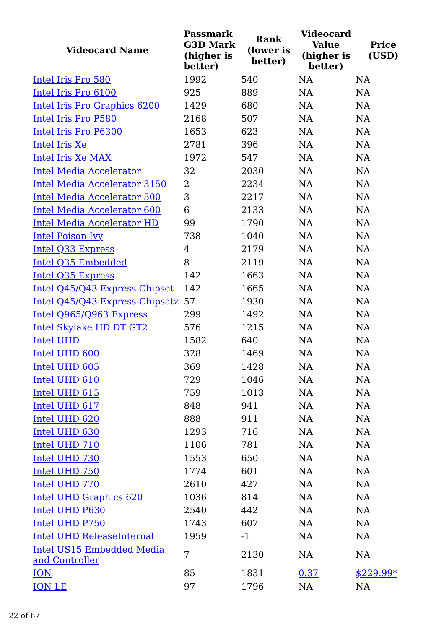| <b>Videocard Name</b>                              | <b>Passmark</b><br><b>G3D Mark</b><br>(higher is<br>better) | <b>Rank</b><br>(lower is<br>better) | <b>Videocard</b><br><b>Value</b><br>(higher is<br>better) | <b>Price</b><br>(USD) |
|----------------------------------------------------|-------------------------------------------------------------|-------------------------------------|-----------------------------------------------------------|-----------------------|
| Intel Iris Pro 580                                 | 1992                                                        | 540                                 | <b>NA</b>                                                 | <b>NA</b>             |
| Intel Iris Pro 6100                                | 925                                                         | 889                                 | <b>NA</b>                                                 | <b>NA</b>             |
| Intel Iris Pro Graphics 6200                       | 1429                                                        | 680                                 | <b>NA</b>                                                 | <b>NA</b>             |
| Intel Iris Pro P580                                | 2168                                                        | 507                                 | <b>NA</b>                                                 | <b>NA</b>             |
| Intel Iris Pro P6300                               | 1653                                                        | 623                                 | <b>NA</b>                                                 | NA                    |
| Intel Iris Xe                                      | 2781                                                        | 396                                 | <b>NA</b>                                                 | NA                    |
| Intel Iris Xe MAX                                  | 1972                                                        | 547                                 | <b>NA</b>                                                 | <b>NA</b>             |
| <b>Intel Media Accelerator</b>                     | 32                                                          | 2030                                | <b>NA</b>                                                 | NA                    |
| <b>Intel Media Accelerator 3150</b>                | $\overline{2}$                                              | 2234                                | <b>NA</b>                                                 | NA                    |
| <b>Intel Media Accelerator 500</b>                 | 3                                                           | 2217                                | <b>NA</b>                                                 | NA                    |
| <b>Intel Media Accelerator 600</b>                 | 6                                                           | 2133                                | <b>NA</b>                                                 | <b>NA</b>             |
| <b>Intel Media Accelerator HD</b>                  | 99                                                          | 1790                                | <b>NA</b>                                                 | <b>NA</b>             |
| <b>Intel Poison Ivy</b>                            | 738                                                         | 1040                                | <b>NA</b>                                                 | <b>NA</b>             |
| <b>Intel Q33 Express</b>                           | $\overline{4}$                                              | 2179                                | <b>NA</b>                                                 | <b>NA</b>             |
| Intel Q35 Embedded                                 | 8                                                           | 2119                                | <b>NA</b>                                                 | <b>NA</b>             |
| Intel Q35 Express                                  | 142                                                         | 1663                                | <b>NA</b>                                                 | <b>NA</b>             |
| Intel Q45/Q43 Express Chipset                      | 142                                                         | 1665                                | <b>NA</b>                                                 | NA                    |
| Intel Q45/Q43 Express-Chipsatz                     | 57                                                          | 1930                                | <b>NA</b>                                                 | NA                    |
| Intel Q965/Q963 Express                            | 299                                                         | 1492                                | <b>NA</b>                                                 | NA                    |
| Intel Skylake HD DT GT2                            | 576                                                         | 1215                                | <b>NA</b>                                                 | NA                    |
| <b>Intel UHD</b>                                   | 1582                                                        | 640                                 | <b>NA</b>                                                 | NA                    |
| Intel UHD 600                                      | 328                                                         | 1469                                | NA                                                        | NA                    |
| Intel UHD 605                                      | 369                                                         | 1428                                | NA                                                        | NA                    |
| Intel UHD 610                                      | 729                                                         | 1046                                | NA                                                        | NA                    |
| Intel UHD 615                                      | 759                                                         | 1013                                | NA                                                        | NA                    |
| Intel UHD 617                                      | 848                                                         | 941                                 | <b>NA</b>                                                 | NA                    |
| Intel UHD 620                                      | 888                                                         | 911                                 | <b>NA</b>                                                 | NA                    |
| Intel UHD 630                                      | 1293                                                        | 716                                 | NA                                                        | NA                    |
| Intel UHD 710                                      | 1106                                                        | 781                                 | NA                                                        | NA                    |
| Intel UHD 730                                      | 1553                                                        | 650                                 | <b>NA</b>                                                 | NA                    |
| Intel UHD 750                                      | 1774                                                        | 601                                 | <b>NA</b>                                                 | NA                    |
| Intel UHD 770                                      | 2610                                                        | 427                                 | <b>NA</b>                                                 | NA                    |
| Intel UHD Graphics 620                             | 1036                                                        | 814                                 | <b>NA</b>                                                 | NA                    |
| Intel UHD P630                                     | 2540                                                        | 442                                 | NA                                                        | NA                    |
| Intel UHD P750                                     | 1743                                                        | 607                                 | <b>NA</b>                                                 | NA                    |
| <b>Intel UHD ReleaseInternal</b>                   | 1959                                                        | $-1$                                | NA                                                        | NA                    |
| <b>Intel US15 Embedded Media</b><br>and Controller | 7                                                           | 2130                                | NA                                                        | NA                    |
| <b>ION</b>                                         | 85                                                          | 1831                                | 0.37                                                      | $$229.99*$            |
| <b>ION LE</b>                                      | 97                                                          | 1796                                | NA                                                        | NA                    |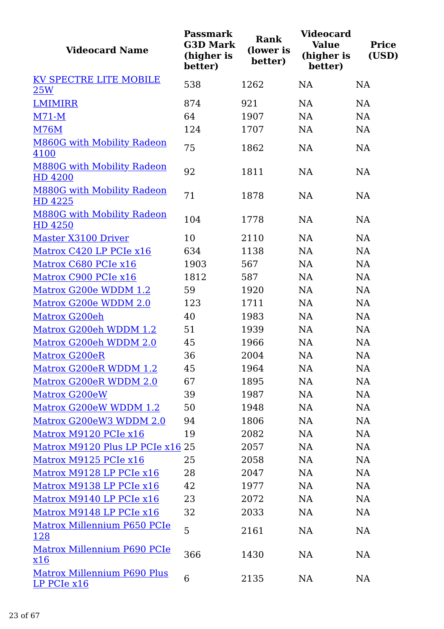| <b>Videocard Name</b>                                  | <b>Passmark</b><br><b>G3D Mark</b><br>(higher is<br>better) | <b>Rank</b><br>(lower is<br>better) | <b>Videocard</b><br><b>Value</b><br>(higher is<br>better) | <b>Price</b><br>(USD) |
|--------------------------------------------------------|-------------------------------------------------------------|-------------------------------------|-----------------------------------------------------------|-----------------------|
| KV SPECTRE LITE MOBILE                                 | 538                                                         | 1262                                | <b>NA</b>                                                 | <b>NA</b>             |
| 25W                                                    |                                                             |                                     |                                                           |                       |
| <b>LMIMIRR</b>                                         | 874                                                         | 921                                 | <b>NA</b>                                                 | NA                    |
| $M71-M$                                                | 64                                                          | 1907                                | <b>NA</b>                                                 | <b>NA</b>             |
| <b>M76M</b>                                            | 124                                                         | 1707                                | <b>NA</b>                                                 | <b>NA</b>             |
| <b>M860G with Mobility Radeon</b><br>4100              | 75                                                          | 1862                                | <b>NA</b>                                                 | NA                    |
| <b>M880G with Mobility Radeon</b><br>HD 4200           | 92                                                          | 1811                                | <b>NA</b>                                                 | <b>NA</b>             |
| <b>M880G with Mobility Radeon</b><br>HD 4225           | 71                                                          | 1878                                | <b>NA</b>                                                 | <b>NA</b>             |
| <b>M880G with Mobility Radeon</b><br>HD 4250           | 104                                                         | 1778                                | <b>NA</b>                                                 | <b>NA</b>             |
| Master X3100 Driver                                    | 10                                                          | 2110                                | NA                                                        | <b>NA</b>             |
| Matrox C420 LP PCIe x16                                | 634                                                         | 1138                                | <b>NA</b>                                                 | NA                    |
| Matrox C680 PCIe x16                                   | 1903                                                        | 567                                 | <b>NA</b>                                                 | <b>NA</b>             |
| Matrox C900 PCIe x16                                   | 1812                                                        | 587                                 | <b>NA</b>                                                 | <b>NA</b>             |
| Matrox G200e WDDM 1.2                                  | 59                                                          | 1920                                | <b>NA</b>                                                 | <b>NA</b>             |
| Matrox G200e WDDM 2.0                                  | 123                                                         | 1711                                | <b>NA</b>                                                 | NA                    |
| Matrox G200eh                                          | 40                                                          | 1983                                | <b>NA</b>                                                 | NA                    |
| Matrox G200eh WDDM 1.2                                 | 51                                                          | 1939                                | <b>NA</b>                                                 | <b>NA</b>             |
| Matrox G200eh WDDM 2.0                                 | 45                                                          | 1966                                | <b>NA</b>                                                 | NA                    |
| <b>Matrox G200eR</b>                                   | 36                                                          | 2004                                | <b>NA</b>                                                 | <b>NA</b>             |
| Matrox G200eR WDDM 1.2                                 | 45                                                          | 1964                                | NA                                                        | NA                    |
| Matrox G200eR WDDM 2.0                                 | 67                                                          | 1895                                | NA                                                        | NA                    |
| Matrox G200eW                                          | 39                                                          | 1987                                | NA                                                        | NA                    |
| Matrox G200eW WDDM 1.2                                 | 50                                                          | 1948                                | <b>NA</b>                                                 | NA                    |
| Matrox G200eW3 WDDM 2.0                                | 94                                                          | 1806                                | <b>NA</b>                                                 | NA                    |
| Matrox M9120 PCIe x16                                  | 19                                                          | 2082                                | <b>NA</b>                                                 | NA                    |
| Matrox M9120 Plus LP PCIe x16 25                       |                                                             | 2057                                | <b>NA</b>                                                 | NA                    |
| Matrox M9125 PCIe x16                                  | 25                                                          | 2058                                | <b>NA</b>                                                 | NA                    |
| Matrox M9128 LP PCIe x16                               | 28                                                          | 2047                                | <b>NA</b>                                                 | NA                    |
| Matrox M9138 LP PCIe x16                               | 42                                                          | 1977                                | <b>NA</b>                                                 | NA                    |
| Matrox M9140 LP PCIe x16                               | 23                                                          | 2072                                | <b>NA</b>                                                 | NA                    |
| Matrox M9148 LP PCIe x16                               | 32                                                          | 2033                                | <b>NA</b>                                                 | NA                    |
| Matrox Millennium P650 PCIe<br><u>128</u>              | 5                                                           | 2161                                | NA                                                        | NA                    |
| Matrox Millennium P690 PCIe<br>$\frac{\textbf{x}16}{}$ | 366                                                         | 1430                                | <b>NA</b>                                                 | NA                    |
| <b>Matrox Millennium P690 Plus</b><br>LP PCIe x16      | 6                                                           | 2135                                | NA                                                        | NA                    |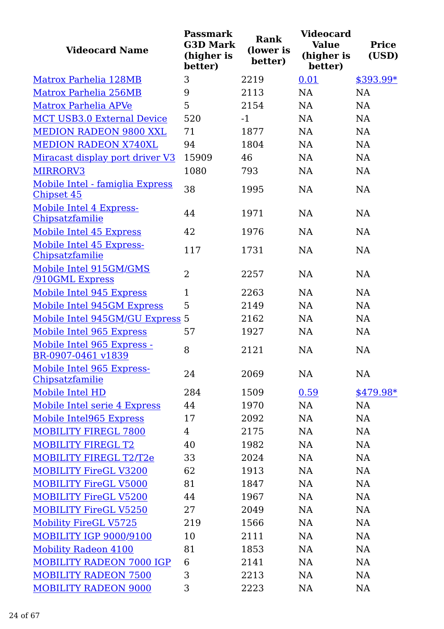| <b>Videocard Name</b>                            | <b>Passmark</b><br><b>G3D Mark</b><br>(higher is<br>better) | Rank<br>(lower is<br>better) | <b>Videocard</b><br><b>Value</b><br>(higher is<br>better) | <b>Price</b><br>(USD) |
|--------------------------------------------------|-------------------------------------------------------------|------------------------------|-----------------------------------------------------------|-----------------------|
| Matrox Parhelia 128MB                            | 3                                                           | 2219                         | 0.01                                                      | \$393.99*             |
| Matrox Parhelia 256MB                            | 9                                                           | 2113                         | <b>NA</b>                                                 | <b>NA</b>             |
| Matrox Parhelia APVe                             | 5                                                           | 2154                         | NA                                                        | <b>NA</b>             |
| <b>MCT USB3.0 External Device</b>                | 520                                                         | $-1$                         | NA                                                        | <b>NA</b>             |
| <b>MEDION RADEON 9800 XXL</b>                    | 71                                                          | 1877                         | NA                                                        | <b>NA</b>             |
| <b>MEDION RADEON X740XL</b>                      | 94                                                          | 1804                         | <b>NA</b>                                                 | <b>NA</b>             |
| Miracast display port driver V3                  | 15909                                                       | 46                           | NA                                                        | <b>NA</b>             |
| MIRRORV3                                         | 1080                                                        | 793                          | <b>NA</b>                                                 | <b>NA</b>             |
| Mobile Intel - famiglia Express<br>Chipset 45    | 38                                                          | 1995                         | <b>NA</b>                                                 | NA                    |
| Mobile Intel 4 Express-<br>Chipsatzfamilie       | 44                                                          | 1971                         | NA                                                        | <b>NA</b>             |
| Mobile Intel 45 Express                          | 42                                                          | 1976                         | <b>NA</b>                                                 | <b>NA</b>             |
| Mobile Intel 45 Express-<br>Chipsatzfamilie      | 117                                                         | 1731                         | <b>NA</b>                                                 | <b>NA</b>             |
| Mobile Intel 915GM/GMS<br><b>/910GML Express</b> | $\overline{2}$                                              | 2257                         | <b>NA</b>                                                 | <b>NA</b>             |
| Mobile Intel 945 Express                         | 1                                                           | 2263                         | NA                                                        | <b>NA</b>             |
| Mobile Intel 945GM Express                       | 5                                                           | 2149                         | <b>NA</b>                                                 | <b>NA</b>             |
| Mobile Intel 945GM/GU Express 5                  |                                                             | 2162                         | NA                                                        | <b>NA</b>             |
| Mobile Intel 965 Express                         | 57                                                          | 1927                         | <b>NA</b>                                                 | NA                    |
| Mobile Intel 965 Express -<br>BR-0907-0461 v1839 | 8                                                           | 2121                         | <b>NA</b>                                                 | <b>NA</b>             |
| Mobile Intel 965 Express-<br>Chipsatzfamilie     | 24                                                          | 2069                         | NA                                                        | NA                    |
| Mobile Intel HD                                  | 284                                                         | 1509                         | 0.59                                                      | $$479.98*$            |
| Mobile Intel serie 4 Express                     | 44                                                          | 1970                         | <b>NA</b>                                                 | NA                    |
| Mobile Intel965 Express                          | 17                                                          | 2092                         | <b>NA</b>                                                 | NA                    |
| MOBILITY FIREGL 7800                             | 4                                                           | 2175                         | NA                                                        | NA                    |
| <b>MOBILITY FIREGL T2</b>                        | 40                                                          | 1982                         | NA                                                        | NA                    |
| MOBILITY FIREGL T2/T2e                           | 33                                                          | 2024                         | NA                                                        | NA                    |
| <b>MOBILITY FireGL V3200</b>                     | 62                                                          | 1913                         | NA                                                        | NA                    |
| <b>MOBILITY FireGL V5000</b>                     | 81                                                          | 1847                         | <b>NA</b>                                                 | NA                    |
| <b>MOBILITY FireGL V5200</b>                     | 44                                                          | 1967                         | <b>NA</b>                                                 | NA                    |
| <b>MOBILITY FireGL V5250</b>                     | 27                                                          | 2049                         | NA                                                        | NA                    |
| <b>Mobility FireGL V5725</b>                     | 219                                                         | 1566                         | NA                                                        | NA                    |
| <b>MOBILITY IGP 9000/9100</b>                    | 10                                                          | 2111                         | NA                                                        | NA                    |
| <b>Mobility Radeon 4100</b>                      | 81                                                          | 1853                         | NA                                                        | NA                    |
| <b>MOBILITY RADEON 7000 IGP</b>                  | 6                                                           | 2141                         | NA                                                        | NA                    |
| <b>MOBILITY RADEON 7500</b>                      | 3                                                           | 2213                         | <b>NA</b>                                                 | NA                    |
| <b>MOBILITY RADEON 9000</b>                      | 3                                                           | 2223                         | NA                                                        | NA                    |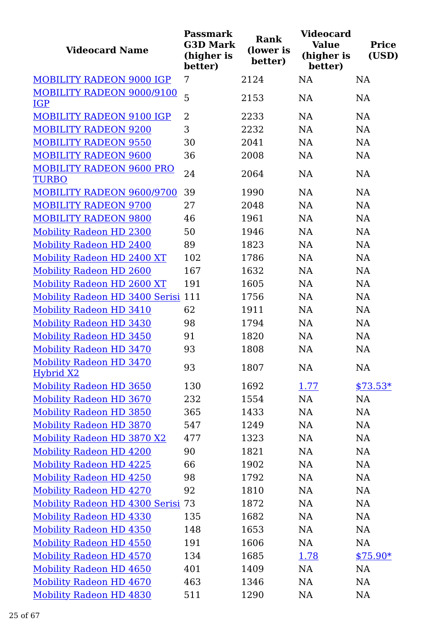| <b>Videocard Name</b>                       | <b>Passmark</b><br><b>G3D Mark</b><br>(higher is<br>better) | <b>Rank</b><br>(lower is<br>better) | <b>Videocard</b><br><b>Value</b><br>(higher is<br>better) | <b>Price</b><br>(USD) |
|---------------------------------------------|-------------------------------------------------------------|-------------------------------------|-----------------------------------------------------------|-----------------------|
| <b>MOBILITY RADEON 9000 IGP</b>             | 7                                                           | 2124                                | <b>NA</b>                                                 | NA                    |
| MOBILITY RADEON 9000/9100<br><b>IGP</b>     | 5                                                           | 2153                                | <b>NA</b>                                                 | NA                    |
| <b>MOBILITY RADEON 9100 IGP</b>             | 2                                                           | 2233                                | NA                                                        | NA                    |
| <b>MOBILITY RADEON 9200</b>                 | 3                                                           | 2232                                | <b>NA</b>                                                 | NA                    |
| <b>MOBILITY RADEON 9550</b>                 | 30                                                          | 2041                                | <b>NA</b>                                                 | NA                    |
| <b>MOBILITY RADEON 9600</b>                 | 36                                                          | 2008                                | <b>NA</b>                                                 | NA                    |
| <b>MOBILITY RADEON 9600 PRO</b>             |                                                             |                                     |                                                           |                       |
| <b>TURBO</b>                                | 24                                                          | 2064                                | <b>NA</b>                                                 | NA                    |
| MOBILITY RADEON 9600/9700                   | 39                                                          | 1990                                | <b>NA</b>                                                 | NA                    |
| <b>MOBILITY RADEON 9700</b>                 | 27                                                          | 2048                                | NA                                                        | NA                    |
| <b>MOBILITY RADEON 9800</b>                 | 46                                                          | 1961                                | <b>NA</b>                                                 | NA                    |
| <b>Mobility Radeon HD 2300</b>              | 50                                                          | 1946                                | NA                                                        | NA                    |
| Mobility Radeon HD 2400                     | 89                                                          | 1823                                | <b>NA</b>                                                 | <b>NA</b>             |
| <b>Mobility Radeon HD 2400 XT</b>           | 102                                                         | 1786                                | <b>NA</b>                                                 | NA                    |
| <b>Mobility Radeon HD 2600</b>              | 167                                                         | 1632                                | NA                                                        | NA                    |
| Mobility Radeon HD 2600 XT                  | 191                                                         | 1605                                | <b>NA</b>                                                 | <b>NA</b>             |
| Mobility Radeon HD 3400 Serisi 111          |                                                             | 1756                                | <b>NA</b>                                                 | NA                    |
| Mobility Radeon HD 3410                     | 62                                                          | 1911                                | <b>NA</b>                                                 | NA                    |
| <b>Mobility Radeon HD 3430</b>              | 98                                                          | 1794                                | NA                                                        | NA                    |
| <b>Mobility Radeon HD 3450</b>              | 91                                                          | 1820                                | <b>NA</b>                                                 | <b>NA</b>             |
| Mobility Radeon HD 3470                     | 93                                                          | 1808                                | NA                                                        | NA                    |
| <b>Mobility Radeon HD 3470</b><br>Hybrid X2 | 93                                                          | 1807                                | NA                                                        | NA                    |
| <b>Mobility Radeon HD 3650</b>              | 130                                                         | 1692                                | <u>1.77</u>                                               | $$73.53*$             |
| <b>Mobility Radeon HD 3670</b>              | 232                                                         | 1554                                | NA                                                        | NA                    |
| <b>Mobility Radeon HD 3850</b>              | 365                                                         | 1433                                | NA                                                        | NA                    |
| Mobility Radeon HD 3870                     | 547                                                         | 1249                                | <b>NA</b>                                                 | NA                    |
| Mobility Radeon HD 3870 X2                  | 477                                                         | 1323                                | NA                                                        | NA                    |
| <b>Mobility Radeon HD 4200</b>              | 90                                                          | 1821                                | NA                                                        | NA                    |
| <b>Mobility Radeon HD 4225</b>              | 66                                                          | 1902                                | <b>NA</b>                                                 | NA                    |
| <b>Mobility Radeon HD 4250</b>              | 98                                                          | 1792                                | NA                                                        | NA                    |
| <b>Mobility Radeon HD 4270</b>              | 92                                                          | 1810                                | NA                                                        | NA                    |
| Mobility Radeon HD 4300 Serisi 73           |                                                             | 1872                                | <b>NA</b>                                                 | NA                    |
| <b>Mobility Radeon HD 4330</b>              | 135                                                         | 1682                                | NA                                                        | NA                    |
| <b>Mobility Radeon HD 4350</b>              | 148                                                         | 1653                                | NA                                                        | NA                    |
| <b>Mobility Radeon HD 4550</b>              | 191                                                         | 1606                                | <b>NA</b>                                                 | NA                    |
| <b>Mobility Radeon HD 4570</b>              | 134                                                         | 1685                                | 1.78                                                      | $$75.90*$             |
| <b>Mobility Radeon HD 4650</b>              | 401                                                         | 1409                                | NA                                                        | NA                    |
| Mobility Radeon HD 4670                     | 463                                                         | 1346                                | <b>NA</b>                                                 | NA                    |
| <b>Mobility Radeon HD 4830</b>              | 511                                                         | 1290                                | NA                                                        | NA                    |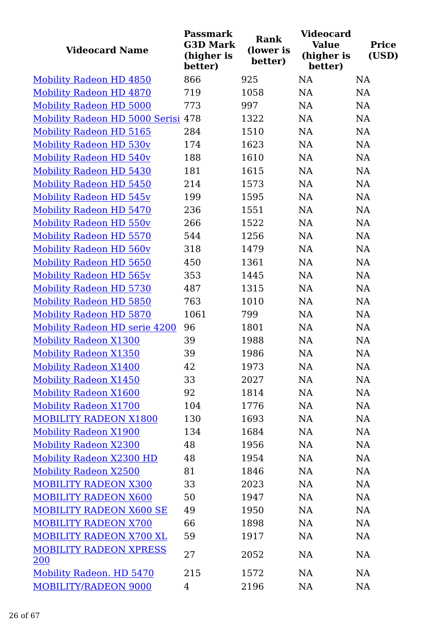| <b>Videocard Name</b>                | <b>Passmark</b><br><b>G3D Mark</b><br>(higher is<br>better) | <b>Rank</b><br>(lower is<br>better) | <b>Videocard</b><br><b>Value</b><br>(higher is<br>better) | <b>Price</b><br>(USD) |
|--------------------------------------|-------------------------------------------------------------|-------------------------------------|-----------------------------------------------------------|-----------------------|
| Mobility Radeon HD 4850              | 866                                                         | 925                                 | <b>NA</b>                                                 | NA                    |
| <b>Mobility Radeon HD 4870</b>       | 719                                                         | 1058                                | <b>NA</b>                                                 | NA                    |
| <b>Mobility Radeon HD 5000</b>       | 773                                                         | 997                                 | NA                                                        | NA                    |
| Mobility Radeon HD 5000 Serisi 478   |                                                             | 1322                                | NA                                                        | NA                    |
| Mobility Radeon HD 5165              | 284                                                         | 1510                                | <b>NA</b>                                                 | NA                    |
| <b>Mobility Radeon HD 530v</b>       | 174                                                         | 1623                                | <b>NA</b>                                                 | NA                    |
| <b>Mobility Radeon HD 540v</b>       | 188                                                         | 1610                                | NA                                                        | NA                    |
| <b>Mobility Radeon HD 5430</b>       | 181                                                         | 1615                                | NA                                                        | NA                    |
| <b>Mobility Radeon HD 5450</b>       | 214                                                         | 1573                                | NA                                                        | NA                    |
| <b>Mobility Radeon HD 545v</b>       | 199                                                         | 1595                                | <b>NA</b>                                                 | NA                    |
| Mobility Radeon HD 5470              | 236                                                         | 1551                                | <b>NA</b>                                                 | NA                    |
| <b>Mobility Radeon HD 550v</b>       | 266                                                         | 1522                                | <b>NA</b>                                                 | <b>NA</b>             |
| Mobility Radeon HD 5570              | 544                                                         | 1256                                | NA                                                        | NA                    |
| Mobility Radeon HD 560v              | 318                                                         | 1479                                | NA                                                        | NA                    |
| <b>Mobility Radeon HD 5650</b>       | 450                                                         | 1361                                | NA                                                        | NA                    |
| <b>Mobility Radeon HD 565v</b>       | 353                                                         | 1445                                | <b>NA</b>                                                 | NA                    |
| <b>Mobility Radeon HD 5730</b>       | 487                                                         | 1315                                | <b>NA</b>                                                 | NA                    |
| <b>Mobility Radeon HD 5850</b>       | 763                                                         | 1010                                | <b>NA</b>                                                 | NA                    |
| Mobility Radeon HD 5870              | 1061                                                        | 799                                 | <b>NA</b>                                                 | NA                    |
| <b>Mobility Radeon HD serie 4200</b> | 96                                                          | 1801                                | NA                                                        | NA                    |
| <b>Mobility Radeon X1300</b>         | 39                                                          | 1988                                | <b>NA</b>                                                 | NA                    |
| <b>Mobility Radeon X1350</b>         | 39                                                          | 1986                                | NA                                                        | NA                    |
| <b>Mobility Radeon X1400</b>         | 42                                                          | 1973                                | NA                                                        | NA                    |
| <b>Mobility Radeon X1450</b>         | 33                                                          | 2027                                | NA                                                        | NA                    |
| <b>Mobility Radeon X1600</b>         | 92                                                          | 1814                                | <b>NA</b>                                                 | NA                    |
| <b>Mobility Radeon X1700</b>         | 104                                                         | 1776                                | <b>NA</b>                                                 | NA                    |
| <b>MOBILITY RADEON X1800</b>         | 130                                                         | 1693                                | NA                                                        | NA                    |
| Mobility Radeon X1900                | 134                                                         | 1684                                | <b>NA</b>                                                 | NA                    |
| <b>Mobility Radeon X2300</b>         | 48                                                          | 1956                                | <b>NA</b>                                                 | NA                    |
| <b>Mobility Radeon X2300 HD</b>      | 48                                                          | 1954                                | NA                                                        | NA                    |
| <b>Mobility Radeon X2500</b>         | 81                                                          | 1846                                | <b>NA</b>                                                 | NA                    |
| <b>MOBILITY RADEON X300</b>          | 33                                                          | 2023                                | <b>NA</b>                                                 | NA                    |
| <b>MOBILITY RADEON X600</b>          | 50                                                          | 1947                                | <b>NA</b>                                                 | NA                    |
| <b>MOBILITY RADEON X600 SE</b>       | 49                                                          | 1950                                | <b>NA</b>                                                 | NA                    |
| <b>MOBILITY RADEON X700</b>          | 66                                                          | 1898                                | <b>NA</b>                                                 | <b>NA</b>             |
| MOBILITY RADEON X700 XL              | 59                                                          | 1917                                | <b>NA</b>                                                 | NA                    |
| <b>MOBILITY RADEON XPRESS</b><br>200 | 27                                                          | 2052                                | <b>NA</b>                                                 | NA                    |
| Mobility Radeon. HD 5470             | 215                                                         | 1572                                | <b>NA</b>                                                 | NA                    |
| <b>MOBILITY/RADEON 9000</b>          | 4                                                           | 2196                                | <b>NA</b>                                                 | NA                    |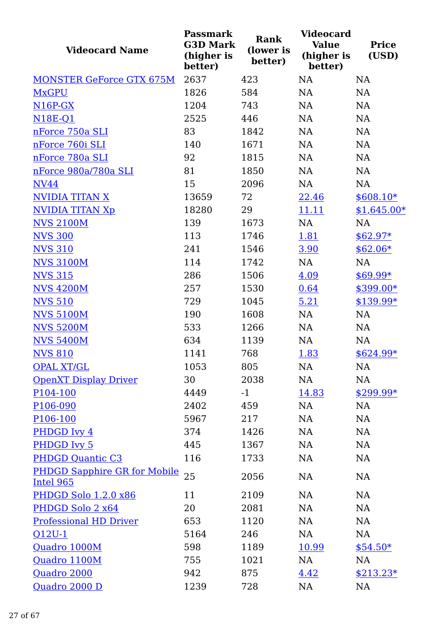| <b>Videocard Name</b>                     | <b>Passmark</b><br><b>G3D Mark</b><br>(higher is<br>better) | Rank<br>(lower is<br>better) | <b>Videocard</b><br><b>Value</b><br>(higher is<br>better) | <b>Price</b><br>(USD) |
|-------------------------------------------|-------------------------------------------------------------|------------------------------|-----------------------------------------------------------|-----------------------|
| <b>MONSTER GeForce GTX 675M</b>           | 2637                                                        | 423                          | <b>NA</b>                                                 | <b>NA</b>             |
| <b>MxGPU</b>                              | 1826                                                        | 584                          | NA                                                        | NA                    |
| $N16P-GX$                                 | 1204                                                        | 743                          | <b>NA</b>                                                 | NA                    |
| <b>N18E-Q1</b>                            | 2525                                                        | 446                          | <b>NA</b>                                                 | NA                    |
| nForce 750a SLI                           | 83                                                          | 1842                         | <b>NA</b>                                                 | <b>NA</b>             |
| nForce 760i SLI                           | 140                                                         | 1671                         | <b>NA</b>                                                 | NA                    |
| nForce 780a SLI                           | 92                                                          | 1815                         | NA                                                        | NA                    |
| nForce 980a/780a SLI                      | 81                                                          | 1850                         | NA                                                        | NA                    |
| <b>NV44</b>                               | 15                                                          | 2096                         | NA                                                        | NA                    |
| <b>NVIDIA TITAN X</b>                     | 13659                                                       | 72                           | 22.46                                                     | $$608.10*$            |
| <b>NVIDIA TITAN Xp</b>                    | 18280                                                       | 29                           | 11.11                                                     | $$1,645.00*$          |
| <b>NVS 2100M</b>                          | 139                                                         | 1673                         | NA                                                        | NA                    |
| <b>NVS 300</b>                            | 113                                                         | 1746                         | 1.81                                                      | $$62.97*$             |
| <b>NVS 310</b>                            | 241                                                         | 1546                         | 3.90                                                      | $$62.06*$             |
| <b>NVS 3100M</b>                          | 114                                                         | 1742                         | NA                                                        | NA                    |
| <b>NVS 315</b>                            | 286                                                         | 1506                         | 4.09                                                      | $$69.99*$             |
| <b>NVS 4200M</b>                          | 257                                                         | 1530                         | 0.64                                                      | \$399.00*             |
| <b>NVS 510</b>                            | 729                                                         | 1045                         | 5.21                                                      | $$139.99*$            |
| <b>NVS 5100M</b>                          | 190                                                         | 1608                         | NA                                                        | NA                    |
| <b>NVS 5200M</b>                          | 533                                                         | 1266                         | NA                                                        | NA                    |
| <b>NVS 5400M</b>                          | 634                                                         | 1139                         | NA                                                        | <b>NA</b>             |
| <b>NVS 810</b>                            | 1141                                                        | 768                          | 1.83                                                      | $$624.99*$            |
| <b>OPAL XT/GL</b>                         | 1053                                                        | 805                          | NA                                                        | NA                    |
| <b>OpenXT Display Driver</b>              | 30                                                          | 2038                         | NA                                                        | NA                    |
| P104-100                                  | 4449                                                        | $-1$                         | 14.83                                                     | $$299.99*$            |
| P <sub>106</sub> -090                     | 2402                                                        | 459                          | NA                                                        | <b>NA</b>             |
| P106-100                                  | 5967                                                        | 217                          | NA                                                        | NA                    |
| PHDGD Ivy 4                               | 374                                                         | 1426                         | NA                                                        | NA                    |
| PHDGD Ivy 5                               | 445                                                         | 1367                         | NA                                                        | NA                    |
| PHDGD Quantic C3                          | 116                                                         | 1733                         | NA                                                        | NA                    |
| PHDGD Sapphire GR for Mobile<br>Intel 965 | 25                                                          | 2056                         | NA                                                        | <b>NA</b>             |
| <b>PHDGD Solo 1.2.0 x86</b>               | 11                                                          | 2109                         | NA                                                        | <b>NA</b>             |
| PHDGD Solo 2 x64                          | 20                                                          | 2081                         | NA                                                        | NA                    |
| <b>Professional HD Driver</b>             | 653                                                         | 1120                         | NA                                                        | NA                    |
| $Q12U-1$                                  | 5164                                                        | 246                          | NA                                                        | NA                    |
| Quadro 1000M                              | 598                                                         | 1189                         | 10.99                                                     | $$54.50*$             |
| Quadro 1100M                              | 755                                                         | 1021                         | NA                                                        | <b>NA</b>             |
| Quadro 2000                               | 942                                                         | 875                          | 4.42                                                      | $$213.23*$            |
| Quadro 2000 D                             | 1239                                                        | 728                          | NA                                                        | NA                    |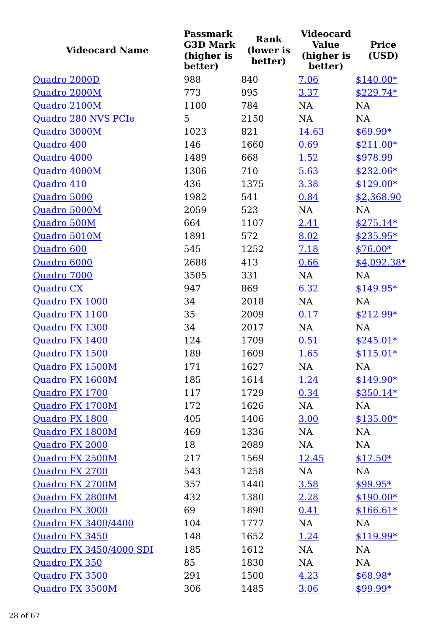| <b>Videocard Name</b>   | <b>Passmark</b><br><b>G3D Mark</b><br>(higher is<br>better) | <b>Rank</b><br>(lower is<br>better) | <b>Videocard</b><br>Value<br>(higher is<br>better) | <b>Price</b><br>(USD) |
|-------------------------|-------------------------------------------------------------|-------------------------------------|----------------------------------------------------|-----------------------|
| Quadro 2000D            | 988                                                         | 840                                 | 7.06                                               | $$140.00*$            |
| Quadro 2000M            | 773                                                         | 995                                 | 3.37                                               | $$229.74*$            |
| Quadro 2100M            | 1100                                                        | 784                                 | <b>NA</b>                                          | <b>NA</b>             |
| Quadro 280 NVS PCIe     | 5                                                           | 2150                                | <b>NA</b>                                          | NA                    |
| Quadro 3000M            | 1023                                                        | 821                                 | 14.63                                              | $$69.99*$             |
| Quadro 400              | 146                                                         | 1660                                | 0.69                                               | $$211.00*$            |
| Quadro 4000             | 1489                                                        | 668                                 | 1.52                                               | \$978.99              |
| Quadro 4000M            | 1306                                                        | 710                                 | 5.63                                               | $$232.06*$            |
| Quadro 410              | 436                                                         | 1375                                | 3.38                                               | $$129.00*$            |
| Quadro 5000             | 1982                                                        | 541                                 | 0.84                                               | \$2,368.90            |
| Quadro 5000M            | 2059                                                        | 523                                 | NA                                                 | NA                    |
| Quadro 500M             | 664                                                         | 1107                                | 2.41                                               | $$275.14*$            |
| Quadro 5010M            | 1891                                                        | 572                                 | 8.02                                               | $$235.95*$            |
| Quadro 600              | 545                                                         | 1252                                | 7.18                                               | $$76.00*$             |
| Quadro 6000             | 2688                                                        | 413                                 | 0.66                                               | $$4,092.38*$          |
| Quadro 7000             | 3505                                                        | 331                                 | NA                                                 | <b>NA</b>             |
| <b>Quadro CX</b>        | 947                                                         | 869                                 | 6.32                                               | $$149.95*$            |
| Quadro FX 1000          | 34                                                          | 2018                                | <b>NA</b>                                          | <b>NA</b>             |
| Quadro FX 1100          | 35                                                          | 2009                                | 0.17                                               | $$212.99*$            |
| Quadro FX 1300          | 34                                                          | 2017                                | NA                                                 | NA                    |
| Quadro FX 1400          | 124                                                         | 1709                                | 0.51                                               | $$245.01*$            |
| Quadro FX 1500          | 189                                                         | 1609                                | 1.65                                               | $$115.01*$            |
| Quadro FX 1500M         | 171                                                         | 1627                                | NA                                                 | NA                    |
| Quadro FX 1600M         | 185                                                         | 1614                                | 1.24                                               | $$149.90*$            |
| Quadro FX 1700          | 117                                                         | 1729                                | 0.34                                               | $$350.14*$            |
| Quadro FX 1700M         | 172                                                         | 1626                                | NA                                                 | NA                    |
| Quadro FX 1800          | 405                                                         | 1406                                | 3.00                                               | $$135.00*$            |
| Quadro FX 1800M         | 469                                                         | 1336                                | NA                                                 | NA                    |
| Quadro FX 2000          | 18                                                          | 2089                                | NA                                                 | NA                    |
| Quadro FX 2500M         | 217                                                         | 1569                                | 12.45                                              | $$17.50*$             |
| Quadro FX 2700          | 543                                                         | 1258                                | NA                                                 | NA                    |
| Quadro FX 2700M         | 357                                                         | 1440                                | 3.58                                               | $$99.95*$             |
| Quadro FX 2800M         | 432                                                         | 1380                                | 2.28                                               | $$190.00*$            |
| Quadro FX 3000          | 69                                                          | 1890                                | 0.41                                               | $$166.61*$            |
| Quadro FX 3400/4400     | 104                                                         | 1777                                | NA                                                 | NA                    |
| Quadro FX 3450          | 148                                                         | 1652                                | 1.24                                               | $$119.99*$            |
| Quadro FX 3450/4000 SDI | 185                                                         | 1612                                | NA                                                 | NA                    |
| Quadro FX 350           | 85                                                          | 1830                                | NA                                                 | NA                    |
| Quadro FX 3500          | 291                                                         | 1500                                | 4.23                                               | $$68.98*$             |
| Quadro FX 3500M         | 306                                                         | 1485                                | 3.06                                               | $$99.99*$             |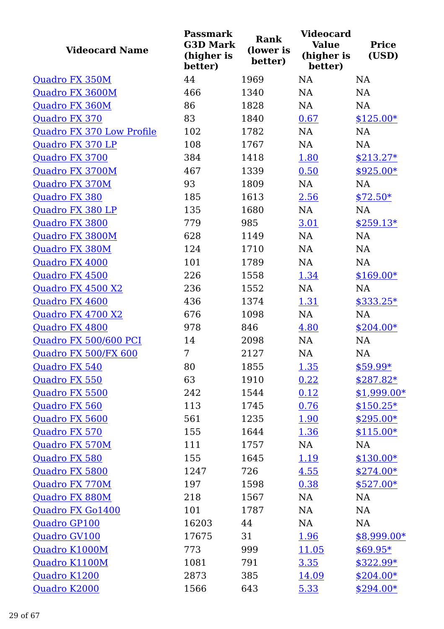| <b>Videocard Name</b>     | <b>Passmark</b><br><b>G3D Mark</b><br>(higher is<br>better) | <b>Rank</b><br>(lower is<br>better) | <b>Videocard</b><br><b>Value</b><br>(higher is<br>better) | <b>Price</b><br>(USD) |
|---------------------------|-------------------------------------------------------------|-------------------------------------|-----------------------------------------------------------|-----------------------|
| Quadro FX 350M            | 44                                                          | 1969                                | <b>NA</b>                                                 | <b>NA</b>             |
| Quadro FX 3600M           | 466                                                         | 1340                                | <b>NA</b>                                                 | <b>NA</b>             |
| Quadro FX 360M            | 86                                                          | 1828                                | <b>NA</b>                                                 | <b>NA</b>             |
| Quadro FX 370             | 83                                                          | 1840                                | 0.67                                                      | $$125.00*$            |
| Quadro FX 370 Low Profile | 102                                                         | 1782                                | <b>NA</b>                                                 | <b>NA</b>             |
| Quadro FX 370 LP          | 108                                                         | 1767                                | <b>NA</b>                                                 | <b>NA</b>             |
| Quadro FX 3700            | 384                                                         | 1418                                | 1.80                                                      | $$213.27*$            |
| Quadro FX 3700M           | 467                                                         | 1339                                | 0.50                                                      | \$925.00*             |
| Quadro FX 370M            | 93                                                          | 1809                                | <b>NA</b>                                                 | <b>NA</b>             |
| Quadro FX 380             | 185                                                         | 1613                                | 2.56                                                      | $$72.50*$             |
| Quadro FX 380 LP          | 135                                                         | 1680                                | <b>NA</b>                                                 | <b>NA</b>             |
| Quadro FX 3800            | 779                                                         | 985                                 | 3.01                                                      | $$259.13*$            |
| Quadro FX 3800M           | 628                                                         | 1149                                | <b>NA</b>                                                 | <b>NA</b>             |
| Quadro FX 380M            | 124                                                         | 1710                                | <b>NA</b>                                                 | <b>NA</b>             |
| Quadro FX 4000            | 101                                                         | 1789                                | <b>NA</b>                                                 | <b>NA</b>             |
| Quadro FX 4500            | 226                                                         | 1558                                | 1.34                                                      | $$169.00*$            |
| Quadro FX 4500 X2         | 236                                                         | 1552                                | <b>NA</b>                                                 | <b>NA</b>             |
| Quadro FX 4600            | 436                                                         | 1374                                | 1.31                                                      | $$333.25*$            |
| Quadro FX 4700 X2         | 676                                                         | 1098                                | NA                                                        | <b>NA</b>             |
| Quadro FX 4800            | 978                                                         | 846                                 | 4.80                                                      | $$204.00*$            |
| Quadro FX 500/600 PCI     | 14                                                          | 2098                                | NA                                                        | NA                    |
| Quadro FX 500/FX 600      | 7                                                           | 2127                                | <b>NA</b>                                                 | NA                    |
| Quadro FX 540             | 80                                                          | 1855                                | <u>1.35</u>                                               | $$59.99*$             |
| Quadro FX 550             | 63                                                          | 1910                                | 0.22                                                      | $$287.82*$            |
| Quadro FX 5500            | 242                                                         | 1544                                | 0.12                                                      | $$1,999.00*$          |
| Quadro FX 560             | 113                                                         | 1745                                | 0.76                                                      | $$150.25*$            |
| Quadro FX 5600            | 561                                                         | 1235                                | <u>1.90</u>                                               | $$295.00*$            |
| Quadro FX 570             | 155                                                         | 1644                                | <u>1.36</u>                                               | $$115.00*$            |
| Quadro FX 570M            | 111                                                         | 1757                                | NA                                                        | NA                    |
| Quadro FX 580             | 155                                                         | 1645                                | 1.19                                                      | $$130.00*$            |
| Quadro FX 5800            | 1247                                                        | 726                                 | 4.55                                                      | $$274.00*$            |
| Quadro FX 770M            | 197                                                         | 1598                                | 0.38                                                      | $$527.00*$            |
| Quadro FX 880M            | 218                                                         | 1567                                | NA                                                        | NA                    |
| <b>Quadro FX Go1400</b>   | 101                                                         | 1787                                | NA                                                        | NA                    |
| Quadro GP100              | 16203                                                       | 44                                  | <b>NA</b>                                                 | NA                    |
| Quadro GV100              | 17675                                                       | 31                                  | 1.96                                                      | \$8,999.00*           |
| Quadro K1000M             | 773                                                         | 999                                 | 11.05                                                     | $$69.95*$             |
| Quadro K1100M             | 1081                                                        | 791                                 | 3.35                                                      | $$322.99*$            |
| Quadro K1200              | 2873                                                        | 385                                 | 14.09                                                     | $$204.00*$            |
| Quadro K2000              | 1566                                                        | 643                                 | 5.33                                                      | $$294.00*$            |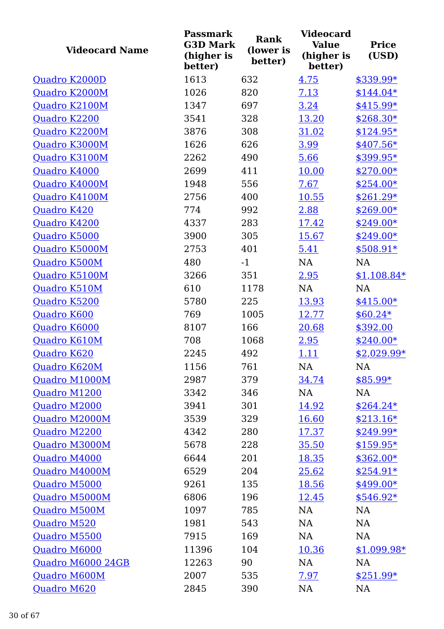| <b>Videocard Name</b> | <b>Passmark</b><br><b>G3D Mark</b><br>(higher is<br>better) | Rank<br>(lower is<br>better) | <b>Videocard</b><br><b>Value</b><br>(higher is<br>better) | <b>Price</b><br>(USD) |
|-----------------------|-------------------------------------------------------------|------------------------------|-----------------------------------------------------------|-----------------------|
| Quadro K2000D         | 1613                                                        | 632                          | 4.75                                                      | \$339.99*             |
| Quadro K2000M         | 1026                                                        | 820                          | 7.13                                                      | $$144.04*$            |
| Quadro K2100M         | 1347                                                        | 697                          | 3.24                                                      | \$415.99*             |
| Quadro K2200          | 3541                                                        | 328                          | 13.20                                                     | $$268.30*$            |
| Quadro K2200M         | 3876                                                        | 308                          | 31.02                                                     | $$124.95*$            |
| Quadro K3000M         | 1626                                                        | 626                          | 3.99                                                      | $$407.56*$            |
| Quadro K3100M         | 2262                                                        | 490                          | 5.66                                                      | \$399.95*             |
| Quadro K4000          | 2699                                                        | 411                          | 10.00                                                     | $$270.00*$            |
| Quadro K4000M         | 1948                                                        | 556                          | 7.67                                                      | $$254.00*$            |
| Quadro K4100M         | 2756                                                        | 400                          | 10.55                                                     | $$261.29*$            |
| Quadro K420           | 774                                                         | 992                          | 2.88                                                      | \$269.00*             |
| Quadro K4200          | 4337                                                        | 283                          | 17.42                                                     | \$249.00*             |
| Quadro K5000          | 3900                                                        | 305                          | 15.67                                                     | $$249.00*$            |
| Quadro K5000M         | 2753                                                        | 401                          | 5.41                                                      | $$508.91*$            |
| Quadro K500M          | 480                                                         | $-1$                         | <b>NA</b>                                                 | <b>NA</b>             |
| Quadro K5100M         | 3266                                                        | 351                          | 2.95                                                      | $$1,108.84*$          |
| Quadro K510M          | 610                                                         | 1178                         | <b>NA</b>                                                 | <b>NA</b>             |
| Quadro K5200          | 5780                                                        | 225                          | 13.93                                                     | $$415.00*$            |
| Quadro K600           | 769                                                         | 1005                         | 12.77                                                     | $$60.24*$             |
| Quadro K6000          | 8107                                                        | 166                          | 20.68                                                     | \$392.00              |
| Quadro K610M          | 708                                                         | 1068                         | 2.95                                                      | $$240.00*$            |
| Quadro K620           | 2245                                                        | 492                          | <u>1.11</u>                                               | \$2,029.99*           |
| Quadro K620M          | 1156                                                        | 761                          | NA                                                        | NA                    |
| Quadro M1000M         | 2987                                                        | 379                          | 34.74                                                     | $$85.99*$             |
| Quadro M1200          | 3342                                                        | 346                          | NA                                                        | NA                    |
| Quadro M2000          | 3941                                                        | 301                          | <u>14.92</u>                                              | $$264.24*$            |
| Quadro M2000M         | 3539                                                        | 329                          | <u>16.60</u>                                              | $$213.16*$            |
| Quadro M2200          | 4342                                                        | 280                          | 17.37                                                     | $$249.99*$            |
| Quadro M3000M         | 5678                                                        | 228                          | 35.50                                                     | $$159.95*$            |
| Quadro M4000          | 6644                                                        | 201                          | 18.35                                                     | $$362.00*$            |
| Quadro M4000M         | 6529                                                        | 204                          | 25.62                                                     | $$254.91*$            |
| Quadro M5000          | 9261                                                        | 135                          | 18.56                                                     | $$499.00*$            |
| Quadro M5000M         | 6806                                                        | 196                          | 12.45                                                     | $$546.92*$            |
| Quadro M500M          | 1097                                                        | 785                          | NA                                                        | <b>NA</b>             |
| Quadro M520           | 1981                                                        | 543                          | <b>NA</b>                                                 | NA                    |
| Quadro M5500          | 7915                                                        | 169                          | NA                                                        | NA                    |
| Quadro M6000          | 11396                                                       | 104                          | <u>10.36</u>                                              | $$1,099.98*$          |
| Quadro M6000 24GB     | 12263                                                       | 90                           | NA                                                        | NA                    |
| Quadro M600M          | 2007                                                        | 535                          | 7.97                                                      | $$251.99*$            |
| Quadro M620           | 2845                                                        | 390                          | NA                                                        | NA                    |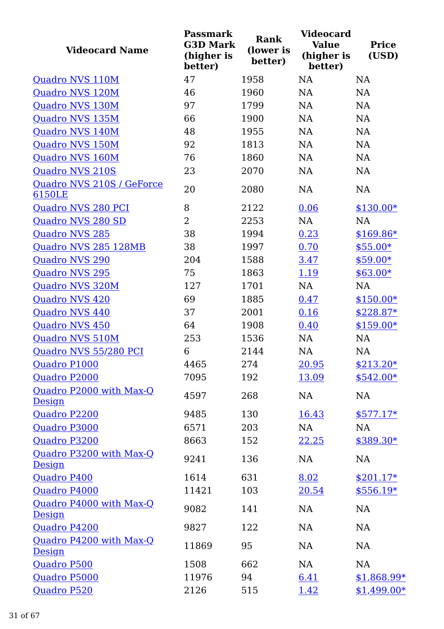| <b>Videocard Name</b>                    | <b>Passmark</b><br><b>G3D Mark</b><br>(higher is<br>better) | <b>Rank</b><br>(lower is<br>better) | <b>Videocard</b><br><b>Value</b><br>(higher is<br>better) | <b>Price</b><br>(USD) |
|------------------------------------------|-------------------------------------------------------------|-------------------------------------|-----------------------------------------------------------|-----------------------|
| Quadro NVS 110M                          | 47                                                          | 1958                                | <b>NA</b>                                                 | <b>NA</b>             |
| Quadro NVS 120M                          | 46                                                          | 1960                                | <b>NA</b>                                                 | <b>NA</b>             |
| Quadro NVS 130M                          | 97                                                          | 1799                                | <b>NA</b>                                                 | <b>NA</b>             |
| Quadro NVS 135M                          | 66                                                          | 1900                                | <b>NA</b>                                                 | NA                    |
| Quadro NVS 140M                          | 48                                                          | 1955                                | <b>NA</b>                                                 | NA                    |
| Quadro NVS 150M                          | 92                                                          | 1813                                | <b>NA</b>                                                 | NA                    |
| Quadro NVS 160M                          | 76                                                          | 1860                                | <b>NA</b>                                                 | <b>NA</b>             |
| Quadro NVS 210S                          | 23                                                          | 2070                                | <b>NA</b>                                                 | NA                    |
| Quadro NVS 210S / GeForce<br>6150LE      | 20                                                          | 2080                                | <b>NA</b>                                                 | NA                    |
| Quadro NVS 280 PCI                       | 8                                                           | 2122                                | 0.06                                                      | $$130.00*$            |
| Quadro NVS 280 SD                        | $\overline{2}$                                              | 2253                                | <b>NA</b>                                                 | <b>NA</b>             |
| <b>Quadro NVS 285</b>                    | 38                                                          | 1994                                | 0.23                                                      | $$169.86*$            |
| Quadro NVS 285 128MB                     | 38                                                          | 1997                                | 0.70                                                      | $$55.00*$             |
| <b>Quadro NVS 290</b>                    | 204                                                         | 1588                                | 3.47                                                      | $$59.00*$             |
| <b>Quadro NVS 295</b>                    | 75                                                          | 1863                                | 1.19                                                      | $$63.00*$             |
| Quadro NVS 320M                          | 127                                                         | 1701                                | NA                                                        | NA                    |
| Quadro NVS 420                           | 69                                                          | 1885                                | 0.47                                                      | $$150.00*$            |
| Quadro NVS 440                           | 37                                                          | 2001                                | 0.16                                                      | $$228.87*$            |
| <b>Quadro NVS 450</b>                    | 64                                                          | 1908                                | 0.40                                                      | $$159.00*$            |
| Quadro NVS 510M                          | 253                                                         | 1536                                | NA                                                        | NA                    |
| Quadro NVS 55/280 PCI                    | 6                                                           | 2144                                | <b>NA</b>                                                 | <b>NA</b>             |
| Quadro P1000                             | 4465                                                        | 274                                 | 20.95                                                     | $$213.20*$            |
| Quadro P2000                             | 7095                                                        | 192                                 | 13.09                                                     | $$542.00*$            |
| Quadro P2000 with Max-Q<br>Design        | 4597                                                        | 268                                 | NA                                                        | NA                    |
| Quadro P2200                             | 9485                                                        | 130                                 | 16.43                                                     | $$577.17*$            |
| Quadro P3000                             | 6571                                                        | 203                                 | NA                                                        | <b>NA</b>             |
| Quadro P3200                             | 8663                                                        | 152                                 | 22.25                                                     | $$389.30*$            |
| Quadro P3200 with Max-Q<br><b>Design</b> | 9241                                                        | 136                                 | NA                                                        | NA                    |
| Quadro P400                              | 1614                                                        | 631                                 | 8.02                                                      | $$201.17*$            |
| Quadro P4000                             | 11421                                                       | 103                                 | 20.54                                                     | $$556.19*$            |
| Quadro P4000 with Max-Q<br>Design        | 9082                                                        | 141                                 | <b>NA</b>                                                 | NA                    |
| Quadro P4200                             | 9827                                                        | 122                                 | <b>NA</b>                                                 | NA                    |
| Quadro P4200 with Max-Q<br>Design        | 11869                                                       | 95                                  | NA                                                        | NA                    |
| Quadro P500                              | 1508                                                        | 662                                 | NA                                                        | NA                    |
| Quadro P5000                             | 11976                                                       | 94                                  | 6.41                                                      | $$1,868.99*$          |
| <b>Quadro P520</b>                       | 2126                                                        | 515                                 | 1.42                                                      | $$1,499.00*$          |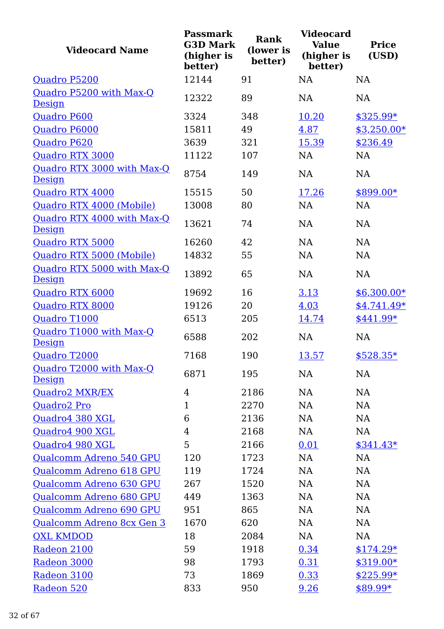| <b>Videocard Name</b>                       | <b>Passmark</b><br><b>G3D Mark</b><br>(higher is<br>better) | <b>Rank</b><br>(lower is<br>better) | <b>Videocard</b><br><b>Value</b><br>(higher is<br>better) | <b>Price</b><br>(USD) |
|---------------------------------------------|-------------------------------------------------------------|-------------------------------------|-----------------------------------------------------------|-----------------------|
| Quadro P5200                                | 12144                                                       | 91                                  | <b>NA</b>                                                 | <b>NA</b>             |
| Quadro P5200 with Max-Q<br>Design           | 12322                                                       | 89                                  | <b>NA</b>                                                 | <b>NA</b>             |
| Quadro P600                                 | 3324                                                        | 348                                 | 10.20                                                     | $$325.99*$            |
| Quadro P6000                                | 15811                                                       | 49                                  | 4.87                                                      | $$3,250.00*$          |
| Quadro P620                                 | 3639                                                        | 321                                 | 15.39                                                     | \$236.49              |
| Quadro RTX 3000                             | 11122                                                       | 107                                 | <b>NA</b>                                                 | <b>NA</b>             |
| Quadro RTX 3000 with Max-Q<br><b>Design</b> | 8754                                                        | 149                                 | <b>NA</b>                                                 | <b>NA</b>             |
| Quadro RTX 4000                             | 15515                                                       | 50                                  | 17.26                                                     | \$899.00*             |
| Quadro RTX 4000 (Mobile)                    | 13008                                                       | 80                                  | <b>NA</b>                                                 | <b>NA</b>             |
| Quadro RTX 4000 with Max-Q<br><b>Design</b> | 13621                                                       | 74                                  | <b>NA</b>                                                 | <b>NA</b>             |
| Quadro RTX 5000                             | 16260                                                       | 42                                  | NA                                                        | <b>NA</b>             |
| Quadro RTX 5000 (Mobile)                    | 14832                                                       | 55                                  | <b>NA</b>                                                 | <b>NA</b>             |
| Quadro RTX 5000 with Max-Q<br>Design        | 13892                                                       | 65                                  | <b>NA</b>                                                 | <b>NA</b>             |
| Quadro RTX 6000                             | 19692                                                       | 16                                  | 3.13                                                      | $$6,300.00*$          |
| Quadro RTX 8000                             | 19126                                                       | 20                                  | 4.03                                                      | $$4,741.49*$          |
| Quadro T1000                                | 6513                                                        | 205                                 | 14.74                                                     | \$441.99*             |
| Quadro T1000 with Max-Q<br><b>Design</b>    | 6588                                                        | 202                                 | <b>NA</b>                                                 | NA                    |
| Quadro T2000                                | 7168                                                        | 190                                 | 13.57                                                     | $$528.35*$            |
| Quadro T2000 with Max-Q<br>Design           | 6871                                                        | 195                                 | NA                                                        | NA                    |
| Quadro2 MXR/EX                              | $\overline{4}$                                              | 2186                                | NA                                                        | NA                    |
| Quadro2 Pro                                 | $\mathbf{1}$                                                | 2270                                | NA                                                        | NA                    |
| Quadro4 380 XGL                             | 6                                                           | 2136                                | NA                                                        | NA                    |
| Quadro4 900 XGL                             | 4                                                           | 2168                                | NA                                                        | <b>NA</b>             |
| Quadro4 980 XGL                             | 5                                                           | 2166                                | 0.01                                                      | $$341.43*$            |
| Qualcomm Adreno 540 GPU                     | 120                                                         | 1723                                | NA                                                        | NA                    |
| Qualcomm Adreno 618 GPU                     | 119                                                         | 1724                                | NA                                                        | NA                    |
| Qualcomm Adreno 630 GPU                     | 267                                                         | 1520                                | <b>NA</b>                                                 | NA                    |
| Qualcomm Adreno 680 GPU                     | 449                                                         | 1363                                | NA                                                        | NA                    |
| Qualcomm Adreno 690 GPU                     | 951                                                         | 865                                 | NA                                                        | NA                    |
| Qualcomm Adreno 8cx Gen 3                   | 1670                                                        | 620                                 | NA                                                        | NA                    |
| <b>QXL KMDOD</b>                            | 18                                                          | 2084                                | NA                                                        | NA                    |
| Radeon 2100                                 | 59                                                          | 1918                                | 0.34                                                      | $$174.29*$            |
| Radeon 3000                                 | 98                                                          | 1793                                | 0.31                                                      | $$319.00*$            |
| Radeon 3100                                 | 73                                                          | 1869                                | 0.33                                                      | $$225.99*$            |
| Radeon 520                                  | 833                                                         | 950                                 | 9.26                                                      | \$89.99*              |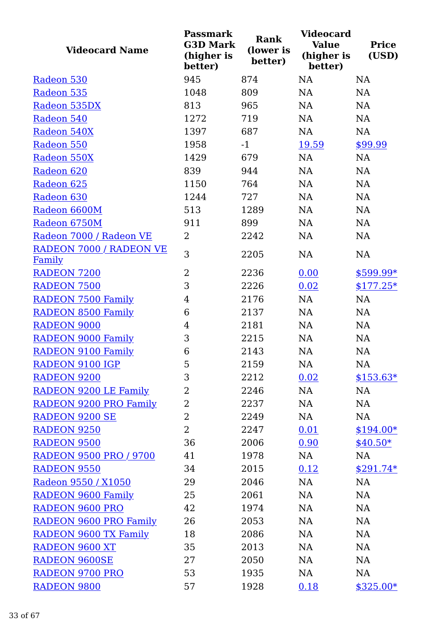| <b>Videocard Name</b>             | <b>Passmark</b><br><b>G3D Mark</b><br>(higher is<br>better) | Rank<br>(lower is<br>better) | <b>Videocard</b><br><b>Value</b><br>(higher is<br>better) | <b>Price</b><br>(USD) |
|-----------------------------------|-------------------------------------------------------------|------------------------------|-----------------------------------------------------------|-----------------------|
| Radeon 530                        | 945                                                         | 874                          | <b>NA</b>                                                 | <b>NA</b>             |
| Radeon 535                        | 1048                                                        | 809                          | <b>NA</b>                                                 | <b>NA</b>             |
| Radeon 535DX                      | 813                                                         | 965                          | <b>NA</b>                                                 | <b>NA</b>             |
| Radeon 540                        | 1272                                                        | 719                          | <b>NA</b>                                                 | NA                    |
| Radeon 540X                       | 1397                                                        | 687                          | <b>NA</b>                                                 | NA                    |
| Radeon 550                        | 1958                                                        | $-1$                         | 19.59                                                     | \$99.99               |
| Radeon 550X                       | 1429                                                        | 679                          | <b>NA</b>                                                 | NA                    |
| Radeon 620                        | 839                                                         | 944                          | NA                                                        | NA                    |
| Radeon 625                        | 1150                                                        | 764                          | <b>NA</b>                                                 | NA                    |
| Radeon 630                        | 1244                                                        | 727                          | NA                                                        | NA                    |
| Radeon 6600M                      | 513                                                         | 1289                         | <b>NA</b>                                                 | NA                    |
| Radeon 6750M                      | 911                                                         | 899                          | <b>NA</b>                                                 | NA                    |
| Radeon 7000 / Radeon VE           | 2                                                           | 2242                         | NA                                                        | NA                    |
| RADEON 7000 / RADEON VE<br>Family | 3                                                           | 2205                         | <b>NA</b>                                                 | NA                    |
| <b>RADEON 7200</b>                | $\overline{2}$                                              | 2236                         | 0.00                                                      | $$599.99*$            |
| <b>RADEON 7500</b>                | 3                                                           | 2226                         | 0.02                                                      | $$177.25*$            |
| <b>RADEON 7500 Family</b>         | $\overline{4}$                                              | 2176                         | <b>NA</b>                                                 | NA                    |
| <b>RADEON 8500 Family</b>         | 6                                                           | 2137                         | <b>NA</b>                                                 | <b>NA</b>             |
| RADEON 9000                       | 4                                                           | 2181                         | <b>NA</b>                                                 | NA                    |
| <b>RADEON 9000 Family</b>         | 3                                                           | 2215                         | <b>NA</b>                                                 | NA                    |
| <b>RADEON 9100 Family</b>         | 6                                                           | 2143                         | <b>NA</b>                                                 | <b>NA</b>             |
| RADEON 9100 IGP                   | 5                                                           | 2159                         | NA                                                        | NA                    |
| <b>RADEON 9200</b>                | 3                                                           | 2212                         | 0.02                                                      | $$153.63*$            |
| RADEON 9200 LE Family             | $\overline{2}$                                              | 2246                         | NA                                                        | NA                    |
| RADEON 9200 PRO Family            | 2                                                           | 2237                         | NA                                                        | NA                    |
| <b>RADEON 9200 SE</b>             | $\overline{2}$                                              | 2249                         | NA                                                        | NA                    |
| <b>RADEON 9250</b>                | $\overline{2}$                                              | 2247                         | 0.01                                                      | $$194.00*$            |
| <b>RADEON 9500</b>                | 36                                                          | 2006                         | 0.90                                                      | $$40.50*$             |
| <b>RADEON 9500 PRO / 9700</b>     | 41                                                          | 1978                         | NA                                                        | NA                    |
| <b>RADEON 9550</b>                | 34                                                          | 2015                         | 0.12                                                      | $$291.74*$            |
| Radeon 9550 / X1050               | 29                                                          | 2046                         | NA                                                        | NA                    |
| <b>RADEON 9600 Family</b>         | 25                                                          | 2061                         | <b>NA</b>                                                 | NA                    |
| <b>RADEON 9600 PRO</b>            | 42                                                          | 1974                         | NA                                                        | NA                    |
| RADEON 9600 PRO Family            | 26                                                          | 2053                         | NA                                                        | NA                    |
| <b>RADEON 9600 TX Family</b>      | 18                                                          | 2086                         | NA                                                        | NA                    |
| RADEON 9600 XT                    | 35                                                          | 2013                         | NA                                                        | NA                    |
| <b>RADEON 9600SE</b>              | 27                                                          | 2050                         | NA                                                        | NA                    |
| <b>RADEON 9700 PRO</b>            | 53                                                          | 1935                         | NA                                                        | NA                    |
| <b>RADEON 9800</b>                | 57                                                          | 1928                         | 0.18                                                      | $$325.00*$            |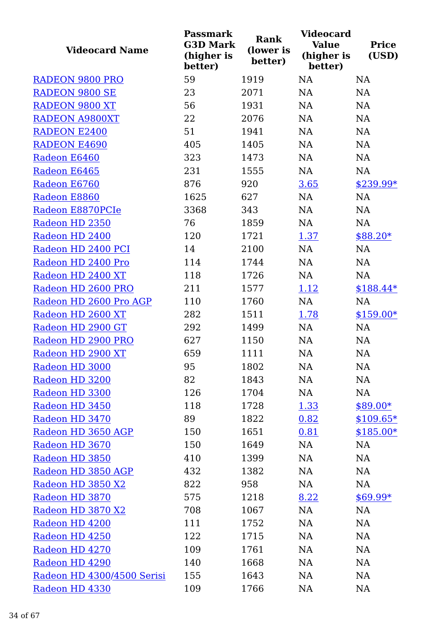| <b>Videocard Name</b>      | <b>Passmark</b><br><b>G3D Mark</b><br>(higher is<br>better) | Rank<br>(lower is<br>better) | <b>Videocard</b><br><b>Value</b><br>(higher is<br>better) | <b>Price</b><br>(USD) |
|----------------------------|-------------------------------------------------------------|------------------------------|-----------------------------------------------------------|-----------------------|
| <b>RADEON 9800 PRO</b>     | 59                                                          | 1919                         | <b>NA</b>                                                 | NA                    |
| <b>RADEON 9800 SE</b>      | 23                                                          | 2071                         | <b>NA</b>                                                 | NA                    |
| <b>RADEON 9800 XT</b>      | 56                                                          | 1931                         | <b>NA</b>                                                 | <b>NA</b>             |
| <b>RADEON A9800XT</b>      | 22                                                          | 2076                         | <b>NA</b>                                                 | NA                    |
| <b>RADEON E2400</b>        | 51                                                          | 1941                         | <b>NA</b>                                                 | NA                    |
| <b>RADEON E4690</b>        | 405                                                         | 1405                         | NA                                                        | NA                    |
| Radeon E6460               | 323                                                         | 1473                         | NA                                                        | NA                    |
| Radeon E6465               | 231                                                         | 1555                         | NA                                                        | NA                    |
| Radeon E6760               | 876                                                         | 920                          | 3.65                                                      | \$239.99*             |
| Radeon E8860               | 1625                                                        | 627                          | NA                                                        | NA                    |
| Radeon E8870PCIe           | 3368                                                        | 343                          | <b>NA</b>                                                 | NA                    |
| Radeon HD 2350             | 76                                                          | 1859                         | <b>NA</b>                                                 | NA                    |
| Radeon HD 2400             | 120                                                         | 1721                         | 1.37                                                      | $$88.20*$             |
| Radeon HD 2400 PCI         | 14                                                          | 2100                         | NA                                                        | NA                    |
| Radeon HD 2400 Pro         | 114                                                         | 1744                         | <b>NA</b>                                                 | NA                    |
| Radeon HD 2400 XT          | 118                                                         | 1726                         | NA                                                        | <b>NA</b>             |
| Radeon HD 2600 PRO         | 211                                                         | 1577                         | 1.12                                                      | $$188.44*$            |
| Radeon HD 2600 Pro AGP     | 110                                                         | 1760                         | NA                                                        | <b>NA</b>             |
| Radeon HD 2600 XT          | 282                                                         | 1511                         | 1.78                                                      | $$159.00*$            |
| Radeon HD 2900 GT          | 292                                                         | 1499                         | NA                                                        | NA                    |
| Radeon HD 2900 PRO         | 627                                                         | 1150                         | NA                                                        | NA                    |
| Radeon HD 2900 XT          | 659                                                         | 1111                         | NA                                                        | NA                    |
| Radeon HD 3000             | 95                                                          | 1802                         | NA                                                        | NA                    |
| Radeon HD 3200             | 82                                                          | 1843                         | NA                                                        | NA                    |
| Radeon HD 3300             | 126                                                         | 1704                         | <b>NA</b>                                                 | NA                    |
| Radeon HD 3450             | 118                                                         | 1728                         | <u>1.33</u>                                               | \$89.00*              |
| Radeon HD 3470             | 89                                                          | 1822                         | 0.82                                                      | $$109.65*$            |
| Radeon HD 3650 AGP         | 150                                                         | 1651                         | 0.81                                                      | $$185.00*$            |
| Radeon HD 3670             | 150                                                         | 1649                         | NA                                                        | NA                    |
| Radeon HD 3850             | 410                                                         | 1399                         | <b>NA</b>                                                 | NA                    |
| Radeon HD 3850 AGP         | 432                                                         | 1382                         | <b>NA</b>                                                 | NA                    |
| Radeon HD 3850 X2          | 822                                                         | 958                          | NA                                                        | NA                    |
| Radeon HD 3870             | 575                                                         | 1218                         | 8.22                                                      | $$69.99*$             |
| Radeon HD 3870 X2          | 708                                                         | 1067                         | <b>NA</b>                                                 | NA                    |
| Radeon HD 4200             | 111                                                         | 1752                         | <b>NA</b>                                                 | NA                    |
| Radeon HD 4250             | 122                                                         | 1715                         | <b>NA</b>                                                 | NA                    |
| Radeon HD 4270             | 109                                                         | 1761                         | <b>NA</b>                                                 | NA                    |
| Radeon HD 4290             | 140                                                         | 1668                         | <b>NA</b>                                                 | NA                    |
| Radeon HD 4300/4500 Serisi | 155                                                         | 1643                         | <b>NA</b>                                                 | NA                    |
| Radeon HD 4330             | 109                                                         | 1766                         | <b>NA</b>                                                 | NA                    |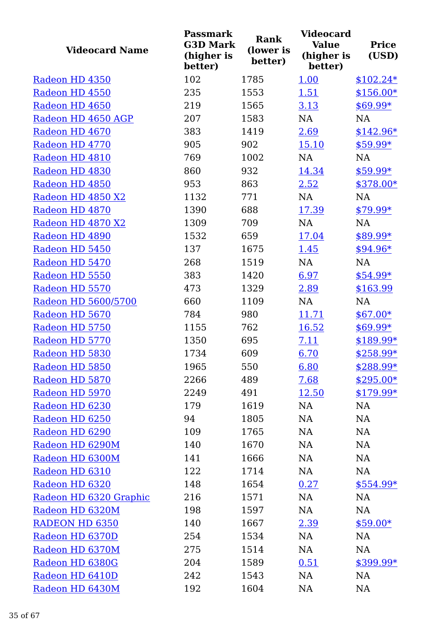| <b>Videocard Name</b>  | <b>Passmark</b><br><b>G3D Mark</b><br>(higher is<br>better) | <b>Rank</b><br>(lower is<br>better) | <b>Videocard</b><br><b>Value</b><br>(higher is<br>better) | <b>Price</b><br>(USD) |
|------------------------|-------------------------------------------------------------|-------------------------------------|-----------------------------------------------------------|-----------------------|
| Radeon HD 4350         | 102                                                         | 1785                                | 1.00                                                      | $$102.24*$            |
| Radeon HD 4550         | 235                                                         | 1553                                | 1.51                                                      | $$156.00*$            |
| Radeon HD 4650         | 219                                                         | 1565                                | 3.13                                                      | $$69.99*$             |
| Radeon HD 4650 AGP     | 207                                                         | 1583                                | NA                                                        | <b>NA</b>             |
| Radeon HD 4670         | 383                                                         | 1419                                | 2.69                                                      | $$142.96*$            |
| Radeon HD 4770         | 905                                                         | 902                                 | 15.10                                                     | \$59.99*              |
| Radeon HD 4810         | 769                                                         | 1002                                | <b>NA</b>                                                 | <b>NA</b>             |
| Radeon HD 4830         | 860                                                         | 932                                 | 14.34                                                     | $$59.99*$             |
| Radeon HD 4850         | 953                                                         | 863                                 | 2.52                                                      | \$378.00*             |
| Radeon HD 4850 X2      | 1132                                                        | 771                                 | NA                                                        | NA                    |
| Radeon HD 4870         | 1390                                                        | 688                                 | 17.39                                                     | $$79.99*$             |
| Radeon HD 4870 X2      | 1309                                                        | 709                                 | NA                                                        | NA                    |
| Radeon HD 4890         | 1532                                                        | 659                                 | 17.04                                                     | \$89.99*              |
| Radeon HD 5450         | 137                                                         | 1675                                | <u>1.45</u>                                               | $$94.96*$             |
| Radeon HD 5470         | 268                                                         | 1519                                | NA                                                        | <b>NA</b>             |
| Radeon HD 5550         | 383                                                         | 1420                                | 6.97                                                      | $$54.99*$             |
| Radeon HD 5570         | 473                                                         | 1329                                | 2.89                                                      | \$163.99              |
| Radeon HD 5600/5700    | 660                                                         | 1109                                | <b>NA</b>                                                 | <b>NA</b>             |
| Radeon HD 5670         | 784                                                         | 980                                 | 11.71                                                     | $$67.00*$             |
| Radeon HD 5750         | 1155                                                        | 762                                 | 16.52                                                     | \$69.99*              |
| Radeon HD 5770         | 1350                                                        | 695                                 | 7.11                                                      | \$189.99*             |
| Radeon HD 5830         | 1734                                                        | 609                                 | 6.70                                                      | \$258.99*             |
| Radeon HD 5850         | 1965                                                        | 550                                 | 6.80                                                      | \$288.99*             |
| Radeon HD 5870         | 2266                                                        | 489                                 | 7.68                                                      | $$295.00*$            |
| Radeon HD 5970         | 2249                                                        | 491                                 | 12.50                                                     | $$179.99*$            |
| Radeon HD 6230         | 179                                                         | 1619                                | NA                                                        | NA                    |
| Radeon HD 6250         | 94                                                          | 1805                                | NA                                                        | <b>NA</b>             |
| Radeon HD 6290         | 109                                                         | 1765                                | <b>NA</b>                                                 | <b>NA</b>             |
| Radeon HD 6290M        | 140                                                         | 1670                                | <b>NA</b>                                                 | NA                    |
| Radeon HD 6300M        | 141                                                         | 1666                                | <b>NA</b>                                                 | NA                    |
| Radeon HD 6310         | 122                                                         | 1714                                | NA                                                        | NA                    |
| Radeon HD 6320         | 148                                                         | 1654                                | 0.27                                                      | \$554.99*             |
| Radeon HD 6320 Graphic | 216                                                         | 1571                                | NA                                                        | NA                    |
| Radeon HD 6320M        | 198                                                         | 1597                                | NA                                                        | NA                    |
| <b>RADEON HD 6350</b>  | 140                                                         | 1667                                | 2.39                                                      | $$59.00*$             |
| Radeon HD 6370D        | 254                                                         | 1534                                | NA                                                        | NA                    |
| Radeon HD 6370M        | 275                                                         | 1514                                | <b>NA</b>                                                 | <b>NA</b>             |
| Radeon HD 6380G        | 204                                                         | 1589                                | 0.51                                                      | $$399.99*$            |
| Radeon HD 6410D        | 242                                                         | 1543                                | NA                                                        | <b>NA</b>             |
| Radeon HD 6430M        | 192                                                         | 1604                                | NA                                                        | <b>NA</b>             |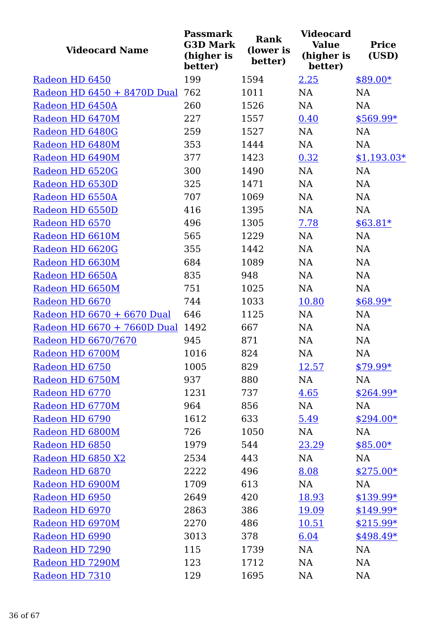| <b>Videocard Name</b>       | <b>Passmark</b><br><b>G3D Mark</b><br>(higher is<br>better) | <b>Rank</b><br>(lower is<br>better) | <b>Videocard</b><br><b>Value</b><br>(higher is<br>better) | <b>Price</b><br>(USD) |
|-----------------------------|-------------------------------------------------------------|-------------------------------------|-----------------------------------------------------------|-----------------------|
| Radeon HD 6450              | 199                                                         | 1594                                | 2.25                                                      | $$89.00*$             |
| Radeon HD 6450 + 8470D Dual | 762                                                         | 1011                                | <b>NA</b>                                                 | NA                    |
| Radeon HD 6450A             | 260                                                         | 1526                                | <b>NA</b>                                                 | <b>NA</b>             |
| Radeon HD 6470M             | 227                                                         | 1557                                | 0.40                                                      | $$569.99*$            |
| Radeon HD 6480G             | 259                                                         | 1527                                | <b>NA</b>                                                 | <b>NA</b>             |
| Radeon HD 6480M             | 353                                                         | 1444                                | NA                                                        | NA                    |
| Radeon HD 6490M             | 377                                                         | 1423                                | 0.32                                                      | $$1,193.03*$          |
| Radeon HD 6520G             | 300                                                         | 1490                                | NA                                                        | NA                    |
| Radeon HD 6530D             | 325                                                         | 1471                                | <b>NA</b>                                                 | NA                    |
| Radeon HD 6550A             | 707                                                         | 1069                                | <b>NA</b>                                                 | NA                    |
| Radeon HD 6550D             | 416                                                         | 1395                                | NA                                                        | <b>NA</b>             |
| Radeon HD 6570              | 496                                                         | 1305                                | 7.78                                                      | $$63.81*$             |
| Radeon HD 6610M             | 565                                                         | 1229                                | <b>NA</b>                                                 | <b>NA</b>             |
| Radeon HD 6620G             | 355                                                         | 1442                                | <b>NA</b>                                                 | NA                    |
| Radeon HD 6630M             | 684                                                         | 1089                                | NA                                                        | NA                    |
| Radeon HD 6650A             | 835                                                         | 948                                 | <b>NA</b>                                                 | NA                    |
| Radeon HD 6650M             | 751                                                         | 1025                                | <b>NA</b>                                                 | <b>NA</b>             |
| Radeon HD 6670              | 744                                                         | 1033                                | 10.80                                                     | $$68.99*$             |
| Radeon HD 6670 + 6670 Dual  | 646                                                         | 1125                                | NA                                                        | NA                    |
| Radeon HD 6670 + 7660D Dual | 1492                                                        | 667                                 | NA                                                        | NA                    |
| Radeon HD 6670/7670         | 945                                                         | 871                                 | NA                                                        | NA                    |
| Radeon HD 6700M             | 1016                                                        | 824                                 | <b>NA</b>                                                 | NA                    |
| Radeon HD 6750              | 1005                                                        | 829                                 | <u>12.57</u>                                              | \$79.99*              |
| Radeon HD 6750M             | 937                                                         | 880                                 | NA                                                        | NA                    |
| Radeon HD 6770              | 1231                                                        | 737                                 | 4.65                                                      | $$264.99*$            |
| Radeon HD 6770M             | 964                                                         | 856                                 | NA                                                        | NA                    |
| Radeon HD 6790              | 1612                                                        | 633                                 | 5.49                                                      | $$294.00*$            |
| Radeon HD 6800M             | 726                                                         | 1050                                | NA                                                        | NA                    |
| Radeon HD 6850              | 1979                                                        | 544                                 | 23.29                                                     | $$85.00*$             |
| Radeon HD 6850 X2           | 2534                                                        | 443                                 | NA                                                        | NA                    |
| Radeon HD 6870              | 2222                                                        | 496                                 | 8.08                                                      | $$275.00*$            |
| Radeon HD 6900M             | 1709                                                        | 613                                 | NA                                                        | NA                    |
| Radeon HD 6950              | 2649                                                        | 420                                 | 18.93                                                     | $$139.99*$            |
| Radeon HD 6970              | 2863                                                        | 386                                 | 19.09                                                     | $$149.99*$            |
| Radeon HD 6970M             | 2270                                                        | 486                                 | <u>10.51</u>                                              | $$215.99*$            |
| Radeon HD 6990              | 3013                                                        | 378                                 | 6.04                                                      | $$498.49*$            |
| Radeon HD 7290              | 115                                                         | 1739                                | NA                                                        | NA                    |
| Radeon HD 7290M             | 123                                                         | 1712                                | NA                                                        | <b>NA</b>             |
| Radeon HD 7310              | 129                                                         | 1695                                | NA                                                        | NA                    |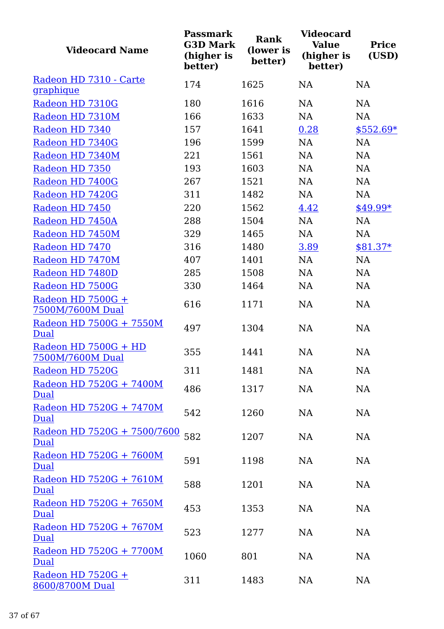| <b>Videocard Name</b>                    | <b>Passmark</b><br><b>G3D Mark</b><br>(higher is<br>better) | <b>Rank</b><br>(lower is<br>better) | <b>Videocard</b><br><b>Value</b><br>(higher is<br>better) | <b>Price</b><br>(USD) |
|------------------------------------------|-------------------------------------------------------------|-------------------------------------|-----------------------------------------------------------|-----------------------|
| Radeon HD 7310 - Carte                   | 174                                                         | 1625                                | NA                                                        | <b>NA</b>             |
| graphique                                |                                                             |                                     |                                                           |                       |
| Radeon HD 7310G                          | 180                                                         | 1616                                | NA                                                        | NA                    |
| Radeon HD 7310M                          | 166                                                         | 1633                                | NA                                                        | NA                    |
| Radeon HD 7340                           | 157                                                         | 1641                                | 0.28                                                      | $$552.69*$            |
| Radeon HD 7340G                          | 196                                                         | 1599                                | NA                                                        | NA                    |
| Radeon HD 7340M                          | 221                                                         | 1561                                | NA                                                        | NA                    |
| Radeon HD 7350                           | 193                                                         | 1603                                | NA                                                        | NA                    |
| Radeon HD 7400G                          | 267                                                         | 1521                                | NA                                                        | NA                    |
| Radeon HD 7420G                          | 311                                                         | 1482                                | NA                                                        | NA                    |
| Radeon HD 7450                           | 220                                                         | 1562                                | 4.42                                                      | \$49.99*              |
| Radeon HD 7450A                          | 288                                                         | 1504                                | NA                                                        | NA                    |
| Radeon HD 7450M                          | 329                                                         | 1465                                | NA                                                        | NA                    |
| Radeon HD 7470                           | 316                                                         | 1480                                | 3.89                                                      | $$81.37*$             |
| Radeon HD 7470M                          | 407                                                         | 1401                                | NA                                                        | NA                    |
| Radeon HD 7480D                          | 285                                                         | 1508                                | NA                                                        | NA                    |
| Radeon HD 7500G                          | 330                                                         | 1464                                | NA                                                        | NA                    |
| Radeon HD 7500G +<br>7500M/7600M Dual    | 616                                                         | 1171                                | NA                                                        | NA                    |
| Radeon HD 7500G + 7550M<br>Dual          | 497                                                         | 1304                                | NA                                                        | NA                    |
| Radeon HD 7500G + HD<br>7500M/7600M Dual | 355                                                         | 1441                                | NA                                                        | NA                    |
| Radeon HD 7520G                          | 311                                                         | 1481                                | NA                                                        | <b>NA</b>             |
| Radeon HD 7520G + 7400M<br><b>Dual</b>   | 486                                                         | 1317                                | NA                                                        | NA                    |
| Radeon HD 7520G + 7470M<br><b>Dual</b>   | 542                                                         | 1260                                | NA                                                        | NA                    |
| Radeon HD 7520G + 7500/7600<br>Dual      | 582                                                         | 1207                                | NA                                                        | NA                    |
| Radeon HD 7520G + 7600M<br>Dual          | 591                                                         | 1198                                | NA                                                        | NA                    |
| Radeon HD 7520G + 7610M<br><b>Dual</b>   | 588                                                         | 1201                                | NA                                                        | NA                    |
| Radeon HD 7520G + 7650M<br>Dual          | 453                                                         | 1353                                | NA                                                        | NA                    |
| Radeon HD 7520G + 7670M<br>Dual          | 523                                                         | 1277                                | NA                                                        | NA                    |
| Radeon HD 7520G + 7700M<br>Dual          | 1060                                                        | 801                                 | NA                                                        | NA                    |
| Radeon HD 7520G +<br>8600/8700M Dual     | 311                                                         | 1483                                | NA                                                        | NA                    |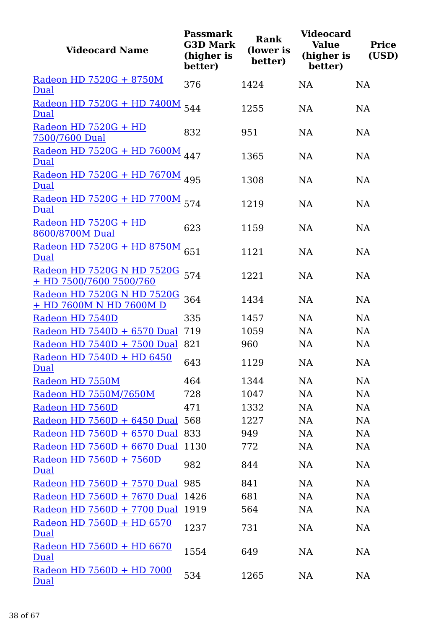| <b>Videocard Name</b>                                 | <b>Passmark</b><br><b>G3D Mark</b><br>(higher is<br>better) | <b>Rank</b><br>(lower is<br>better) | <b>Videocard</b><br><b>Value</b><br>(higher is<br>better) | <b>Price</b><br>(USD) |
|-------------------------------------------------------|-------------------------------------------------------------|-------------------------------------|-----------------------------------------------------------|-----------------------|
| Radeon HD 7520G + 8750M<br>Dual                       | 376                                                         | 1424                                | <b>NA</b>                                                 | <b>NA</b>             |
|                                                       |                                                             |                                     |                                                           |                       |
| <u>Radeon HD 7520G + HD 7400M</u><br>Dual             | 544                                                         | 1255                                | <b>NA</b>                                                 | <b>NA</b>             |
| Radeon HD 7520G + HD<br>7500/7600 Dual                | 832                                                         | 951                                 | <b>NA</b>                                                 | <b>NA</b>             |
| Radeon HD 7520G + HD 7600M<br>Dual                    | 447                                                         | 1365                                | <b>NA</b>                                                 | NA                    |
| Radeon HD 7520G + HD 7670M 495<br>Dual                |                                                             | 1308                                | <b>NA</b>                                                 | NA                    |
| Radeon HD 7520G + HD 7700M 574<br>Dual                |                                                             | 1219                                | <b>NA</b>                                                 | <b>NA</b>             |
| Radeon HD 7520G + HD<br>8600/8700M Dual               | 623                                                         | 1159                                | <b>NA</b>                                                 | NA                    |
| Radeon HD 7520G + HD 8750M<br>Dual                    | 651                                                         | 1121                                | <b>NA</b>                                                 | <b>NA</b>             |
| Radeon HD 7520G N HD 7520G<br>+ HD 7500/7600 7500/760 | 574                                                         | 1221                                | <b>NA</b>                                                 | NA                    |
| Radeon HD 7520G N HD 7520G<br>+ HD 7600M N HD 7600M D | 364                                                         | 1434                                | <b>NA</b>                                                 | <b>NA</b>             |
| Radeon HD 7540D                                       | 335                                                         | 1457                                | NA                                                        | NA                    |
| Radeon HD 7540D + 6570 Dual                           | 719                                                         | 1059                                | NA                                                        | NA                    |
| Radeon HD 7540D + 7500 Dual                           | 821                                                         | 960                                 | <b>NA</b>                                                 | NA                    |
| Radeon HD 7540D + HD 6450<br>Dual                     | 643                                                         | 1129                                | NA                                                        | <b>NA</b>             |
| Radeon HD 7550M                                       | 464                                                         | 1344                                | NA                                                        | NA                    |
| Radeon HD 7550M/7650M                                 | 728                                                         | 1047                                | NA                                                        | NA                    |
| Radeon HD 7560D                                       | 471                                                         | 1332                                | <b>NA</b>                                                 | <b>NA</b>             |
| Radeon HD 7560D + 6450 Dual                           | 568                                                         | 1227                                | <b>NA</b>                                                 | NA                    |
| Radeon HD 7560D + 6570 Dual 833                       |                                                             | 949                                 | <b>NA</b>                                                 | <b>NA</b>             |
| Radeon HD 7560D + 6670 Dual                           | 1130                                                        | 772                                 | <b>NA</b>                                                 | NA                    |
| Radeon HD 7560D + 7560D<br><b>Dual</b>                | 982                                                         | 844                                 | NA                                                        | NA                    |
| Radeon HD 7560D + 7570 Dual                           | 985                                                         | 841                                 | <b>NA</b>                                                 | NA                    |
| Radeon HD 7560D + 7670 Dual                           | 1426                                                        | 681                                 | <b>NA</b>                                                 | <b>NA</b>             |
| Radeon HD 7560D + 7700 Dual                           | 1919                                                        | 564                                 | <b>NA</b>                                                 | <b>NA</b>             |
| Radeon HD 7560D + HD 6570<br>Dual                     | 1237                                                        | 731                                 | NA                                                        | NA                    |
| Radeon HD 7560D + HD 6670<br>Dual                     | 1554                                                        | 649                                 | <b>NA</b>                                                 | NA                    |
| Radeon HD 7560D + HD 7000<br>Dual                     | 534                                                         | 1265                                | NA                                                        | <b>NA</b>             |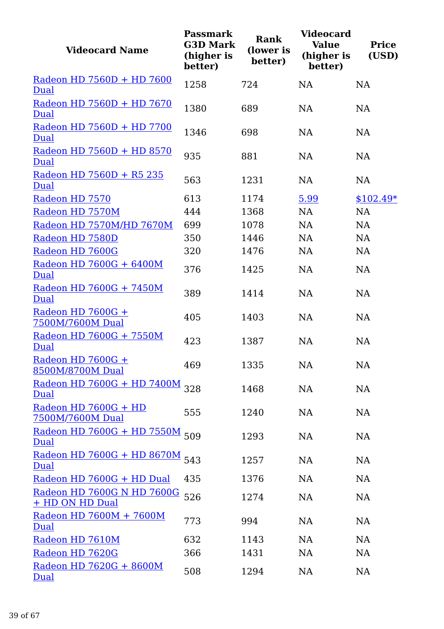| <b>Videocard Name</b>                         | <b>Passmark</b><br><b>G3D Mark</b><br>(higher is<br>better) | <b>Rank</b><br>(lower is<br>better) | <b>Videocard</b><br><b>Value</b><br>(higher is<br>better) | <b>Price</b><br>(USD) |
|-----------------------------------------------|-------------------------------------------------------------|-------------------------------------|-----------------------------------------------------------|-----------------------|
| Radeon HD 7560D + HD 7600<br>Dual             | 1258                                                        | 724                                 | <b>NA</b>                                                 | <b>NA</b>             |
| Radeon HD 7560D + HD 7670<br>Dual             | 1380                                                        | 689                                 | NA                                                        | <b>NA</b>             |
| Radeon HD 7560D + HD 7700<br>Dual             | 1346                                                        | 698                                 | <b>NA</b>                                                 | <b>NA</b>             |
| Radeon HD 7560D + HD 8570<br><b>Dual</b>      | 935                                                         | 881                                 | <b>NA</b>                                                 | NA                    |
| Radeon HD 7560D + R5 235<br>Dual              | 563                                                         | 1231                                | <b>NA</b>                                                 | <b>NA</b>             |
| Radeon HD 7570                                | 613                                                         | 1174                                | 5.99                                                      | $$102.49*$            |
| Radeon HD 7570M                               | 444                                                         | 1368                                | NA                                                        | <b>NA</b>             |
| Radeon HD 7570M/HD 7670M                      | 699                                                         | 1078                                | NA                                                        | NA                    |
| Radeon HD 7580D                               | 350                                                         | 1446                                | <b>NA</b>                                                 | <b>NA</b>             |
| Radeon HD 7600G                               | 320                                                         | 1476                                | <b>NA</b>                                                 | NA                    |
| Radeon HD 7600G + 6400M<br>Dual               | 376                                                         | 1425                                | <b>NA</b>                                                 | NA                    |
| Radeon HD 7600G + 7450M<br>Dual               | 389                                                         | 1414                                | <b>NA</b>                                                 | <b>NA</b>             |
| Radeon HD 7600G +<br>7500M/7600M Dual         | 405                                                         | 1403                                | <b>NA</b>                                                 | <b>NA</b>             |
| Radeon HD 7600G + 7550M<br>Dual               | 423                                                         | 1387                                | NA                                                        | NA                    |
| Radeon HD 7600G +<br>8500M/8700M Dual         | 469                                                         | 1335                                | NA                                                        | NA                    |
| Radeon HD 7600G + HD 7400M<br>Dual            | 328                                                         | 1468                                | <b>NA</b>                                                 | NA                    |
| Radeon HD 7600G + HD<br>7500M/7600M Dual      | 555                                                         | 1240                                | NA                                                        | NA                    |
| Radeon HD 7600G + HD 7550M<br>Dual            | 509                                                         | 1293                                | NA                                                        | NA                    |
| Radeon HD 7600G + HD 8670M<br>Dual            | 543                                                         | 1257                                | <b>NA</b>                                                 | NA                    |
| Radeon HD 7600G + HD Dual                     | 435                                                         | 1376                                | NA                                                        | NA                    |
| Radeon HD 7600G N HD 7600G<br>+ HD ON HD Dual | 526                                                         | 1274                                | <b>NA</b>                                                 | NA                    |
| Radeon HD 7600M + 7600M<br><b>Dual</b>        | 773                                                         | 994                                 | NA                                                        | NA                    |
| Radeon HD 7610M                               | 632                                                         | 1143                                | <b>NA</b>                                                 | NA                    |
| Radeon HD 7620G                               | 366                                                         | 1431                                | NA                                                        | NA                    |
| Radeon HD 7620G + 8600M<br>Dual               | 508                                                         | 1294                                | <b>NA</b>                                                 | NA                    |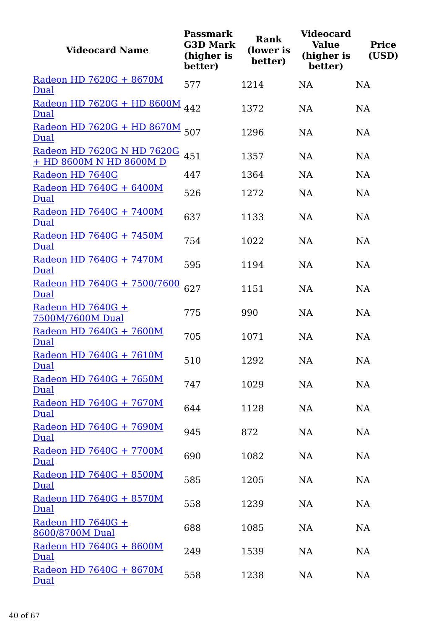| <b>Videocard Name</b>                                 | <b>Passmark</b><br><b>G3D Mark</b><br>(higher is<br>better) | <b>Rank</b><br>(lower is<br>better) | <b>Videocard</b><br><b>Value</b><br>(higher is<br>better) | <b>Price</b><br>(USD) |
|-------------------------------------------------------|-------------------------------------------------------------|-------------------------------------|-----------------------------------------------------------|-----------------------|
| Radeon HD 7620G + 8670M<br>Dual                       | 577                                                         | 1214                                | <b>NA</b>                                                 | <b>NA</b>             |
| Radeon HD 7620G + HD 8600M<br>Dual                    | 442                                                         | 1372                                | <b>NA</b>                                                 | <b>NA</b>             |
| Radeon HD 7620G + HD 8670M<br>Dual                    | 507                                                         | 1296                                | <b>NA</b>                                                 | NA                    |
| Radeon HD 7620G N HD 7620G<br>+ HD 8600M N HD 8600M D | 451                                                         | 1357                                | <b>NA</b>                                                 | <b>NA</b>             |
| Radeon HD 7640G                                       | 447                                                         | 1364                                | <b>NA</b>                                                 | NA                    |
| Radeon HD 7640G + 6400M<br><b>Dual</b>                | 526                                                         | 1272                                | <b>NA</b>                                                 | NA                    |
| Radeon HD 7640G + 7400M<br>Dual                       | 637                                                         | 1133                                | <b>NA</b>                                                 | <b>NA</b>             |
| Radeon HD 7640G + 7450M<br>Dual                       | 754                                                         | 1022                                | <b>NA</b>                                                 | <b>NA</b>             |
| Radeon HD 7640G + 7470M<br>Dual                       | 595                                                         | 1194                                | <b>NA</b>                                                 | <b>NA</b>             |
| <u>Radeon HD 7640G + 7500/7600</u><br>Dual            | 627                                                         | 1151                                | <b>NA</b>                                                 | <b>NA</b>             |
| Radeon HD 7640G +<br>7500M/7600M Dual                 | 775                                                         | 990                                 | <b>NA</b>                                                 | <b>NA</b>             |
| Radeon HD 7640G + 7600M<br>Dual                       | 705                                                         | 1071                                | <b>NA</b>                                                 | <b>NA</b>             |
| Radeon HD 7640G + 7610M<br>Dual                       | 510                                                         | 1292                                | NA                                                        | NA                    |
| Radeon HD 7640G + 7650M<br><b>Dual</b>                | 747                                                         | 1029                                | NA                                                        | <b>NA</b>             |
| Radeon HD 7640G + 7670M<br><b>Dual</b>                | 644                                                         | 1128                                | <b>NA</b>                                                 | NA                    |
| Radeon HD 7640G + 7690M<br>Dual                       | 945                                                         | 872                                 | <b>NA</b>                                                 | NA                    |
| Radeon HD 7640G + 7700M<br><b>Dual</b>                | 690                                                         | 1082                                | <b>NA</b>                                                 | NA                    |
| Radeon HD 7640G + 8500M<br><b>Dual</b>                | 585                                                         | 1205                                | <b>NA</b>                                                 | NA                    |
| Radeon HD 7640G + 8570M<br>Dual                       | 558                                                         | 1239                                | <b>NA</b>                                                 | NA                    |
| Radeon HD 7640G +<br>8600/8700M Dual                  | 688                                                         | 1085                                | <b>NA</b>                                                 | NA                    |
| Radeon HD 7640G + 8600M<br><b>Dual</b>                | 249                                                         | 1539                                | <b>NA</b>                                                 | NA                    |
| Radeon HD 7640G + 8670M<br>Dual                       | 558                                                         | 1238                                | NA                                                        | NA                    |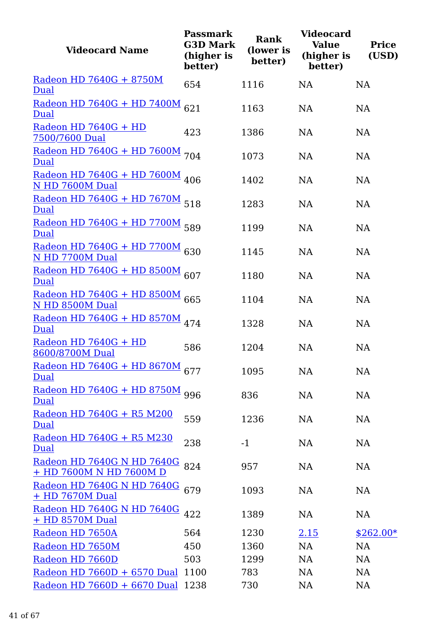| <b>Videocard Name</b>                                 | <b>Passmark</b><br><b>G3D Mark</b><br>(higher is<br>better) | <b>Rank</b><br>(lower is<br>better) | <b>Videocard</b><br><b>Value</b><br>(higher is<br>better) | <b>Price</b><br>(USD) |
|-------------------------------------------------------|-------------------------------------------------------------|-------------------------------------|-----------------------------------------------------------|-----------------------|
| Radeon HD 7640G + 8750M<br>Dual                       | 654                                                         | 1116                                | <b>NA</b>                                                 | <b>NA</b>             |
| <u> Radeon HD 7640G + HD 7400M</u><br>Dual            | 621                                                         | 1163                                | <b>NA</b>                                                 | NA                    |
| Radeon HD 7640G + HD<br>7500/7600 Dual                | 423                                                         | 1386                                | <b>NA</b>                                                 | NA                    |
| Radeon HD 7640G + HD 7600M<br><b>Dual</b>             | 704                                                         | 1073                                | <b>NA</b>                                                 | NA                    |
| Radeon HD 7640G + HD 7600M 406<br>N HD 7600M Dual     |                                                             | 1402                                | <b>NA</b>                                                 | NA                    |
| Radeon HD 7640G + HD 7670M 518<br>Dual                |                                                             | 1283                                | <b>NA</b>                                                 | NA                    |
| Radeon HD 7640G + HD 7700M 589<br>Dual                |                                                             | 1199                                | <b>NA</b>                                                 | <b>NA</b>             |
| Radeon HD 7640G + HD 7700M 630<br>N HD 7700M Dual     |                                                             | 1145                                | <b>NA</b>                                                 | NA                    |
| Radeon HD 7640G + HD 8500M 607<br>Dual                |                                                             | 1180                                | <b>NA</b>                                                 | NA                    |
| Radeon HD 7640G + HD 8500M<br>N HD 8500M Dual         | 665                                                         | 1104                                | <b>NA</b>                                                 | <b>NA</b>             |
| Radeon HD 7640G + HD 8570M 474<br>Dual                |                                                             | 1328                                | <b>NA</b>                                                 | NA                    |
| Radeon HD 7640G + HD<br>8600/8700M Dual               | 586                                                         | 1204                                | <b>NA</b>                                                 | NA                    |
| Radeon HD $7640G + HD 8670M$ 677<br>Dual              |                                                             | 1095                                | <b>NA</b>                                                 | NA                    |
| Radeon HD 7640G + HD 8750M<br>Dual                    | 996                                                         | 836                                 | NA                                                        | <b>NA</b>             |
| Radeon HD 7640G + R5 M200<br><b>Dual</b>              | 559                                                         | 1236                                | NA                                                        | <b>NA</b>             |
| Radeon HD 7640G + R5 M230<br>Dual                     | 238                                                         | $-1$                                | <b>NA</b>                                                 | <b>NA</b>             |
| Radeon HD 7640G N HD 7640G<br>+ HD 7600M N HD 7600M D | 824                                                         | 957                                 | NA                                                        | <b>NA</b>             |
| <u>Radeon HD 7640G N HD 7640G</u><br>+ HD 7670M Dual  | 679                                                         | 1093                                | NA                                                        | <b>NA</b>             |
| Radeon HD 7640G N HD 7640G<br>+ HD 8570M Dual         | 422                                                         | 1389                                | NA                                                        | <b>NA</b>             |
| Radeon HD 7650A                                       | 564                                                         | 1230                                | <u>2.15</u>                                               | $$262.00*$            |
| Radeon HD 7650M                                       | 450                                                         | 1360                                | <b>NA</b>                                                 | <b>NA</b>             |
| Radeon HD 7660D                                       | 503                                                         | 1299                                | NA                                                        | <b>NA</b>             |
| Radeon HD 7660D + 6570 Dual                           | 1100                                                        | 783                                 | NA                                                        | <b>NA</b>             |
| Radeon HD 7660D + 6670 Dual                           | 1238                                                        | 730                                 | <b>NA</b>                                                 | NA                    |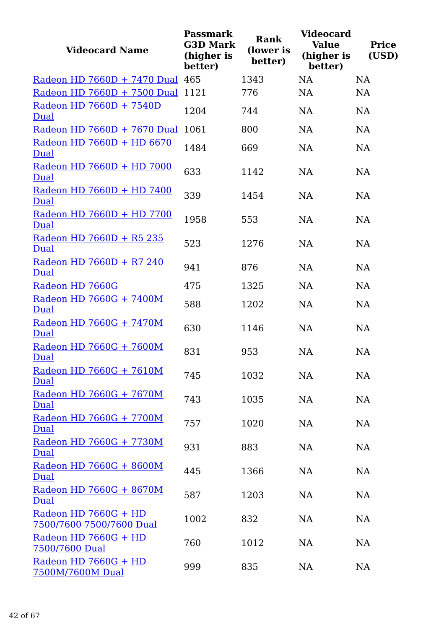| <b>Videocard Name</b>                            | <b>Passmark</b><br><b>G3D Mark</b><br>(higher is<br>better) | Rank<br>(lower is<br>better) | <b>Videocard</b><br><b>Value</b><br>(higher is<br>better) | <b>Price</b><br>(USD) |
|--------------------------------------------------|-------------------------------------------------------------|------------------------------|-----------------------------------------------------------|-----------------------|
| Radeon HD 7660D + 7470 Dual 465                  |                                                             | 1343                         | <b>NA</b>                                                 | <b>NA</b>             |
| Radeon HD 7660D + 7500 Dual                      | 1121                                                        | 776                          | <b>NA</b>                                                 | <b>NA</b>             |
| Radeon HD 7660D + 7540D<br>Dual                  | 1204                                                        | 744                          | <b>NA</b>                                                 | <b>NA</b>             |
| Radeon HD 7660D + 7670 Dual                      | 1061                                                        | 800                          | <b>NA</b>                                                 | <b>NA</b>             |
| Radeon HD 7660D + HD 6670<br>Dual                | 1484                                                        | 669                          | <b>NA</b>                                                 | NA                    |
| Radeon HD 7660D + HD 7000<br><b>Dual</b>         | 633                                                         | 1142                         | <b>NA</b>                                                 | <b>NA</b>             |
| Radeon HD 7660D + HD 7400<br>Dual                | 339                                                         | 1454                         | <b>NA</b>                                                 | <b>NA</b>             |
| Radeon HD 7660D + HD 7700<br>Dual                | 1958                                                        | 553                          | <b>NA</b>                                                 | <b>NA</b>             |
| Radeon HD 7660D + R5 235<br><b>Dual</b>          | 523                                                         | 1276                         | <b>NA</b>                                                 | <b>NA</b>             |
| Radeon HD 7660D + R7 240<br>Dual                 | 941                                                         | 876                          | <b>NA</b>                                                 | <b>NA</b>             |
| Radeon HD 7660G                                  | 475                                                         | 1325                         | <b>NA</b>                                                 | <b>NA</b>             |
| Radeon HD 7660G + 7400M<br>Dual                  | 588                                                         | 1202                         | <b>NA</b>                                                 | <b>NA</b>             |
| Radeon HD 7660G + 7470M<br>Dual                  | 630                                                         | 1146                         | <b>NA</b>                                                 | <b>NA</b>             |
| Radeon HD 7660G + 7600M<br><u>Dual</u>           | 831                                                         | 953                          | <b>NA</b>                                                 | <b>NA</b>             |
| Radeon HD 7660G + 7610M<br>Dual                  | 745                                                         | 1032                         | NA                                                        | <b>NA</b>             |
| Radeon HD 7660G + 7670M<br>Dual                  | 743                                                         | 1035                         | NA                                                        | NA                    |
| Radeon HD 7660G + 7700M<br>Dual                  | 757                                                         | 1020                         | NA                                                        | <b>NA</b>             |
| Radeon HD 7660G + 7730M<br>Dual                  | 931                                                         | 883                          | NA                                                        | <b>NA</b>             |
| Radeon HD 7660G + 8600M<br>Dual                  | 445                                                         | 1366                         | NA                                                        | <b>NA</b>             |
| Radeon HD 7660G + 8670M<br>Dual                  | 587                                                         | 1203                         | NA                                                        | <b>NA</b>             |
| Radeon HD 7660G + HD<br>7500/7600 7500/7600 Dual | 1002                                                        | 832                          | NA                                                        | <b>NA</b>             |
| Radeon HD 7660G + HD<br>7500/7600 Dual           | 760                                                         | 1012                         | NA                                                        | <b>NA</b>             |
| Radeon HD 7660G + HD<br>7500M/7600M Dual         | 999                                                         | 835                          | NA                                                        | NA                    |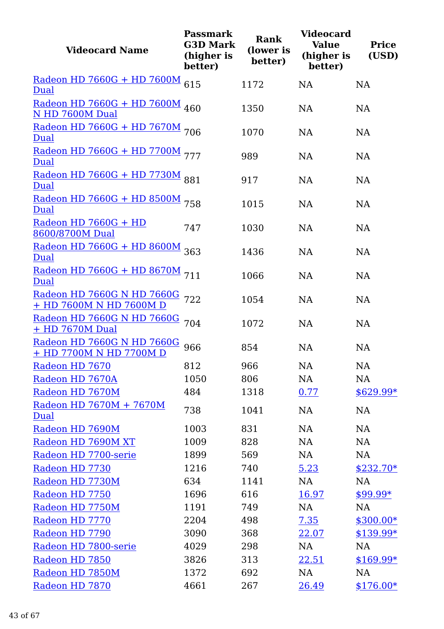| <b>Videocard Name</b>                                     | <b>Passmark</b><br><b>G3D Mark</b><br>(higher is<br>better) | <b>Rank</b><br>(lower is<br>better) | <b>Videocard</b><br><b>Value</b><br>(higher is<br>better) | <b>Price</b><br>(USD) |
|-----------------------------------------------------------|-------------------------------------------------------------|-------------------------------------|-----------------------------------------------------------|-----------------------|
| Radeon HD 7660G + HD 7600M<br><b>Dual</b>                 | 615                                                         | 1172                                | <b>NA</b>                                                 | NA                    |
| Radeon HD 7660G + HD 7600M 460<br>N HD 7600M Dual         |                                                             | 1350                                | <b>NA</b>                                                 | NA                    |
| Radeon HD 7660G + HD 7670M 706<br>Dual                    |                                                             | 1070                                | <b>NA</b>                                                 | <b>NA</b>             |
| Radeon HD 7660G + HD 7700M 777<br>Dual                    |                                                             | 989                                 | <b>NA</b>                                                 | NA                    |
| Radeon HD 7660G + HD 7730M 881<br>Dual                    |                                                             | 917                                 | NA                                                        | NA                    |
| Radeon HD 7660G + HD 8500M 758<br>Dual                    |                                                             | 1015                                | <b>NA</b>                                                 | <b>NA</b>             |
| Radeon HD 7660G + HD<br>8600/8700M Dual                   | 747                                                         | 1030                                | <b>NA</b>                                                 | NA                    |
| Radeon HD 7660G + HD 8600M 363<br>Dual                    |                                                             | 1436                                | <b>NA</b>                                                 | NA                    |
| Radeon HD 7660G + HD 8670M 711<br>Dual                    |                                                             | 1066                                | <b>NA</b>                                                 | <b>NA</b>             |
| Radeon HD 7660G N HD 7660G 722<br>+ HD 7600M N HD 7600M D |                                                             | 1054                                | <b>NA</b>                                                 | NA                    |
| Radeon HD 7660G N HD 7660G<br>+ HD 7670M Dual             | 704                                                         | 1072                                | <b>NA</b>                                                 | NA                    |
| Radeon HD 7660G N HD 7660G<br>+ HD 7700M N HD 7700M D     | 966                                                         | 854                                 | <b>NA</b>                                                 | NA                    |
| Radeon HD 7670                                            | 812                                                         | 966                                 | $\rm NA$                                                  | NA                    |
| Radeon HD 7670A                                           | 1050                                                        | 806                                 | NA                                                        | NA                    |
| Radeon HD 7670M                                           | 484                                                         | 1318                                | 0.77                                                      | $$629.99*$            |
| Radeon HD 7670M + 7670M<br><b>Dual</b>                    | 738                                                         | 1041                                | <b>NA</b>                                                 | NA                    |
| Radeon HD 7690M                                           | 1003                                                        | 831                                 | <b>NA</b>                                                 | NA                    |
| Radeon HD 7690M XT                                        | 1009                                                        | 828                                 | <b>NA</b>                                                 | NA                    |
| Radeon HD 7700-serie                                      | 1899                                                        | 569                                 | <b>NA</b>                                                 | NA                    |
| Radeon HD 7730                                            | 1216                                                        | 740                                 | 5.23                                                      | $$232.70*$            |
| Radeon HD 7730M                                           | 634                                                         | 1141                                | NA                                                        | NA                    |
| Radeon HD 7750                                            | 1696                                                        | 616                                 | <u>16.97</u>                                              | $$99.99*$             |
| Radeon HD 7750M                                           | 1191                                                        | 749                                 | NA                                                        | NA                    |
| Radeon HD 7770                                            | 2204                                                        | 498                                 | 7.35                                                      | $$300.00*$            |
| Radeon HD 7790                                            | 3090                                                        | 368                                 | 22.07                                                     | $$139.99*$            |
| Radeon HD 7800-serie                                      | 4029                                                        | 298                                 | NA                                                        | NA                    |
| Radeon HD 7850                                            | 3826                                                        | 313                                 | 22.51                                                     | $$169.99*$            |
| Radeon HD 7850M                                           | 1372                                                        | 692                                 | NA                                                        | NA                    |
| Radeon HD 7870                                            | 4661                                                        | 267                                 | 26.49                                                     | $$176.00*$            |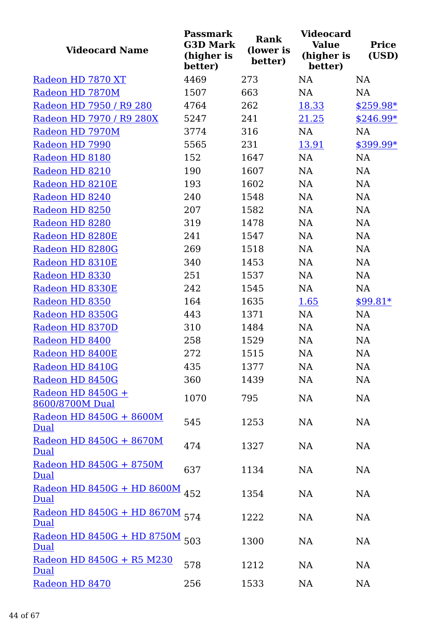| <b>Videocard Name</b>                         | <b>Passmark</b><br><b>G3D Mark</b><br>(higher is<br>better) | <b>Rank</b><br>(lower is<br>better) | <b>Videocard</b><br><b>Value</b><br>(higher is<br>better) | <b>Price</b><br>(USD) |
|-----------------------------------------------|-------------------------------------------------------------|-------------------------------------|-----------------------------------------------------------|-----------------------|
| Radeon HD 7870 XT                             | 4469                                                        | 273                                 | <b>NA</b>                                                 | <b>NA</b>             |
| Radeon HD 7870M                               | 1507                                                        | 663                                 | <b>NA</b>                                                 | NA                    |
| Radeon HD 7950 / R9 280                       | 4764                                                        | 262                                 | 18.33                                                     | $$259.98*$            |
| Radeon HD 7970 / R9 280X                      | 5247                                                        | 241                                 | 21.25                                                     | $$246.99*$            |
| Radeon HD 7970M                               | 3774                                                        | 316                                 | <b>NA</b>                                                 | <b>NA</b>             |
| Radeon HD 7990                                | 5565                                                        | 231                                 | 13.91                                                     | \$399.99*             |
| Radeon HD 8180                                | 152                                                         | 1647                                | <b>NA</b>                                                 | <b>NA</b>             |
| Radeon HD 8210                                | 190                                                         | 1607                                | <b>NA</b>                                                 | NA                    |
| Radeon HD 8210E                               | 193                                                         | 1602                                | NA                                                        | NA                    |
| Radeon HD 8240                                | 240                                                         | 1548                                | NA                                                        | NA                    |
| Radeon HD 8250                                | 207                                                         | 1582                                | <b>NA</b>                                                 | NA                    |
| Radeon HD 8280                                | 319                                                         | 1478                                | <b>NA</b>                                                 | NA                    |
| Radeon HD 8280E                               | 241                                                         | 1547                                | <b>NA</b>                                                 | NA                    |
| Radeon HD 8280G                               | 269                                                         | 1518                                | <b>NA</b>                                                 | NA                    |
| Radeon HD 8310E                               | 340                                                         | 1453                                | <b>NA</b>                                                 | NA                    |
| Radeon HD 8330                                | 251                                                         | 1537                                | <b>NA</b>                                                 | <b>NA</b>             |
| Radeon HD 8330E                               | 242                                                         | 1545                                | <b>NA</b>                                                 | NA                    |
| Radeon HD 8350                                | 164                                                         | 1635                                | 1.65                                                      | $$99.81*$             |
| Radeon HD 8350G                               | 443                                                         | 1371                                | NA                                                        | NA                    |
| Radeon HD 8370D                               | 310                                                         | 1484                                | <b>NA</b>                                                 | NA                    |
| Radeon HD 8400                                | 258                                                         | 1529                                | <b>NA</b>                                                 | NA                    |
| Radeon HD 8400E                               | 272                                                         | 1515                                | NA                                                        | NA                    |
| Radeon HD 8410G                               | 435                                                         | 1377                                | NA                                                        | NA                    |
| Radeon HD 8450G                               | 360                                                         | 1439                                | NA                                                        | NA                    |
| Radeon HD 8450G +                             | 1070                                                        | 795                                 | NA                                                        | NA                    |
| 8600/8700M Dual                               |                                                             |                                     |                                                           |                       |
| Radeon HD 8450G + 8600M<br>Dual               | 545                                                         | 1253                                | <b>NA</b>                                                 | NA                    |
| Radeon HD 8450G + 8670M<br><b>Dual</b>        | 474                                                         | 1327                                | <b>NA</b>                                                 | NA                    |
| Radeon HD 8450G + 8750M<br>Dual               | 637                                                         | 1134                                | <b>NA</b>                                                 | NA                    |
| <u>Radeon HD 8450G + HD 8600M</u><br>Dual     | 452                                                         | 1354                                | <b>NA</b>                                                 | NA                    |
| Radeon HD 8450G + HD 8670M 574<br><b>Dual</b> |                                                             | 1222                                | <b>NA</b>                                                 | NA                    |
| Radeon HD 8450G + HD 8750M<br>Dual            | 503                                                         | 1300                                | <b>NA</b>                                                 | NA                    |
| Radeon HD 8450G + R5 M230<br>Dual             | 578                                                         | 1212                                | <b>NA</b>                                                 | NA                    |
| Radeon HD 8470                                | 256                                                         | 1533                                | NA                                                        | NA                    |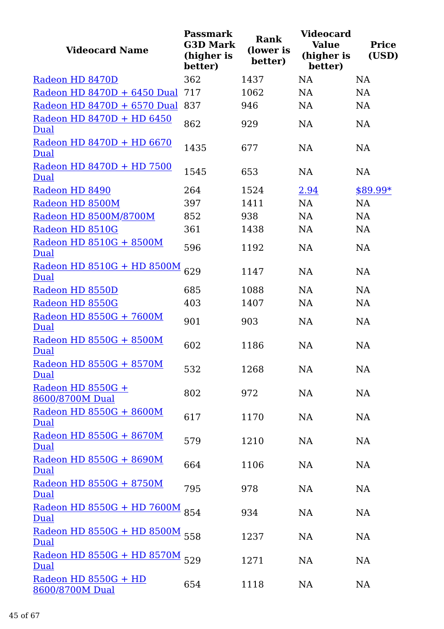| <b>Videocard Name</b>                     | <b>Passmark</b><br><b>G3D Mark</b><br>(higher is<br>better) | <b>Rank</b><br>(lower is<br>better) | <b>Videocard</b><br><b>Value</b><br>(higher is<br>better) | <b>Price</b><br>(USD) |
|-------------------------------------------|-------------------------------------------------------------|-------------------------------------|-----------------------------------------------------------|-----------------------|
| Radeon HD 8470D                           | 362                                                         | 1437                                | NA                                                        | <b>NA</b>             |
| Radeon HD 8470D + 6450 Dual               | 717                                                         | 1062                                | NA                                                        | <b>NA</b>             |
| Radeon HD 8470D + 6570 Dual               | 837                                                         | 946                                 | <b>NA</b>                                                 | <b>NA</b>             |
| Radeon HD 8470D + HD 6450<br>Dual         | 862                                                         | 929                                 | <b>NA</b>                                                 | <b>NA</b>             |
| Radeon HD 8470D + HD 6670<br>Dual         | 1435                                                        | 677                                 | <b>NA</b>                                                 | <b>NA</b>             |
| Radeon HD 8470D + HD 7500<br>Dual         | 1545                                                        | 653                                 | <b>NA</b>                                                 | <b>NA</b>             |
| Radeon HD 8490                            | 264                                                         | 1524                                | 2.94                                                      | \$89.99*              |
| Radeon HD 8500M                           | 397                                                         | 1411                                | <b>NA</b>                                                 | <b>NA</b>             |
| Radeon HD 8500M/8700M                     | 852                                                         | 938                                 | <b>NA</b>                                                 | <b>NA</b>             |
| Radeon HD 8510G                           | 361                                                         | 1438                                | <b>NA</b>                                                 | <b>NA</b>             |
| Radeon HD 8510G + 8500M<br>Dual           | 596                                                         | 1192                                | <b>NA</b>                                                 | NA                    |
| Radeon HD 8510G + HD 8500M<br><b>Dual</b> | 629                                                         | 1147                                | <b>NA</b>                                                 | <b>NA</b>             |
| Radeon HD 8550D                           | 685                                                         | 1088                                | <b>NA</b>                                                 | NA                    |
| Radeon HD 8550G                           | 403                                                         | 1407                                | <b>NA</b>                                                 | NA                    |
| Radeon HD 8550G + 7600M<br>Dual           | 901                                                         | 903                                 | <b>NA</b>                                                 | <b>NA</b>             |
| Radeon HD 8550G + 8500M<br>Dual           | 602                                                         | 1186                                | <b>NA</b>                                                 | <b>NA</b>             |
| Radeon HD 8550G + 8570M<br>Dual           | 532                                                         | 1268                                | NA                                                        | NA                    |
| Radeon HD 8550G +<br>8600/8700M Dual      | 802                                                         | 972                                 | <b>NA</b>                                                 | <b>NA</b>             |
| Radeon HD 8550G + 8600M<br><b>Dual</b>    | 617                                                         | 1170                                | <b>NA</b>                                                 | NA                    |
| Radeon HD 8550G + 8670M<br>Dual           | 579                                                         | 1210                                | NA                                                        | NA                    |
| Radeon HD 8550G + 8690M<br>Dual           | 664                                                         | 1106                                | <b>NA</b>                                                 | <b>NA</b>             |
| Radeon HD 8550G + 8750M<br>Dual           | 795                                                         | 978                                 | NA                                                        | NA                    |
| Radeon HD 8550G + HD 7600M<br>Dual        | 854                                                         | 934                                 | <b>NA</b>                                                 | NA                    |
| <u>Radeon HD 8550G + HD 8500M</u><br>Dual | 558                                                         | 1237                                | <b>NA</b>                                                 | <b>NA</b>             |
| Radeon HD 8550G + HD 8570M<br>Dual        | 529                                                         | 1271                                | <b>NA</b>                                                 | NA                    |
| Radeon HD 8550G + HD<br>8600/8700M Dual   | 654                                                         | 1118                                | NA                                                        | NA                    |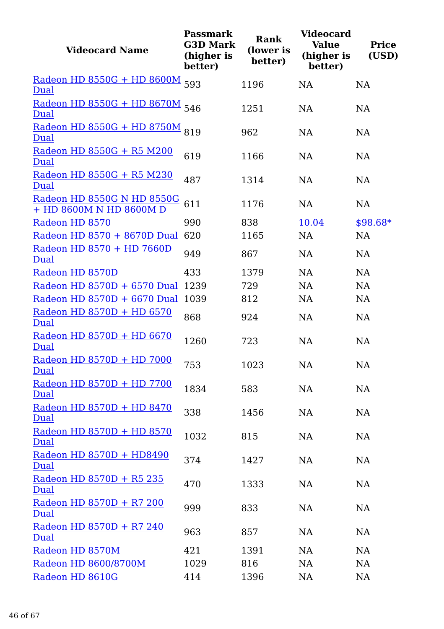| <b>Videocard Name</b>                                 | <b>Passmark</b><br><b>G3D Mark</b><br>(higher is<br>better) | <b>Rank</b><br>(lower is<br>better) | <b>Videocard</b><br><b>Value</b><br>(higher is<br>better) | <b>Price</b><br>(USD) |
|-------------------------------------------------------|-------------------------------------------------------------|-------------------------------------|-----------------------------------------------------------|-----------------------|
| Radeon HD 8550G + HD 8600M<br>Dual                    | 593                                                         | 1196                                | <b>NA</b>                                                 | <b>NA</b>             |
| Radeon HD 8550G + HD 8670M 546<br>Dual                |                                                             | 1251                                | <b>NA</b>                                                 | <b>NA</b>             |
| Radeon HD 8550G + HD 8750M<br>Dual                    | 819                                                         | 962                                 | <b>NA</b>                                                 | NA                    |
| Radeon HD 8550G + R5 M200<br>Dual                     | 619                                                         | 1166                                | <b>NA</b>                                                 | <b>NA</b>             |
| Radeon HD 8550G + R5 M230<br>Dual                     | 487                                                         | 1314                                | <b>NA</b>                                                 | <b>NA</b>             |
| Radeon HD 8550G N HD 8550G<br>+ HD 8600M N HD 8600M D | 611                                                         | 1176                                | <b>NA</b>                                                 | <b>NA</b>             |
| Radeon HD 8570                                        | 990                                                         | 838                                 | 10.04                                                     | $$98.68*$             |
| Radeon HD 8570 + 8670D Dual                           | 620                                                         | 1165                                | <b>NA</b>                                                 | <b>NA</b>             |
| Radeon HD 8570 + HD 7660D<br>Dual                     | 949                                                         | 867                                 | <b>NA</b>                                                 | NA                    |
| Radeon HD 8570D                                       | 433                                                         | 1379                                | <b>NA</b>                                                 | NA                    |
| Radeon HD 8570D + 6570 Dual                           | 1239                                                        | 729                                 | <b>NA</b>                                                 | <b>NA</b>             |
| Radeon HD 8570D + 6670 Dual                           | 1039                                                        | 812                                 | <b>NA</b>                                                 | NA                    |
| Radeon HD 8570D + HD 6570<br>Dual                     | 868                                                         | 924                                 | <b>NA</b>                                                 | <b>NA</b>             |
| Radeon HD 8570D + HD 6670<br>Dual                     | 1260                                                        | 723                                 | NA                                                        | NA                    |
| Radeon HD 8570D + HD 7000<br>Dual                     | 753                                                         | 1023                                | NA                                                        | NA                    |
| Radeon HD 8570D + HD 7700<br>Dual                     | 1834                                                        | 583                                 | NA                                                        | NA                    |
| Radeon HD 8570D + HD 8470<br><b>Dual</b>              | 338                                                         | 1456                                | NA                                                        | NA                    |
| Radeon HD 8570D + HD 8570<br>Dual                     | 1032                                                        | 815                                 | <b>NA</b>                                                 | NA                    |
| Radeon HD 8570D + HD8490<br>Dual                      | 374                                                         | 1427                                | NA                                                        | NA                    |
| Radeon HD 8570D + R5 235<br><b>Dual</b>               | 470                                                         | 1333                                | NA                                                        | NA                    |
| Radeon HD 8570D + R7 200<br>Dual                      | 999                                                         | 833                                 | <b>NA</b>                                                 | NA                    |
| Radeon HD 8570D + R7 240<br>Dual                      | 963                                                         | 857                                 | <b>NA</b>                                                 | NA                    |
| Radeon HD 8570M                                       | 421                                                         | 1391                                | <b>NA</b>                                                 | NA                    |
| Radeon HD 8600/8700M                                  | 1029                                                        | 816                                 | <b>NA</b>                                                 | NA                    |
| Radeon HD 8610G                                       | 414                                                         | 1396                                | NA                                                        | NA                    |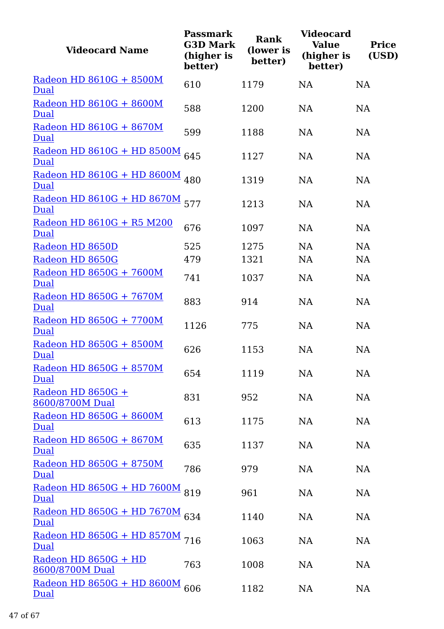| <b>Videocard Name</b>                     | <b>Passmark</b><br><b>G3D Mark</b><br>(higher is<br>better) | <b>Rank</b><br>(lower is<br>better) | <b>Videocard</b><br><b>Value</b><br>(higher is<br>better) | <b>Price</b><br>(USD) |
|-------------------------------------------|-------------------------------------------------------------|-------------------------------------|-----------------------------------------------------------|-----------------------|
| Radeon HD 8610G + 8500M<br>Dual           | 610                                                         | 1179                                | <b>NA</b>                                                 | <b>NA</b>             |
| Radeon HD 8610G + 8600M<br>Dual           | 588                                                         | 1200                                | <b>NA</b>                                                 | <b>NA</b>             |
| Radeon HD 8610G + 8670M<br>Dual           | 599                                                         | 1188                                | <b>NA</b>                                                 | NA                    |
| <u>Radeon HD 8610G + HD 8500M</u><br>Dual | 645                                                         | 1127                                | <b>NA</b>                                                 | NA                    |
| Radeon HD 8610G + HD 8600M 480<br>Dual    |                                                             | 1319                                | <b>NA</b>                                                 | <b>NA</b>             |
| Radeon HD 8610G + HD 8670M<br>Dual        | 577                                                         | 1213                                | <b>NA</b>                                                 | <b>NA</b>             |
| Radeon HD 8610G + R5 M200<br>Dual         | 676                                                         | 1097                                | <b>NA</b>                                                 | <b>NA</b>             |
| Radeon HD 8650D                           | 525                                                         | 1275                                | <b>NA</b>                                                 | <b>NA</b>             |
| Radeon HD 8650G                           | 479                                                         | 1321                                | <b>NA</b>                                                 | NA                    |
| Radeon HD 8650G + 7600M<br>Dual           | 741                                                         | 1037                                | NA                                                        | NA                    |
| Radeon HD 8650G + 7670M<br>Dual           | 883                                                         | 914                                 | <b>NA</b>                                                 | <b>NA</b>             |
| Radeon HD 8650G + 7700M<br>Dual           | 1126                                                        | 775                                 | <b>NA</b>                                                 | <b>NA</b>             |
| Radeon HD 8650G + 8500M<br><b>Dual</b>    | 626                                                         | 1153                                | NA                                                        | NA                    |
| Radeon HD 8650G + 8570M<br>Dual           | 654                                                         | 1119                                | NA                                                        | <b>NA</b>             |
| Radeon HD 8650G +<br>8600/8700M Dual      | 831                                                         | 952                                 | NA                                                        | NA                    |
| Radeon HD 8650G + 8600M<br><u>Dual</u>    | 613                                                         | 1175                                | NA                                                        | NA                    |
| Radeon HD 8650G + 8670M<br>Dual           | 635                                                         | 1137                                | <b>NA</b>                                                 | NA                    |
| Radeon HD 8650G + 8750M<br>Dual           | 786                                                         | 979                                 | NA                                                        | NA                    |
| Radeon HD 8650G + HD 7600M<br><b>Dual</b> | 819                                                         | 961                                 | <b>NA</b>                                                 | NA                    |
| Radeon HD 8650G + HD 7670M 634<br>Dual    |                                                             | 1140                                | <b>NA</b>                                                 | NA                    |
| Radeon HD 8650G + HD 8570M 716<br>Dual    |                                                             | 1063                                | <b>NA</b>                                                 | NA                    |
| Radeon HD 8650G + HD<br>8600/8700M Dual   | 763                                                         | 1008                                | <b>NA</b>                                                 | NA                    |
| Radeon HD 8650G + HD 8600M<br>Dual        | 606                                                         | 1182                                | <b>NA</b>                                                 | NA                    |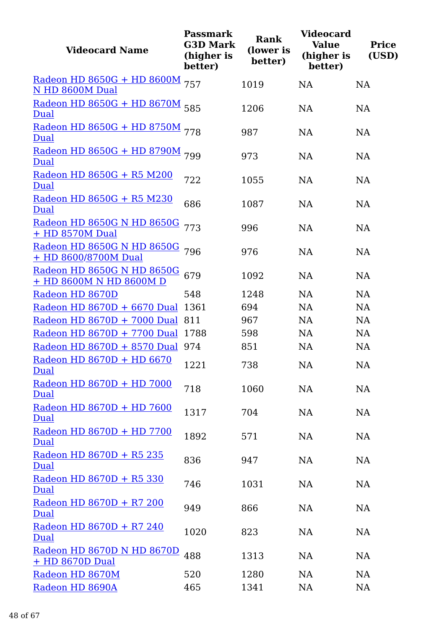| <b>Videocard Name</b>                                 | <b>Passmark</b><br><b>G3D Mark</b><br>(higher is<br>better) | <b>Rank</b><br>(lower is<br>better) | <b>Videocard</b><br><b>Value</b><br>(higher is<br>better) | <b>Price</b><br>(USD) |
|-------------------------------------------------------|-------------------------------------------------------------|-------------------------------------|-----------------------------------------------------------|-----------------------|
| <u>Radeon HD 8650G + HD 8600M</u><br>N HD 8600M Dual  | 757                                                         | 1019                                | <b>NA</b>                                                 | NA                    |
| Radeon HD 8650G + HD 8670M 585<br>Dual                |                                                             | 1206                                | <b>NA</b>                                                 | <b>NA</b>             |
| Radeon HD 8650G + HD 8750M 778<br>Dual                |                                                             | 987                                 | <b>NA</b>                                                 | NA                    |
| Radeon HD 8650G + HD 8790M 799<br><b>Dual</b>         |                                                             | 973                                 | <b>NA</b>                                                 | NA                    |
| Radeon HD 8650G + R5 M200<br>Dual                     | 722                                                         | 1055                                | <b>NA</b>                                                 | <b>NA</b>             |
| Radeon HD 8650G + R5 M230<br>Dual                     | 686                                                         | 1087                                | <b>NA</b>                                                 | NA                    |
| Radeon HD 8650G N HD 8650G<br>+ HD 8570M Dual         | 773                                                         | 996                                 | <b>NA</b>                                                 | NA                    |
| Radeon HD 8650G N HD 8650G<br>+ HD 8600/8700M Dual    | 796                                                         | 976                                 | <b>NA</b>                                                 | NA                    |
| Radeon HD 8650G N HD 8650G<br>+ HD 8600M N HD 8600M D | 679                                                         | 1092                                | <b>NA</b>                                                 | NA                    |
| Radeon HD 8670D                                       | 548                                                         | 1248                                | <b>NA</b>                                                 | <b>NA</b>             |
| Radeon HD $8670D + 6670$ Dual                         | 1361                                                        | 694                                 | NA                                                        | <b>NA</b>             |
| Radeon HD $8670D + 7000$ Dual                         | 811                                                         | 967                                 | NA                                                        | <b>NA</b>             |
| Radeon HD 8670D + 7700 Dual                           | 1788                                                        | 598                                 | NA                                                        | <b>NA</b>             |
| Radeon HD 8670D + 8570 Dual                           | 974                                                         | 851                                 | <b>NA</b>                                                 | <b>NA</b>             |
| Radeon HD 8670D + HD 6670<br>Dual                     | 1221                                                        | 738                                 | NA                                                        | NA                    |
| Radeon HD 8670D + HD 7000<br><b>Dual</b>              | 718                                                         | 1060                                | NA                                                        | NA                    |
| Radeon HD 8670D + HD 7600<br>Dual                     | 1317                                                        | 704                                 | NA                                                        | NA                    |
| Radeon HD 8670D + HD 7700<br>Dual                     | 1892                                                        | 571                                 | <b>NA</b>                                                 | NA                    |
| Radeon HD 8670D + R5 235<br>Dual                      | 836                                                         | 947                                 | NA                                                        | <b>NA</b>             |
| Radeon HD 8670D + R5 330<br>Dual                      | 746                                                         | 1031                                | NA                                                        | NA                    |
| Radeon HD 8670D + R7 200<br>Dual                      | 949                                                         | 866                                 | <b>NA</b>                                                 | NA                    |
| Radeon HD 8670D + R7 240<br>Dual                      | 1020                                                        | 823                                 | NA                                                        | <b>NA</b>             |
| Radeon HD 8670D N HD 8670D<br>+ HD 8670D Dual         | 488                                                         | 1313                                | NA                                                        | NA                    |
| Radeon HD 8670M                                       | 520                                                         | 1280                                | NA                                                        | <b>NA</b>             |
| Radeon HD 8690A                                       | 465                                                         | 1341                                | NA                                                        | <b>NA</b>             |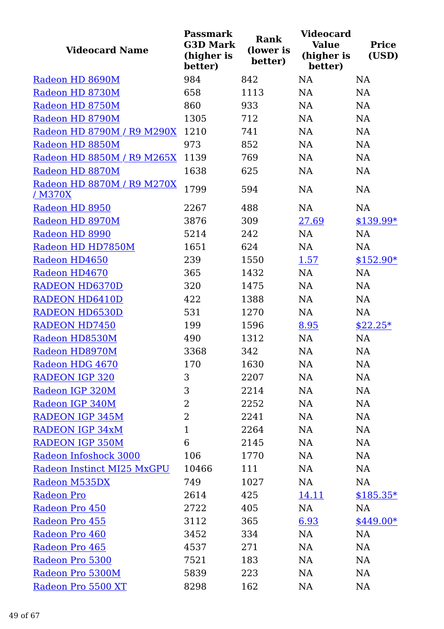| <b>Videocard Name</b>                 | <b>Passmark</b><br><b>G3D Mark</b><br>(higher is<br>better) | <b>Rank</b><br>(lower is<br>better) | <b>Videocard</b><br><b>Value</b><br>(higher is<br>better) | <b>Price</b><br>(USD) |
|---------------------------------------|-------------------------------------------------------------|-------------------------------------|-----------------------------------------------------------|-----------------------|
| Radeon HD 8690M                       | 984                                                         | 842                                 | <b>NA</b>                                                 | <b>NA</b>             |
| Radeon HD 8730M                       | 658                                                         | 1113                                | <b>NA</b>                                                 | <b>NA</b>             |
| Radeon HD 8750M                       | 860                                                         | 933                                 | <b>NA</b>                                                 | <b>NA</b>             |
| Radeon HD 8790M                       | 1305                                                        | 712                                 | <b>NA</b>                                                 | <b>NA</b>             |
| Radeon HD 8790M / R9 M290X            | 1210                                                        | 741                                 | <b>NA</b>                                                 | <b>NA</b>             |
| Radeon HD 8850M                       | 973                                                         | 852                                 | <b>NA</b>                                                 | <b>NA</b>             |
| Radeon HD 8850M / R9 M265X            | 1139                                                        | 769                                 | <b>NA</b>                                                 | <b>NA</b>             |
| Radeon HD 8870M                       | 1638                                                        | 625                                 | <b>NA</b>                                                 | <b>NA</b>             |
| Radeon HD 8870M / R9 M270X<br>/ M370X | 1799                                                        | 594                                 | <b>NA</b>                                                 | <b>NA</b>             |
| Radeon HD 8950                        | 2267                                                        | 488                                 | <b>NA</b>                                                 | <b>NA</b>             |
| Radeon HD 8970M                       | 3876                                                        | 309                                 | 27.69                                                     | $$139.99*$            |
| Radeon HD 8990                        | 5214                                                        | 242                                 | <b>NA</b>                                                 | <b>NA</b>             |
| Radeon HD HD7850M                     | 1651                                                        | 624                                 | NA                                                        | NA                    |
| Radeon HD4650                         | 239                                                         | 1550                                | 1.57                                                      | $$152.90*$            |
| Radeon HD4670                         | 365                                                         | 1432                                | <b>NA</b>                                                 | <b>NA</b>             |
| <b>RADEON HD6370D</b>                 | 320                                                         | 1475                                | <b>NA</b>                                                 | NA                    |
| <b>RADEON HD6410D</b>                 | 422                                                         | 1388                                | <b>NA</b>                                                 | <b>NA</b>             |
| <b>RADEON HD6530D</b>                 | 531                                                         | 1270                                | <b>NA</b>                                                 | NA                    |
| <b>RADEON HD7450</b>                  | 199                                                         | 1596                                | 8.95                                                      | $$22.25*$             |
| Radeon HD8530M                        | 490                                                         | 1312                                | <b>NA</b>                                                 | NA                    |
| Radeon HD8970M                        | 3368                                                        | 342                                 | <b>NA</b>                                                 | <b>NA</b>             |
| Radeon HDG 4670                       | 170                                                         | 1630                                | NA                                                        | NA                    |
| <b>RADEON IGP 320</b>                 | 3                                                           | 2207                                | NA                                                        | NA                    |
| Radeon IGP 320M                       | 3                                                           | 2214                                | NA                                                        | <b>NA</b>             |
| Radeon IGP 340M                       | $\overline{2}$                                              | 2252                                | NA                                                        | NA                    |
| <b>RADEON IGP 345M</b>                | 2                                                           | 2241                                | NA                                                        | NA                    |
| <b>RADEON IGP 34xM</b>                | 1                                                           | 2264                                | NA                                                        | NA                    |
| <b>RADEON IGP 350M</b>                | 6                                                           | 2145                                | NA                                                        | <b>NA</b>             |
| Radeon Infoshock 3000                 | 106                                                         | 1770                                | NA                                                        | NA                    |
| Radeon Instinct MI25 MxGPU            | 10466                                                       | 111                                 | NA                                                        | <b>NA</b>             |
| Radeon M535DX                         | 749                                                         | 1027                                | NA                                                        | <b>NA</b>             |
| <b>Radeon Pro</b>                     | 2614                                                        | 425                                 | 14.11                                                     | $$185.35*$            |
| Radeon Pro 450                        | 2722                                                        | 405                                 | NA                                                        | NA                    |
| Radeon Pro 455                        | 3112                                                        | 365                                 | 6.93                                                      | $$449.00*$            |
| Radeon Pro 460                        | 3452                                                        | 334                                 | NA                                                        | NA                    |
| Radeon Pro 465                        | 4537                                                        | 271                                 | NA                                                        | NA                    |
| Radeon Pro 5300                       | 7521                                                        | 183                                 | NA                                                        | <b>NA</b>             |
| Radeon Pro 5300M                      | 5839                                                        | 223                                 | NA                                                        | NA                    |
| Radeon Pro 5500 XT                    | 8298                                                        | 162                                 | NA                                                        | NA                    |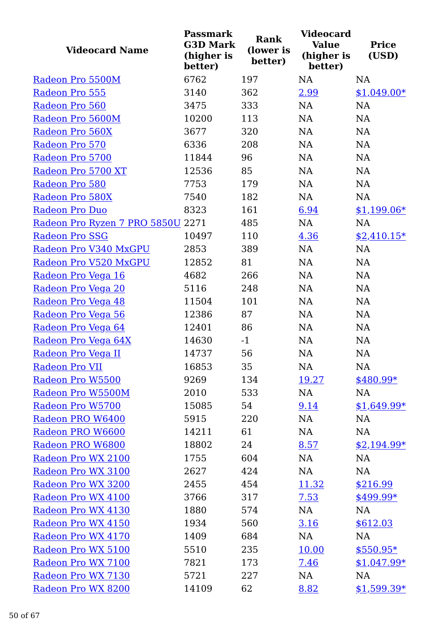| <b>Videocard Name</b>             | <b>Passmark</b><br><b>G3D Mark</b><br>(higher is<br>better) | <b>Rank</b><br>(lower is<br>better) | <b>Videocard</b><br><b>Value</b><br>(higher is<br>better) | <b>Price</b><br>(USD) |
|-----------------------------------|-------------------------------------------------------------|-------------------------------------|-----------------------------------------------------------|-----------------------|
| Radeon Pro 5500M                  | 6762                                                        | 197                                 | NA                                                        | <b>NA</b>             |
| Radeon Pro 555                    | 3140                                                        | 362                                 | 2.99                                                      | $$1,049.00*$          |
| Radeon Pro 560                    | 3475                                                        | 333                                 | <b>NA</b>                                                 | <b>NA</b>             |
| Radeon Pro 5600M                  | 10200                                                       | 113                                 | NA                                                        | <b>NA</b>             |
| Radeon Pro 560X                   | 3677                                                        | 320                                 | NA                                                        | <b>NA</b>             |
| Radeon Pro 570                    | 6336                                                        | 208                                 | <b>NA</b>                                                 | <b>NA</b>             |
| Radeon Pro 5700                   | 11844                                                       | 96                                  | <b>NA</b>                                                 | <b>NA</b>             |
| Radeon Pro 5700 XT                | 12536                                                       | 85                                  | NA                                                        | <b>NA</b>             |
| Radeon Pro 580                    | 7753                                                        | 179                                 | <b>NA</b>                                                 | <b>NA</b>             |
| Radeon Pro 580X                   | 7540                                                        | 182                                 | NA                                                        | NA                    |
| <b>Radeon Pro Duo</b>             | 8323                                                        | 161                                 | 6.94                                                      | $$1,199.06*$          |
| Radeon Pro Ryzen 7 PRO 5850U 2271 |                                                             | 485                                 | NA                                                        | NA                    |
| <b>Radeon Pro SSG</b>             | 10497                                                       | 110                                 | 4.36                                                      | $$2,410.15*$          |
| Radeon Pro V340 MxGPU             | 2853                                                        | 389                                 | NA                                                        | <b>NA</b>             |
| Radeon Pro V520 MxGPU             | 12852                                                       | 81                                  | <b>NA</b>                                                 | <b>NA</b>             |
| Radeon Pro Vega 16                | 4682                                                        | 266                                 | NA                                                        | <b>NA</b>             |
| Radeon Pro Vega 20                | 5116                                                        | 248                                 | NA                                                        | NA                    |
| Radeon Pro Vega 48                | 11504                                                       | 101                                 | <b>NA</b>                                                 | <b>NA</b>             |
| Radeon Pro Vega 56                | 12386                                                       | 87                                  | <b>NA</b>                                                 | <b>NA</b>             |
| Radeon Pro Vega 64                | 12401                                                       | 86                                  | NA                                                        | <b>NA</b>             |
| Radeon Pro Vega 64X               | 14630                                                       | $-1$                                | NA                                                        | NA                    |
| Radeon Pro Vega II                | 14737                                                       | 56                                  | <b>NA</b>                                                 | NA                    |
| Radeon Pro VII                    | 16853                                                       | 35                                  | NA                                                        | NA                    |
| Radeon Pro W5500                  | 9269                                                        | 134                                 | 19.27                                                     | $$480.99*$            |
| Radeon Pro W5500M                 | 2010                                                        | 533                                 | NA                                                        | <b>NA</b>             |
| Radeon Pro W5700                  | 15085                                                       | 54                                  | 9.14                                                      | $$1,649.99*$          |
| Radeon PRO W6400                  | 5915                                                        | 220                                 | NA                                                        | NA                    |
| Radeon PRO W6600                  | 14211                                                       | 61                                  | NA                                                        | <b>NA</b>             |
| Radeon PRO W6800                  | 18802                                                       | 24                                  | 8.57                                                      | $$2,194.99*$          |
| Radeon Pro WX 2100                | 1755                                                        | 604                                 | NA                                                        | <b>NA</b>             |
| Radeon Pro WX 3100                | 2627                                                        | 424                                 | NA                                                        | NA                    |
| Radeon Pro WX 3200                | 2455                                                        | 454                                 | 11.32                                                     | \$216.99              |
| Radeon Pro WX 4100                | 3766                                                        | 317                                 | 7.53                                                      | $$499.99*$            |
| Radeon Pro WX 4130                | 1880                                                        | 574                                 | NA                                                        | NA                    |
| Radeon Pro WX 4150                | 1934                                                        | 560                                 | 3.16                                                      | \$612.03              |
| Radeon Pro WX 4170                | 1409                                                        | 684                                 | NA                                                        | NA                    |
| Radeon Pro WX 5100                | 5510                                                        | 235                                 | 10.00                                                     | $$550.95*$            |
| Radeon Pro WX 7100                | 7821                                                        | 173                                 | 7.46                                                      | $$1,047.99*$          |
| Radeon Pro WX 7130                | 5721                                                        | 227                                 | NA                                                        | <b>NA</b>             |
| Radeon Pro WX 8200                | 14109                                                       | 62                                  | 8.82                                                      | $$1,599.39*$          |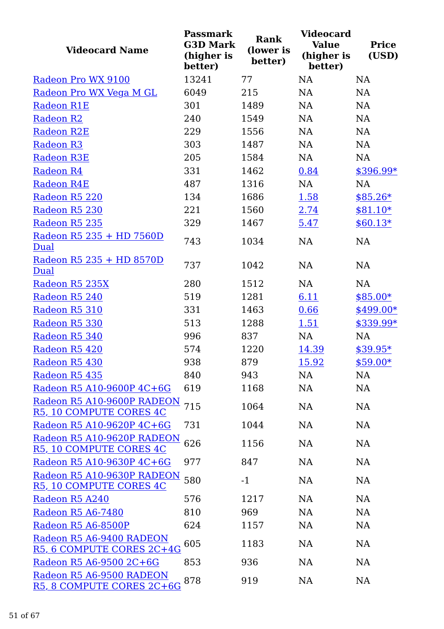| <b>Videocard Name</b>                                 | <b>Passmark</b><br><b>G3D Mark</b><br>(higher is<br>better) | Rank<br>(lower is<br>better) | <b>Videocard</b><br><b>Value</b><br>(higher is<br>better) | <b>Price</b><br>(USD) |
|-------------------------------------------------------|-------------------------------------------------------------|------------------------------|-----------------------------------------------------------|-----------------------|
| Radeon Pro WX 9100                                    | 13241                                                       | 77                           | NA                                                        | NA                    |
| Radeon Pro WX Vega M GL                               | 6049                                                        | 215                          | NA                                                        | NA                    |
| <b>Radeon R1E</b>                                     | 301                                                         | 1489                         | <b>NA</b>                                                 | NA                    |
| <b>Radeon R2</b>                                      | 240                                                         | 1549                         | NA                                                        | NA                    |
| <b>Radeon R2E</b>                                     | 229                                                         | 1556                         | NA                                                        | NA                    |
| <b>Radeon R3</b>                                      | 303                                                         | 1487                         | NA                                                        | NA                    |
| <b>Radeon R3E</b>                                     | 205                                                         | 1584                         | NA                                                        | NA                    |
| Radeon R4                                             | 331                                                         | 1462                         | 0.84                                                      | $$396.99*$            |
| Radeon R4E                                            | 487                                                         | 1316                         | NA                                                        | NA                    |
| Radeon R5 220                                         | 134                                                         | 1686                         | 1.58                                                      | $$85.26*$             |
| Radeon R5 230                                         | 221                                                         | 1560                         | 2.74                                                      | $$81.10*$             |
| Radeon R5 235                                         | 329                                                         | 1467                         | 5.47                                                      | $$60.13*$             |
| Radeon R5 235 + HD 7560D<br>Dual                      | 743                                                         | 1034                         | NA                                                        | NA                    |
| Radeon R5 235 + HD 8570D<br>Dual                      | 737                                                         | 1042                         | NA                                                        | NA                    |
| Radeon R5 235X                                        | 280                                                         | 1512                         | NA                                                        | <b>NA</b>             |
| Radeon R5 240                                         | 519                                                         | 1281                         | 6.11                                                      | $$85.00*$             |
| Radeon R5 310                                         | 331                                                         | 1463                         | 0.66                                                      | $$499.00*$            |
| Radeon R5 330                                         | 513                                                         | 1288                         | 1.51                                                      | \$339.99*             |
| Radeon R5 340                                         | 996                                                         | 837                          | NA                                                        | NA                    |
| Radeon R5 420                                         | 574                                                         | 1220                         | 14.39                                                     | $$39.95*$             |
| Radeon R5 430                                         | 938                                                         | 879                          | <u>15.92</u>                                              | $$59.00*$             |
| Radeon R5 435                                         | 840                                                         | 943                          | <b>NA</b>                                                 | NA                    |
| Radeon R5 A10-9600P 4C+6G                             | 619                                                         | 1168                         | <b>NA</b>                                                 | NA                    |
| Radeon R5 A10-9600P RADEON<br>R5, 10 COMPUTE CORES 4C | 715                                                         | 1064                         | <b>NA</b>                                                 | NA                    |
| Radeon R5 A10-9620P 4C+6G                             | 731                                                         | 1044                         | <b>NA</b>                                                 | NA                    |
| Radeon R5 A10-9620P RADEON<br>R5, 10 COMPUTE CORES 4C | 626                                                         | 1156                         | NA                                                        | NA                    |
| Radeon R5 A10-9630P 4C+6G                             | 977                                                         | 847                          | <b>NA</b>                                                 | NA                    |
| Radeon R5 A10-9630P RADEON<br>R5, 10 COMPUTE CORES 4C | 580                                                         | $-1$                         | NA                                                        | NA                    |
| Radeon R5 A240                                        | 576                                                         | 1217                         | <b>NA</b>                                                 | NA                    |
| Radeon R5 A6-7480                                     | 810                                                         | 969                          | <b>NA</b>                                                 | NA                    |
| Radeon R5 A6-8500P                                    | 624                                                         | 1157                         | NA                                                        | NA                    |
| Radeon R5 A6-9400 RADEON<br>R5, 6 COMPUTE CORES 2C+4G | 605                                                         | 1183                         | NA                                                        | NA                    |
| Radeon R5 A6-9500 2C+6G                               | 853                                                         | 936                          | NA                                                        | NA                    |
| Radeon R5 A6-9500 RADEON<br>R5, 8 COMPUTE CORES 2C+6G | 878                                                         | 919                          | <b>NA</b>                                                 | NA                    |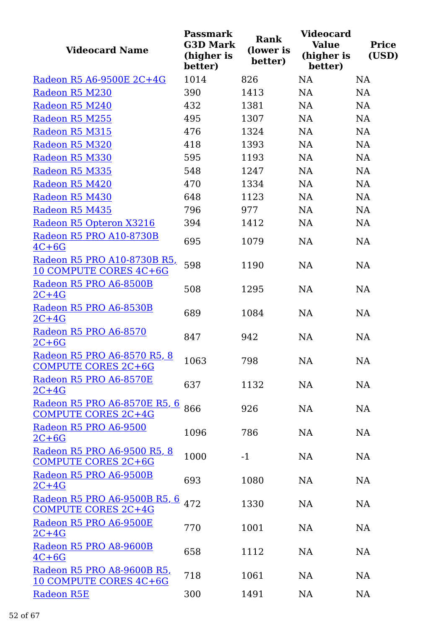| <b>Videocard Name</b>                                             | <b>Passmark</b><br><b>G3D Mark</b><br>(higher is<br>better) | <b>Rank</b><br>(lower is<br>better) | <b>Videocard</b><br><b>Value</b><br>(higher is<br>better) | <b>Price</b><br>(USD) |
|-------------------------------------------------------------------|-------------------------------------------------------------|-------------------------------------|-----------------------------------------------------------|-----------------------|
| Radeon R5 A6-9500E 2C+4G                                          | 1014                                                        | 826                                 | <b>NA</b>                                                 | <b>NA</b>             |
| Radeon R5 M230                                                    | 390                                                         | 1413                                | <b>NA</b>                                                 | NA                    |
| Radeon R5 M240                                                    | 432                                                         | 1381                                | <b>NA</b>                                                 | NA                    |
| Radeon R5 M255                                                    | 495                                                         | 1307                                | <b>NA</b>                                                 | NA                    |
| Radeon R5 M315                                                    | 476                                                         | 1324                                | <b>NA</b>                                                 | <b>NA</b>             |
| Radeon R5 M320                                                    | 418                                                         | 1393                                | <b>NA</b>                                                 | NA                    |
| Radeon R5 M330                                                    | 595                                                         | 1193                                | <b>NA</b>                                                 | NA                    |
| Radeon R5 M335                                                    | 548                                                         | 1247                                | NA                                                        | NA                    |
| Radeon R5 M420                                                    | 470                                                         | 1334                                | <b>NA</b>                                                 | <b>NA</b>             |
| Radeon R5 M430                                                    | 648                                                         | 1123                                | NA                                                        | NA                    |
| Radeon R5 M435                                                    | 796                                                         | 977                                 | <b>NA</b>                                                 | NA                    |
| Radeon R5 Opteron X3216                                           | 394                                                         | 1412                                | NA                                                        | NA                    |
| Radeon R5 PRO A10-8730B<br>$4C+6G$                                | 695                                                         | 1079                                | <b>NA</b>                                                 | NA                    |
| Radeon R5 PRO A10-8730B R5,<br>10 COMPUTE CORES 4C+6G             | 598                                                         | 1190                                | <b>NA</b>                                                 | NA                    |
| Radeon R5 PRO A6-8500B<br>$2C+4G$                                 | 508                                                         | 1295                                | NA                                                        | NA                    |
| Radeon R5 PRO A6-8530B<br>$2C+4G$                                 | 689                                                         | 1084                                | <b>NA</b>                                                 | NA                    |
| Radeon R5 PRO A6-8570<br>$2C+6G$                                  | 847                                                         | 942                                 | NA                                                        | NA                    |
| Radeon R5 PRO A6-8570 R5, 8<br><b>COMPUTE CORES 2C+6G</b>         | 1063                                                        | 798                                 | <b>NA</b>                                                 | <b>NA</b>             |
| Radeon R5 PRO A6-8570E<br>$2C+4G$                                 | 637                                                         | 1132                                | NA                                                        | NA                    |
| <u>Radeon R5 PRO A6-8570E R5, 6</u><br><b>COMPUTE CORES 2C+4G</b> | 866                                                         | 926                                 | NA                                                        | NA                    |
| Radeon R5 PRO A6-9500<br>$2C+6G$                                  | 1096                                                        | 786                                 | <b>NA</b>                                                 | NA                    |
| Radeon R5 PRO A6-9500 R5, 8<br><b>COMPUTE CORES 2C+6G</b>         | 1000                                                        | $-1$                                | <b>NA</b>                                                 | NA                    |
| Radeon R5 PRO A6-9500B<br>$2C+4G$                                 | 693                                                         | 1080                                | NA                                                        | <b>NA</b>             |
| <u>Radeon R5 PRO A6-9500B R5, 6</u><br><b>COMPUTE CORES 2C+4G</b> | 472                                                         | 1330                                | <b>NA</b>                                                 | NA                    |
| Radeon R5 PRO A6-9500E<br>$2C+4G$                                 | 770                                                         | 1001                                | NA                                                        | NA                    |
| Radeon R5 PRO A8-9600B<br>$4C+6G$                                 | 658                                                         | 1112                                | NA                                                        | NA                    |
| Radeon R5 PRO A8-9600B R5,<br>10 COMPUTE CORES 4C+6G              | 718                                                         | 1061                                | <b>NA</b>                                                 | <b>NA</b>             |
| Radeon R5E                                                        | 300                                                         | 1491                                | NA                                                        | NA                    |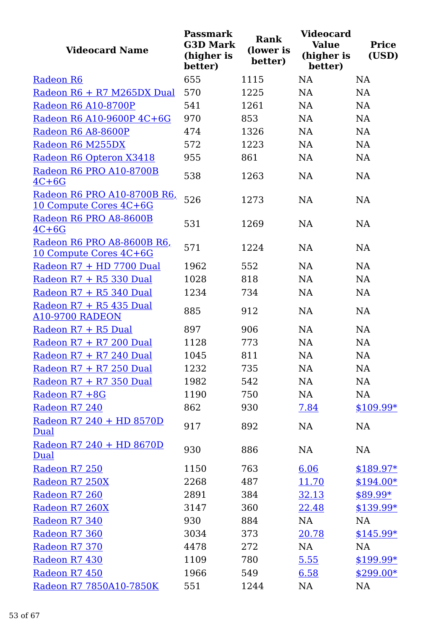| <b>Videocard Name</b>                                       | <b>Passmark</b><br><b>G3D Mark</b><br>(higher is<br>better) | Rank<br>(lower is<br>better) | <b>Videocard</b><br><b>Value</b><br>(higher is<br>better) | <b>Price</b><br>(USD) |
|-------------------------------------------------------------|-------------------------------------------------------------|------------------------------|-----------------------------------------------------------|-----------------------|
| Radeon R6                                                   | 655                                                         | 1115                         | <b>NA</b>                                                 | <b>NA</b>             |
| Radeon R6 + R7 M265DX Dual                                  | 570                                                         | 1225                         | <b>NA</b>                                                 | <b>NA</b>             |
| Radeon R6 A10-8700P                                         | 541                                                         | 1261                         | <b>NA</b>                                                 | <b>NA</b>             |
| Radeon R6 A10-9600P 4C+6G                                   | 970                                                         | 853                          | <b>NA</b>                                                 | <b>NA</b>             |
| Radeon R6 A8-8600P                                          | 474                                                         | 1326                         | <b>NA</b>                                                 | <b>NA</b>             |
| Radeon R6 M255DX                                            | 572                                                         | 1223                         | <b>NA</b>                                                 | <b>NA</b>             |
| Radeon R6 Opteron X3418                                     | 955                                                         | 861                          | <b>NA</b>                                                 | <b>NA</b>             |
| Radeon R6 PRO A10-8700B<br>$4C+6G$                          | 538                                                         | 1263                         | <b>NA</b>                                                 | <b>NA</b>             |
| Radeon R6 PRO A10-8700B R6,<br>10 Compute Cores 4C+6G       | 526                                                         | 1273                         | <b>NA</b>                                                 | <b>NA</b>             |
| Radeon R6 PRO A8-8600B<br>$4C+6G$                           | 531                                                         | 1269                         | <b>NA</b>                                                 | <b>NA</b>             |
| Radeon R6 PRO A8-8600B R6,<br><u>10 Compute Cores 4C+6G</u> | 571                                                         | 1224                         | NA                                                        | <b>NA</b>             |
| Radeon R7 + HD 7700 Dual                                    | 1962                                                        | 552                          | <b>NA</b>                                                 | <b>NA</b>             |
| Radeon R7 + R5 330 Dual                                     | 1028                                                        | 818                          | <b>NA</b>                                                 | <b>NA</b>             |
| Radeon R7 + R5 340 Dual                                     | 1234                                                        | 734                          | <b>NA</b>                                                 | <b>NA</b>             |
| Radeon R7 + R5 435 Dual<br><b>A10-9700 RADEON</b>           | 885                                                         | 912                          | <b>NA</b>                                                 | <b>NA</b>             |
| Radeon R7 + R5 Dual                                         | 897                                                         | 906                          | <b>NA</b>                                                 | <b>NA</b>             |
| Radeon R7 + R7 200 Dual                                     | 1128                                                        | 773                          | <b>NA</b>                                                 | <b>NA</b>             |
| Radeon R7 + R7 240 Dual                                     | 1045                                                        | 811                          | <b>NA</b>                                                 | NA                    |
| Radeon R7 + R7 250 Dual                                     | 1232                                                        | 735                          | NA                                                        | NA                    |
| Radeon R7 + R7 350 Dual                                     | 1982                                                        | 542                          | NA                                                        | NA                    |
| Radeon R7 +8G                                               | 1190                                                        | 750                          | NA                                                        | NA                    |
| Radeon R7 240                                               | 862                                                         | 930                          | 7.84                                                      | \$109.99*             |
| Radeon R7 240 + HD 8570D<br><b>Dual</b>                     | 917                                                         | 892                          | NA                                                        | NA                    |
| Radeon R7 240 + HD 8670D<br>Dual                            | 930                                                         | 886                          | NA                                                        | <b>NA</b>             |
| Radeon R7 250                                               | 1150                                                        | 763                          | 6.06                                                      | $$189.97*$            |
| Radeon R7 250X                                              | 2268                                                        | 487                          | 11.70                                                     | $$194.00*$            |
| Radeon R7 260                                               | 2891                                                        | 384                          | 32.13                                                     | $$89.99*$             |
| Radeon R7 260X                                              | 3147                                                        | 360                          | 22.48                                                     | $$139.99*$            |
| Radeon R7 340                                               | 930                                                         | 884                          | NA                                                        | NA                    |
| Radeon R7 360                                               | 3034                                                        | 373                          | 20.78                                                     | $$145.99*$            |
| Radeon R7 370                                               | 4478                                                        | 272                          | NA                                                        | NA                    |
| Radeon R7 430                                               | 1109                                                        | 780                          | 5.55                                                      | $$199.99*$            |
| Radeon R7 450                                               | 1966                                                        | 549                          | 6.58                                                      | $$299.00*$            |
| Radeon R7 7850A10-7850K                                     | 551                                                         | 1244                         | NA                                                        | NA                    |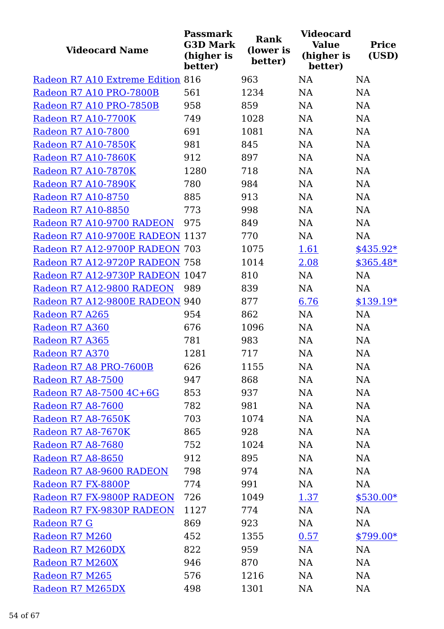| <b>Videocard Name</b>             | <b>Passmark</b><br><b>G3D Mark</b><br>(higher is<br>better) | Rank<br>(lower is<br>better) | <b>Videocard</b><br><b>Value</b><br>(higher is<br>better) | <b>Price</b><br>(USD) |
|-----------------------------------|-------------------------------------------------------------|------------------------------|-----------------------------------------------------------|-----------------------|
| Radeon R7 A10 Extreme Edition 816 |                                                             | 963                          | <b>NA</b>                                                 | <b>NA</b>             |
| Radeon R7 A10 PRO-7800B           | 561                                                         | 1234                         | <b>NA</b>                                                 | NA                    |
| Radeon R7 A10 PRO-7850B           | 958                                                         | 859                          | <b>NA</b>                                                 | <b>NA</b>             |
| <b>Radeon R7 A10-7700K</b>        | 749                                                         | 1028                         | <b>NA</b>                                                 | NA                    |
| Radeon R7 A10-7800                | 691                                                         | 1081                         | <b>NA</b>                                                 | <b>NA</b>             |
| Radeon R7 A10-7850K               | 981                                                         | 845                          | NA                                                        | NA                    |
| Radeon R7 A10-7860K               | 912                                                         | 897                          | <b>NA</b>                                                 | <b>NA</b>             |
| Radeon R7 A10-7870K               | 1280                                                        | 718                          | <b>NA</b>                                                 | NA                    |
| Radeon R7 A10-7890K               | 780                                                         | 984                          | <b>NA</b>                                                 | <b>NA</b>             |
| Radeon R7 A10-8750                | 885                                                         | 913                          | NA                                                        | NA                    |
| Radeon R7 A10-8850                | 773                                                         | 998                          | <b>NA</b>                                                 | <b>NA</b>             |
| Radeon R7 A10-9700 RADEON         | 975                                                         | 849                          | <b>NA</b>                                                 | <b>NA</b>             |
| Radeon R7 A10-9700E RADEON 1137   |                                                             | 770                          | <b>NA</b>                                                 | <b>NA</b>             |
| Radeon R7 A12-9700P RADEON 703    |                                                             | 1075                         | 1.61                                                      | $$435.92*$            |
| Radeon R7 A12-9720P RADEON 758    |                                                             | 1014                         | 2.08                                                      | $$365.48*$            |
| Radeon R7 A12-9730P RADEON 1047   |                                                             | 810                          | <b>NA</b>                                                 | <b>NA</b>             |
| Radeon R7 A12-9800 RADEON         | 989                                                         | 839                          | <b>NA</b>                                                 | <b>NA</b>             |
| Radeon R7 A12-9800E RADEON 940    |                                                             | 877                          | 6.76                                                      | $$139.19*$            |
| Radeon R7 A265                    | 954                                                         | 862                          | NA                                                        | <b>NA</b>             |
| Radeon R7 A360                    | 676                                                         | 1096                         | <b>NA</b>                                                 | <b>NA</b>             |
| Radeon R7 A365                    | 781                                                         | 983                          | NA                                                        | NA                    |
| Radeon R7 A370                    | 1281                                                        | 717                          | <b>NA</b>                                                 | <b>NA</b>             |
| Radeon R7 A8 PRO-7600B            | 626                                                         | 1155                         | NA                                                        | NA                    |
| Radeon R7 A8-7500                 | 947                                                         | 868                          | NA                                                        | NA                    |
| Radeon R7 A8-7500 4C+6G           | 853                                                         | 937                          | <b>NA</b>                                                 | NA                    |
| Radeon R7 A8-7600                 | 782                                                         | 981                          | NA                                                        | <b>NA</b>             |
| Radeon R7 A8-7650K                | 703                                                         | 1074                         | NA                                                        | NA                    |
| Radeon R7 A8-7670K                | 865                                                         | 928                          | NA                                                        | <b>NA</b>             |
| Radeon R7 A8-7680                 | 752                                                         | 1024                         | NA                                                        | NA                    |
| Radeon R7 A8-8650                 | 912                                                         | 895                          | NA                                                        | NA                    |
| Radeon R7 A8-9600 RADEON          | 798                                                         | 974                          | NA                                                        | <b>NA</b>             |
| Radeon R7 FX-8800P                | 774                                                         | 991                          | NA                                                        | NA                    |
| Radeon R7 FX-9800P RADEON         | 726                                                         | 1049                         | 1.37                                                      | $$530.00*$            |
| Radeon R7 FX-9830P RADEON         | 1127                                                        | 774                          | NA                                                        | NA                    |
| Radeon R7 G                       | 869                                                         | 923                          | NA                                                        | NA                    |
| Radeon R7 M260                    | 452                                                         | 1355                         | 0.57                                                      | $$799.00*$            |
| Radeon R7 M260DX                  | 822                                                         | 959                          | NA                                                        | NA                    |
| Radeon R7 M260X                   | 946                                                         | 870                          | <b>NA</b>                                                 | NA                    |
| Radeon R7 M265                    | 576                                                         | 1216                         | <b>NA</b>                                                 | <b>NA</b>             |
| Radeon R7 M265DX                  | 498                                                         | 1301                         | <b>NA</b>                                                 | <b>NA</b>             |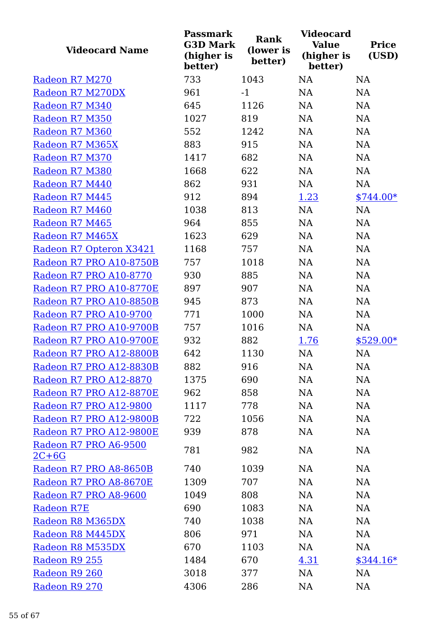| <b>Videocard Name</b>            | <b>Passmark</b><br><b>G3D Mark</b><br>(higher is<br>better) | Rank<br>(lower is<br>better) | <b>Videocard</b><br><b>Value</b><br>(higher is<br>better) | <b>Price</b><br>(USD) |
|----------------------------------|-------------------------------------------------------------|------------------------------|-----------------------------------------------------------|-----------------------|
| Radeon R7 M270                   | 733                                                         | 1043                         | <b>NA</b>                                                 | NA                    |
| Radeon R7 M270DX                 | 961                                                         | $-1$                         | <b>NA</b>                                                 | NA                    |
| Radeon R7 M340                   | 645                                                         | 1126                         | <b>NA</b>                                                 | <b>NA</b>             |
| Radeon R7 M350                   | 1027                                                        | 819                          | <b>NA</b>                                                 | NA                    |
| Radeon R7 M360                   | 552                                                         | 1242                         | <b>NA</b>                                                 | <b>NA</b>             |
| Radeon R7 M365X                  | 883                                                         | 915                          | <b>NA</b>                                                 | NA                    |
| Radeon R7 M370                   | 1417                                                        | 682                          | <b>NA</b>                                                 | NA                    |
| Radeon R7 M380                   | 1668                                                        | 622                          | NA                                                        | NA                    |
| Radeon R7 M440                   | 862                                                         | 931                          | NA                                                        | NA                    |
| Radeon R7 M445                   | 912                                                         | 894                          | 1.23                                                      | $$744.00*$            |
| Radeon R7 M460                   | 1038                                                        | 813                          | <b>NA</b>                                                 | NA                    |
| Radeon R7 M465                   | 964                                                         | 855                          | <b>NA</b>                                                 | NA                    |
| Radeon R7 M465X                  | 1623                                                        | 629                          | <b>NA</b>                                                 | NA                    |
| Radeon R7 Opteron X3421          | 1168                                                        | 757                          | <b>NA</b>                                                 | NA                    |
| Radeon R7 PRO A10-8750B          | 757                                                         | 1018                         | <b>NA</b>                                                 | NA                    |
| Radeon R7 PRO A10-8770           | 930                                                         | 885                          | <b>NA</b>                                                 | <b>NA</b>             |
| Radeon R7 PRO A10-8770E          | 897                                                         | 907                          | NA                                                        | NA                    |
| Radeon R7 PRO A10-8850B          | 945                                                         | 873                          | <b>NA</b>                                                 | <b>NA</b>             |
| Radeon R7 PRO A10-9700           | 771                                                         | 1000                         | NA                                                        | NA                    |
| Radeon R7 PRO A10-9700B          | 757                                                         | 1016                         | NA                                                        | NA                    |
| Radeon R7 PRO A10-9700E          | 932                                                         | 882                          | 1.76                                                      | $$529.00*$            |
| Radeon R7 PRO A12-8800B          | 642                                                         | 1130                         | <b>NA</b>                                                 | NA                    |
| Radeon R7 PRO A12-8830B          | 882                                                         | 916                          | NA                                                        | NA                    |
| Radeon R7 PRO A12-8870           | 1375                                                        | 690                          | NA                                                        | NA                    |
| Radeon R7 PRO A12-8870E          | 962                                                         | 858                          | NA                                                        | NA                    |
| Radeon R7 PRO A12-9800           | 1117                                                        | 778                          | NA                                                        | NA                    |
| Radeon R7 PRO A12-9800B          | 722                                                         | 1056                         | NA                                                        | NA                    |
| Radeon R7 PRO A12-9800E          | 939                                                         | 878                          | NA                                                        | NA                    |
| Radeon R7 PRO A6-9500<br>$2C+6G$ | 781                                                         | 982                          | NA                                                        | <b>NA</b>             |
| Radeon R7 PRO A8-8650B           | 740                                                         | 1039                         | NA                                                        | NA                    |
| Radeon R7 PRO A8-8670E           | 1309                                                        | 707                          | NA                                                        | NA                    |
| Radeon R7 PRO A8-9600            | 1049                                                        | 808                          | NA                                                        | NA                    |
| <b>Radeon R7E</b>                | 690                                                         | 1083                         | NA                                                        | NA                    |
| Radeon R8 M365DX                 | 740                                                         | 1038                         | NA                                                        | NA                    |
| Radeon R8 M445DX                 | 806                                                         | 971                          | NA                                                        | NA                    |
| Radeon R8 M535DX                 | 670                                                         | 1103                         | NA                                                        | NA                    |
| Radeon R9 255                    | 1484                                                        | 670                          | 4.31                                                      | $$344.16*$            |
| Radeon R9 260                    | 3018                                                        | 377                          | NA                                                        | NA                    |
| Radeon R9 270                    | 4306                                                        | 286                          | <b>NA</b>                                                 | <b>NA</b>             |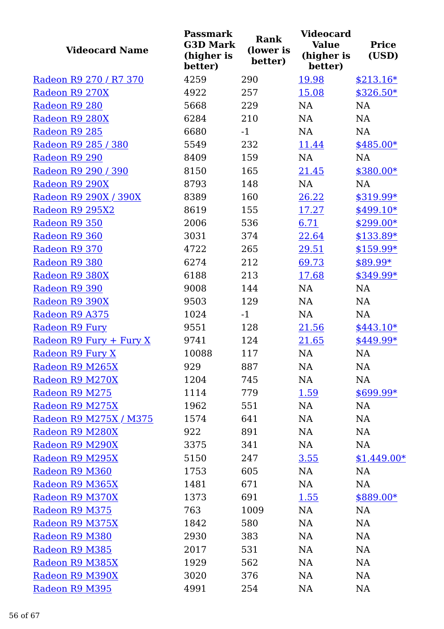| <b>Videocard Name</b>   | <b>Passmark</b><br><b>G3D Mark</b><br>(higher is<br>better) | <b>Rank</b><br>(lower is<br>better) | <b>Videocard</b><br><b>Value</b><br>(higher is<br>better) | <b>Price</b><br>(USD) |
|-------------------------|-------------------------------------------------------------|-------------------------------------|-----------------------------------------------------------|-----------------------|
| Radeon R9 270 / R7 370  | 4259                                                        | 290                                 | 19.98                                                     | $$213.16*$            |
| Radeon R9 270X          | 4922                                                        | 257                                 | 15.08                                                     | $$326.50*$            |
| Radeon R9 280           | 5668                                                        | 229                                 | <b>NA</b>                                                 | <b>NA</b>             |
| Radeon R9 280X          | 6284                                                        | 210                                 | <b>NA</b>                                                 | NA                    |
| Radeon R9 285           | 6680                                                        | $-1$                                | <b>NA</b>                                                 | <b>NA</b>             |
| Radeon R9 285 / 380     | 5549                                                        | 232                                 | 11.44                                                     | $$485.00*$            |
| Radeon R9 290           | 8409                                                        | 159                                 | NA                                                        | <b>NA</b>             |
| Radeon R9 290 / 390     | 8150                                                        | 165                                 | 21.45                                                     | $$380.00*$            |
| Radeon R9 290X          | 8793                                                        | 148                                 | <b>NA</b>                                                 | <b>NA</b>             |
| Radeon R9 290X / 390X   | 8389                                                        | 160                                 | 26.22                                                     | $$319.99*$            |
| Radeon R9 295X2         | 8619                                                        | 155                                 | 17.27                                                     | $$499.10*$            |
| Radeon R9 350           | 2006                                                        | 536                                 | 6.71                                                      | $$299.00*$            |
| Radeon R9 360           | 3031                                                        | 374                                 | 22.64                                                     | $$133.89*$            |
| Radeon R9 370           | 4722                                                        | 265                                 | 29.51                                                     | $$159.99*$            |
| Radeon R9 380           | 6274                                                        | 212                                 | 69.73                                                     | \$89.99*              |
| Radeon R9 380X          | 6188                                                        | 213                                 | 17.68                                                     | $$349.99*$            |
| Radeon R9 390           | 9008                                                        | 144                                 | NA                                                        | NA                    |
| Radeon R9 390X          | 9503                                                        | 129                                 | <b>NA</b>                                                 | <b>NA</b>             |
| Radeon R9 A375          | 1024                                                        | $-1$                                | NA                                                        | NA                    |
| Radeon R9 Fury          | 9551                                                        | 128                                 | 21.56                                                     | $$443.10*$            |
| Radeon R9 Fury + Fury X | 9741                                                        | 124                                 | 21.65                                                     | \$449.99*             |
| Radeon R9 Fury X        | 10088                                                       | 117                                 | <b>NA</b>                                                 | NA                    |
| Radeon R9 M265X         | 929                                                         | 887                                 | NA                                                        | NA                    |
| Radeon R9 M270X         | 1204                                                        | 745                                 | NA                                                        | NA                    |
| Radeon R9 M275          | 1114                                                        | 779                                 | 1.59                                                      | $$699.99*$            |
| Radeon R9 M275X         | 1962                                                        | 551                                 | NA                                                        | NA                    |
| Radeon R9 M275X / M375  | 1574                                                        | 641                                 | NA                                                        | NA                    |
| Radeon R9 M280X         | 922                                                         | 891                                 | NA                                                        | NA                    |
| Radeon R9 M290X         | 3375                                                        | 341                                 | NA                                                        | NA                    |
| Radeon R9 M295X         | 5150                                                        | 247                                 | 3.55                                                      | $$1,449.00*$          |
| Radeon R9 M360          | 1753                                                        | 605                                 | NA                                                        | NA                    |
| Radeon R9 M365X         | 1481                                                        | 671                                 | NA                                                        | NA                    |
| Radeon R9 M370X         | 1373                                                        | 691                                 | 1.55                                                      | \$889.00*             |
| Radeon R9 M375          | 763                                                         | 1009                                | NA                                                        | NA                    |
| Radeon R9 M375X         | 1842                                                        | 580                                 | NA                                                        | NA                    |
| Radeon R9 M380          | 2930                                                        | 383                                 | NA                                                        | NA                    |
| Radeon R9 M385          | 2017                                                        | 531                                 | NA                                                        | NA                    |
| Radeon R9 M385X         | 1929                                                        | 562                                 | NA                                                        | <b>NA</b>             |
| Radeon R9 M390X         | 3020                                                        | 376                                 | NA                                                        | NA                    |
| Radeon R9 M395          | 4991                                                        | 254                                 | <b>NA</b>                                                 | NA                    |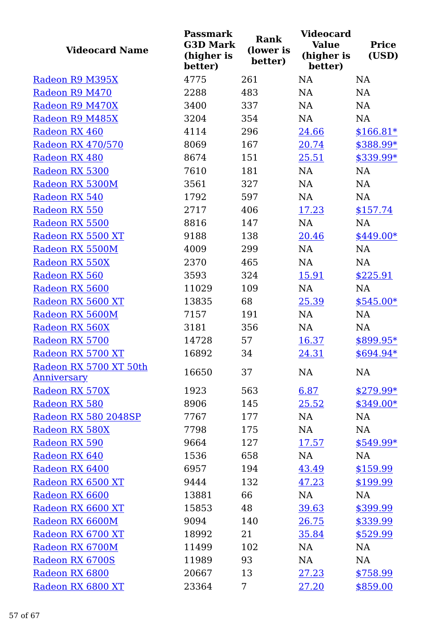| <b>Videocard Name</b>  | <b>Passmark</b><br><b>G3D Mark</b><br>(higher is<br>better) | <b>Rank</b><br>(lower is<br>better) | <b>Videocard</b><br><b>Value</b><br>(higher is<br>better) | <b>Price</b><br>(USD) |
|------------------------|-------------------------------------------------------------|-------------------------------------|-----------------------------------------------------------|-----------------------|
| Radeon R9 M395X        | 4775                                                        | 261                                 | <b>NA</b>                                                 | <b>NA</b>             |
| Radeon R9 M470         | 2288                                                        | 483                                 | <b>NA</b>                                                 | <b>NA</b>             |
| Radeon R9 M470X        | 3400                                                        | 337                                 | NA                                                        | NA                    |
| Radeon R9 M485X        | 3204                                                        | 354                                 | <b>NA</b>                                                 | NA                    |
| Radeon RX 460          | 4114                                                        | 296                                 | 24.66                                                     | $$166.81*$            |
| Radeon RX 470/570      | 8069                                                        | 167                                 | 20.74                                                     | \$388.99*             |
| Radeon RX 480          | 8674                                                        | 151                                 | 25.51                                                     | \$339.99*             |
| Radeon RX 5300         | 7610                                                        | 181                                 | NA                                                        | NA                    |
| Radeon RX 5300M        | 3561                                                        | 327                                 | NA                                                        | <b>NA</b>             |
| Radeon RX 540          | 1792                                                        | 597                                 | NA                                                        | NA                    |
| Radeon RX 550          | 2717                                                        | 406                                 | 17.23                                                     | \$157.74              |
| Radeon RX 5500         | 8816                                                        | 147                                 | NA                                                        | NA                    |
| Radeon RX 5500 XT      | 9188                                                        | 138                                 | 20.46                                                     | \$449.00*             |
| Radeon RX 5500M        | 4009                                                        | 299                                 | <b>NA</b>                                                 | <b>NA</b>             |
| Radeon RX 550X         | 2370                                                        | 465                                 | NA                                                        | <b>NA</b>             |
| Radeon RX 560          | 3593                                                        | 324                                 | 15.91                                                     | \$225.91              |
| Radeon RX 5600         | 11029                                                       | 109                                 | NA                                                        | <b>NA</b>             |
| Radeon RX 5600 XT      | 13835                                                       | 68                                  | 25.39                                                     | $$545.00*$            |
| Radeon RX 5600M        | 7157                                                        | 191                                 | NA                                                        | NA                    |
| Radeon RX 560X         | 3181                                                        | 356                                 | NA                                                        | <b>NA</b>             |
| Radeon RX 5700         | 14728                                                       | 57                                  | 16.37                                                     | $$899.95*$            |
| Radeon RX 5700 XT      | 16892                                                       | 34                                  | 24.31                                                     | \$694.94*             |
| Radeon RX 5700 XT 50th | 16650                                                       | 37                                  | <b>NA</b>                                                 | NA                    |
| <b>Anniversary</b>     |                                                             |                                     |                                                           |                       |
| Radeon RX 570X         | 1923                                                        | 563                                 | 6.87                                                      | $$279.99*$            |
| Radeon RX 580          | 8906                                                        | 145                                 | 25.52                                                     | $$349.00*$            |
| Radeon RX 580 2048SP   | 7767                                                        | 177                                 | NA                                                        | NA                    |
| Radeon RX 580X         | 7798                                                        | 175                                 | NA                                                        | NA                    |
| Radeon RX 590          | 9664                                                        | 127                                 | 17.57                                                     | $$549.99*$            |
| Radeon RX 640          | 1536                                                        | 658                                 | NA                                                        | <b>NA</b>             |
| Radeon RX 6400         | 6957                                                        | 194                                 | 43.49                                                     | \$159.99              |
| Radeon RX 6500 XT      | 9444                                                        | 132                                 | 47.23                                                     | \$199.99              |
| Radeon RX 6600         | 13881                                                       | 66                                  | NA                                                        | NA                    |
| Radeon RX 6600 XT      | 15853                                                       | 48                                  | 39.63                                                     | \$399.99              |
| Radeon RX 6600M        | 9094                                                        | 140                                 | 26.75                                                     | \$339.99              |
| Radeon RX 6700 XT      | 18992                                                       | 21                                  | 35.84                                                     | \$529.99              |
| Radeon RX 6700M        | 11499                                                       | 102                                 | NA                                                        | NA                    |
| Radeon RX 6700S        | 11989                                                       | 93                                  | NA                                                        | NA                    |
| Radeon RX 6800         | 20667                                                       | 13                                  | 27.23                                                     | \$758.99              |
| Radeon RX 6800 XT      | 23364                                                       | 7                                   | 27.20                                                     | \$859.00              |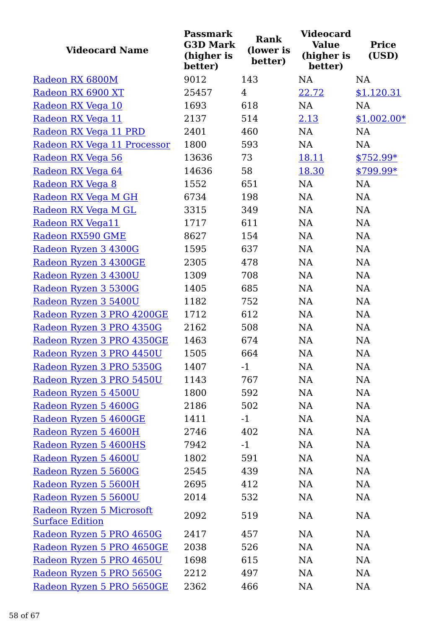| <b>Videocard Name</b>       | <b>Passmark</b><br><b>G3D Mark</b><br>(higher is<br>better) | <b>Rank</b><br>(lower is<br>better) | <b>Videocard</b><br><b>Value</b><br>(higher is<br>better) | <b>Price</b><br>(USD) |
|-----------------------------|-------------------------------------------------------------|-------------------------------------|-----------------------------------------------------------|-----------------------|
| Radeon RX 6800M             | 9012                                                        | 143                                 | <b>NA</b>                                                 | <b>NA</b>             |
| Radeon RX 6900 XT           | 25457                                                       | $\overline{4}$                      | 22.72                                                     | \$1,120.31            |
| Radeon RX Vega 10           | 1693                                                        | 618                                 | NA                                                        | <b>NA</b>             |
| Radeon RX Vega 11           | 2137                                                        | 514                                 | 2.13                                                      | $$1,002.00*$          |
| Radeon RX Vega 11 PRD       | 2401                                                        | 460                                 | NA                                                        | NA                    |
| Radeon RX Vega 11 Processor | 1800                                                        | 593                                 | NA                                                        | NA                    |
| Radeon RX Vega 56           | 13636                                                       | 73                                  | 18.11                                                     | \$752.99*             |
| Radeon RX Vega 64           | 14636                                                       | 58                                  | 18.30                                                     | \$799.99*             |
| Radeon RX Vega 8            | 1552                                                        | 651                                 | NA                                                        | NA                    |
| Radeon RX Vega M GH         | 6734                                                        | 198                                 | NA                                                        | NA                    |
| Radeon RX Vega M GL         | 3315                                                        | 349                                 | <b>NA</b>                                                 | NA                    |
| Radeon RX Vega11            | 1717                                                        | 611                                 | NA                                                        | NA                    |
| Radeon RX590 GME            | 8627                                                        | 154                                 | NA                                                        | NA                    |
| Radeon Ryzen 3 4300G        | 1595                                                        | 637                                 | <b>NA</b>                                                 | NA                    |
| Radeon Ryzen 3 4300GE       | 2305                                                        | 478                                 | NA                                                        | NA                    |
| Radeon Ryzen 3 4300U        | 1309                                                        | 708                                 | NA                                                        | NA                    |
| Radeon Ryzen 3 5300G        | 1405                                                        | 685                                 | NA                                                        | NA                    |
| Radeon Ryzen 3 5400U        | 1182                                                        | 752                                 | NA                                                        | NA                    |
| Radeon Ryzen 3 PRO 4200GE   | 1712                                                        | 612                                 | NA                                                        | NA                    |
| Radeon Ryzen 3 PRO 4350G    | 2162                                                        | 508                                 | NA                                                        | NA                    |
| Radeon Ryzen 3 PRO 4350GE   | 1463                                                        | 674                                 | NA                                                        | NA                    |
| Radeon Ryzen 3 PRO 4450U    | 1505                                                        | 664                                 | NA                                                        | NA                    |
| Radeon Ryzen 3 PRO 5350G    | 1407                                                        | $-1$                                | NA                                                        | $\rm NA$              |
| Radeon Ryzen 3 PRO 5450U    | 1143                                                        | 767                                 | NA                                                        | NA                    |
| Radeon Ryzen 5 4500U        | 1800                                                        | 592                                 | NA                                                        | NA                    |
| Radeon Ryzen 5 4600G        | 2186                                                        | 502                                 | NA                                                        | NA                    |
| Radeon Ryzen 5 4600GE       | 1411                                                        | $-1$                                | NA                                                        | NA                    |
| Radeon Ryzen 5 4600H        | 2746                                                        | 402                                 | NA                                                        | NA                    |
| Radeon Ryzen 5 4600HS       | 7942                                                        | $-1$                                | NA                                                        | NA                    |
| Radeon Ryzen 5 4600U        | 1802                                                        | 591                                 | NA                                                        | NA                    |
| Radeon Ryzen 5 5600G        | 2545                                                        | 439                                 | NA                                                        | NA                    |
| Radeon Ryzen 5 5600H        | 2695                                                        | 412                                 | NA                                                        | NA                    |
| Radeon Ryzen 5 5600U        | 2014                                                        | 532                                 | NA                                                        | NA                    |
| Radeon Ryzen 5 Microsoft    | 2092                                                        | 519                                 | <b>NA</b>                                                 | NA                    |
| <b>Surface Edition</b>      |                                                             |                                     |                                                           |                       |
| Radeon Ryzen 5 PRO 4650G    | 2417                                                        | 457                                 | NA                                                        | NA                    |
| Radeon Ryzen 5 PRO 4650GE   | 2038                                                        | 526                                 | NA                                                        | NA                    |
| Radeon Ryzen 5 PRO 4650U    | 1698                                                        | 615                                 | NA                                                        | NA                    |
| Radeon Ryzen 5 PRO 5650G    | 2212                                                        | 497                                 | NA                                                        | NA                    |
| Radeon Ryzen 5 PRO 5650GE   | 2362                                                        | 466                                 | NA                                                        | NA                    |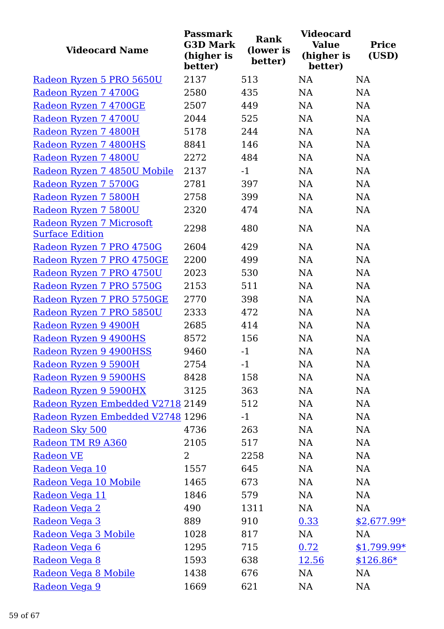| <b>Videocard Name</b>                              | <b>Passmark</b><br><b>G3D Mark</b><br>(higher is<br>better) | <b>Rank</b><br>(lower is<br>better) | <b>Videocard</b><br><b>Value</b><br>(higher is<br>better) | <b>Price</b><br>(USD) |
|----------------------------------------------------|-------------------------------------------------------------|-------------------------------------|-----------------------------------------------------------|-----------------------|
| Radeon Ryzen 5 PRO 5650U                           | 2137                                                        | 513                                 | <b>NA</b>                                                 | <b>NA</b>             |
| Radeon Ryzen 7 4700G                               | 2580                                                        | 435                                 | <b>NA</b>                                                 | <b>NA</b>             |
| Radeon Ryzen 7 4700GE                              | 2507                                                        | 449                                 | <b>NA</b>                                                 | <b>NA</b>             |
| Radeon Ryzen 7 4700U                               | 2044                                                        | 525                                 | <b>NA</b>                                                 | NA                    |
| Radeon Ryzen 7 4800H                               | 5178                                                        | 244                                 | <b>NA</b>                                                 | NA                    |
| Radeon Ryzen 7 4800HS                              | 8841                                                        | 146                                 | <b>NA</b>                                                 | NA                    |
| Radeon Ryzen 7 4800U                               | 2272                                                        | 484                                 | <b>NA</b>                                                 | NA                    |
| Radeon Ryzen 7 4850U Mobile                        | 2137                                                        | $-1$                                | NA                                                        | NA                    |
| Radeon Ryzen 7 5700G                               | 2781                                                        | 397                                 | <b>NA</b>                                                 | NA                    |
| Radeon Ryzen 7 5800H                               | 2758                                                        | 399                                 | NA                                                        | NA                    |
| Radeon Ryzen 7 5800U                               | 2320                                                        | 474                                 | NA                                                        | NA                    |
| Radeon Ryzen 7 Microsoft<br><b>Surface Edition</b> | 2298                                                        | 480                                 | <b>NA</b>                                                 | <b>NA</b>             |
| Radeon Ryzen 7 PRO 4750G                           | 2604                                                        | 429                                 | <b>NA</b>                                                 | <b>NA</b>             |
| Radeon Ryzen 7 PRO 4750GE                          | 2200                                                        | 499                                 | <b>NA</b>                                                 | NA                    |
| Radeon Ryzen 7 PRO 4750U                           | 2023                                                        | 530                                 | <b>NA</b>                                                 | <b>NA</b>             |
| Radeon Ryzen 7 PRO 5750G                           | 2153                                                        | 511                                 | <b>NA</b>                                                 | NA                    |
| Radeon Ryzen 7 PRO 5750GE                          | 2770                                                        | 398                                 | <b>NA</b>                                                 | NA                    |
| Radeon Ryzen 7 PRO 5850U                           | 2333                                                        | 472                                 | NA                                                        | NA                    |
| Radeon Ryzen 9 4900H                               | 2685                                                        | 414                                 | <b>NA</b>                                                 | NA                    |
| Radeon Ryzen 9 4900HS                              | 8572                                                        | 156                                 | NA                                                        | NA                    |
| Radeon Ryzen 9 4900HSS                             | 9460                                                        | $-1$                                | <b>NA</b>                                                 | NA                    |
| Radeon Ryzen 9 5900H                               | 2754                                                        | $-1$                                | NA                                                        | NA                    |
| Radeon Ryzen 9 5900HS                              | 8428                                                        | 158                                 | NA                                                        | NA                    |
| Radeon Ryzen 9 5900HX                              | 3125                                                        | 363                                 | NA                                                        | NA                    |
| Radeon Ryzen Embedded V2718 2149                   |                                                             | 512                                 | NA                                                        | NA                    |
| Radeon Ryzen Embedded V2748 1296                   |                                                             | $-1$                                | NA                                                        | NA                    |
| Radeon Sky 500                                     | 4736                                                        | 263                                 | NA                                                        | NA                    |
| Radeon TM R9 A360                                  | 2105                                                        | 517                                 | NA                                                        | <b>NA</b>             |
| Radeon VE                                          | 2                                                           | 2258                                | NA                                                        | NA                    |
| Radeon Vega 10                                     | 1557                                                        | 645                                 | NA                                                        | NA                    |
| Radeon Vega 10 Mobile                              | 1465                                                        | 673                                 | NA                                                        | NA                    |
| Radeon Vega 11                                     | 1846                                                        | 579                                 | NA                                                        | NA                    |
| Radeon Vega 2                                      | 490                                                         | 1311                                | NA                                                        | NA                    |
| Radeon Vega 3                                      | 889                                                         | 910                                 | 0.33                                                      | <u>\$2,677.99*</u>    |
| Radeon Vega 3 Mobile                               | 1028                                                        | 817                                 | NA                                                        | NA                    |
| Radeon Vega 6                                      | 1295                                                        | 715                                 | 0.72                                                      | <u>\$1,799.99*</u>    |
| Radeon Vega 8                                      | 1593                                                        | 638                                 | <u>12.56</u>                                              | $$126.86*$            |
| Radeon Vega 8 Mobile                               | 1438                                                        | 676                                 | NA                                                        | NA                    |
| Radeon Vega 9                                      | 1669                                                        | 621                                 | NA                                                        | NA                    |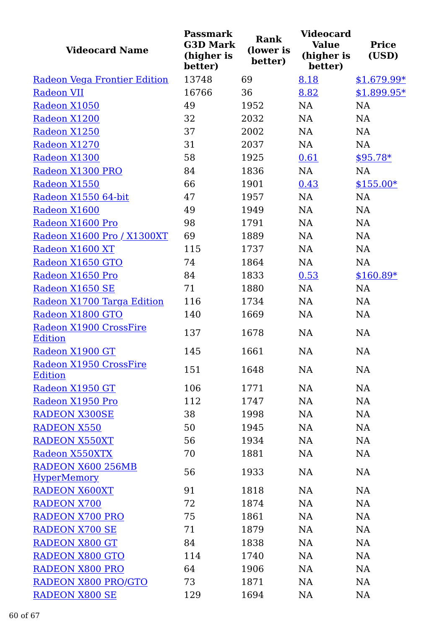| <b>Videocard Name</b>                    | <b>Passmark</b><br><b>G3D Mark</b><br>(higher is<br>better) | <b>Rank</b><br>(lower is<br>better) | <b>Videocard</b><br><b>Value</b><br>(higher is<br>better) | <b>Price</b><br>(USD) |
|------------------------------------------|-------------------------------------------------------------|-------------------------------------|-----------------------------------------------------------|-----------------------|
| Radeon Vega Frontier Edition             | 13748                                                       | 69                                  | 8.18                                                      | $$1,679.99*$          |
| <b>Radeon VII</b>                        | 16766                                                       | 36                                  | 8.82                                                      | $$1,899.95*$          |
| Radeon X1050                             | 49                                                          | 1952                                | NA                                                        | <b>NA</b>             |
| Radeon X1200                             | 32                                                          | 2032                                | NA                                                        | NA                    |
| Radeon X1250                             | 37                                                          | 2002                                | NA                                                        | <b>NA</b>             |
| Radeon X1270                             | 31                                                          | 2037                                | NA                                                        | <b>NA</b>             |
| Radeon X1300                             | 58                                                          | 1925                                | 0.61                                                      | $$95.78*$             |
| Radeon X1300 PRO                         | 84                                                          | 1836                                | NA                                                        | NA                    |
| Radeon X1550                             | 66                                                          | 1901                                | 0.43                                                      | $$155.00*$            |
| Radeon X1550 64-bit                      | 47                                                          | 1957                                | NA                                                        | NA                    |
| Radeon X1600                             | 49                                                          | 1949                                | NA                                                        | NA                    |
| Radeon X1600 Pro                         | 98                                                          | 1791                                | NA                                                        | NA                    |
| Radeon X1600 Pro / X1300XT               | 69                                                          | 1889                                | <b>NA</b>                                                 | NA                    |
| Radeon X1600 XT                          | 115                                                         | 1737                                | NA                                                        | NA                    |
| Radeon X1650 GTO                         | 74                                                          | 1864                                | NA                                                        | <b>NA</b>             |
| Radeon X1650 Pro                         | 84                                                          | 1833                                | 0.53                                                      | $$160.89*$            |
| Radeon X1650 SE                          | 71                                                          | 1880                                | NA                                                        | NA                    |
| Radeon X1700 Targa Edition               | 116                                                         | 1734                                | <b>NA</b>                                                 | <b>NA</b>             |
| Radeon X1800 GTO                         | 140                                                         | 1669                                | NA                                                        | NA                    |
| Radeon X1900 CrossFire<br><b>Edition</b> | 137                                                         | 1678                                | NA                                                        | NA                    |
| Radeon X1900 GT                          | 145                                                         | 1661                                | <b>NA</b>                                                 | NA                    |
| Radeon X1950 CrossFire<br><b>Edition</b> | 151                                                         | 1648                                | NA                                                        | NA                    |
| Radeon X1950 GT                          | 106                                                         | 1771                                | NA                                                        | NA                    |
| Radeon X1950 Pro                         | 112                                                         | 1747                                | <b>NA</b>                                                 | NA                    |
| <b>RADEON X300SE</b>                     | 38                                                          | 1998                                | NA                                                        | NA                    |
| <b>RADEON X550</b>                       | 50                                                          | 1945                                | NA                                                        | NA                    |
| <b>RADEON X550XT</b>                     | 56                                                          | 1934                                | NA                                                        | NA                    |
| Radeon X550XTX                           | 70                                                          | 1881                                | <b>NA</b>                                                 | NA                    |
| RADEON X600 256MB                        | 56                                                          | 1933                                | <b>NA</b>                                                 | NA                    |
| <b>HyperMemory</b>                       |                                                             |                                     |                                                           |                       |
| <b>RADEON X600XT</b>                     | 91                                                          | 1818                                | NA                                                        | NA                    |
| <b>RADEON X700</b>                       | 72                                                          | 1874                                | NA                                                        | NA                    |
| <b>RADEON X700 PRO</b>                   | 75                                                          | 1861                                | NA                                                        | NA                    |
| <b>RADEON X700 SE</b>                    | 71                                                          | 1879                                | NA                                                        | NA                    |
| <b>RADEON X800 GT</b>                    | 84                                                          | 1838                                | NA                                                        | NA                    |
| <b>RADEON X800 GTO</b>                   | 114                                                         | 1740                                | NA                                                        | NA                    |
| <b>RADEON X800 PRO</b>                   | 64                                                          | 1906                                | NA                                                        | <b>NA</b>             |
| <b>RADEON X800 PRO/GTO</b>               | 73                                                          | 1871                                | NA                                                        | <b>NA</b>             |
| <b>RADEON X800 SE</b>                    | 129                                                         | 1694                                | NA                                                        | NA                    |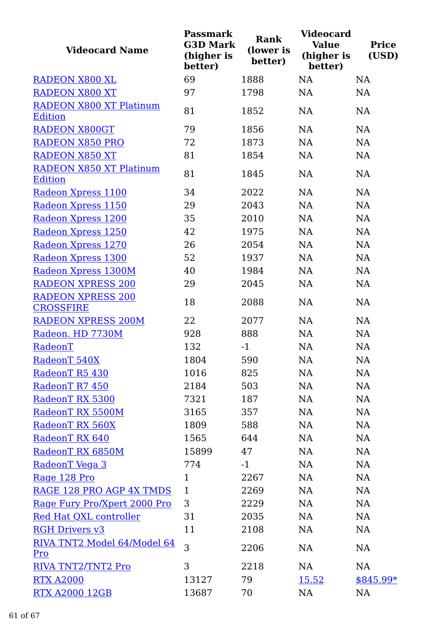| (higher is<br>(higher is<br>better)<br>better)<br>better)               | (USD)      |
|-------------------------------------------------------------------------|------------|
| 69<br>1888<br>NA<br><b>RADEON X800 XL</b>                               | NA         |
| <b>RADEON X800 XT</b><br>97<br>1798<br><b>NA</b>                        | NA         |
| RADEON X800 XT Platinum<br>81<br>1852<br>NA<br><b>Edition</b>           | NA         |
| 79<br><b>RADEON X800GT</b><br>1856<br>NA                                | NA         |
| <b>RADEON X850 PRO</b><br>72<br>1873<br><b>NA</b>                       | NA         |
| <b>RADEON X850 XT</b><br>81<br>1854<br>NA                               | NA         |
| <b>RADEON X850 XT Platinum</b><br>81<br>NA<br>1845                      | NA         |
| <b>Edition</b>                                                          |            |
| 34<br>2022<br>NA<br>Radeon Xpress 1100                                  | NA         |
| 29<br>2043<br><b>NA</b><br>Radeon Xpress 1150                           | NA         |
| Radeon Xpress 1200<br>35<br>2010<br><b>NA</b>                           | NA         |
| 42<br>1975<br>NA<br>Radeon Xpress 1250                                  | NA         |
| Radeon Xpress 1270<br>26<br>2054<br>NA                                  | NA         |
| 52<br>Radeon Xpress 1300<br>1937<br>NA                                  | <b>NA</b>  |
| Radeon Xpress 1300M<br>40<br>1984<br>NA                                 | NA         |
| <b>RADEON XPRESS 200</b><br>29<br>2045<br><b>NA</b>                     | NA         |
| <b>RADEON XPRESS 200</b><br>18<br>2088<br><b>NA</b><br><b>CROSSFIRE</b> | <b>NA</b>  |
| <b>RADEON XPRESS 200M</b><br>22<br>2077<br>NA                           | <b>NA</b>  |
| Radeon. HD 7730M<br>928<br>888<br>NA                                    | NA         |
| RadeonT<br>132<br>$-1$<br><b>NA</b>                                     | NA         |
| 590<br>RadeonT 540X<br>1804<br><b>NA</b>                                | <b>NA</b>  |
| 1016<br>RadeonT R5 430<br>825<br><b>NA</b>                              | NA         |
| RadeonT R7 450<br>503<br>NA<br>2184                                     | NA         |
| RadeonT RX 5300<br>7321<br>187<br>NA                                    | NA         |
| RadeonT RX 5500M<br>3165<br>NA<br>357                                   | NA         |
| RadeonT RX 560X<br>1809<br>588<br><b>NA</b>                             | <b>NA</b>  |
| RadeonT RX 640<br>1565<br>644<br><b>NA</b>                              | NA         |
| NA<br>RadeonT RX 6850M<br>15899<br>47                                   | NA         |
| 774<br>NA<br>RadeonT Vega 3<br>$-1$                                     | NA         |
| Rage 128 Pro<br>$\mathbf{1}$<br>2267<br>NA                              | NA         |
| $\mathbf{1}$<br>NA<br>RAGE 128 PRO AGP 4X TMDS<br>2269                  | NA         |
| 3<br>NA<br>Rage Fury Pro/Xpert 2000 Pro<br>2229                         | NA         |
| 31<br>NA<br>Red Hat QXL controller<br>2035                              | NA         |
| <b>RGH Drivers v3</b><br>11<br>2108<br>NA                               | NA         |
| RIVA TNT2 Model 64/Model 64<br>3<br>NA<br>2206<br>Pro                   | NA         |
| 3<br>2218<br>NA<br>RIVA TNT2/TNT2 Pro                                   | NA         |
| 79<br><b>RTX A2000</b><br>13127<br>15.52                                | $$845.99*$ |
| <b>RTX A2000 12GB</b><br>13687<br>70<br>NA                              | NA         |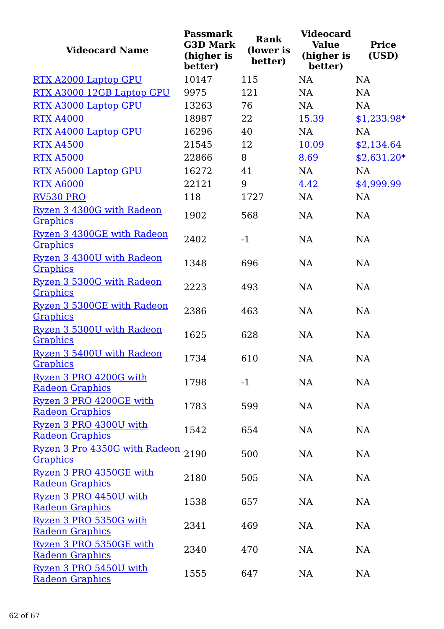| <b>Videocard Name</b>                             | <b>Passmark</b><br><b>G3D Mark</b><br>(higher is<br>better) | <b>Rank</b><br>(lower is<br>better) | <b>Videocard</b><br><b>Value</b><br>(higher is<br>better) | <b>Price</b><br>(USD) |
|---------------------------------------------------|-------------------------------------------------------------|-------------------------------------|-----------------------------------------------------------|-----------------------|
| RTX A2000 Laptop GPU                              | 10147                                                       | 115                                 | <b>NA</b>                                                 | <b>NA</b>             |
| RTX A3000 12GB Laptop GPU                         | 9975                                                        | 121                                 | NA                                                        | NA                    |
| RTX A3000 Laptop GPU                              | 13263                                                       | 76                                  | NA                                                        | NA                    |
| <b>RTX A4000</b>                                  | 18987                                                       | 22                                  | 15.39                                                     | <u>\$1,233.98*</u>    |
| RTX A4000 Laptop GPU                              | 16296                                                       | 40                                  | <b>NA</b>                                                 | <b>NA</b>             |
| <b>RTX A4500</b>                                  | 21545                                                       | 12                                  | 10.09                                                     | \$2,134.64            |
| <b>RTX A5000</b>                                  | 22866                                                       | 8                                   | 8.69                                                      | <u>\$2,631.20*</u>    |
| RTX A5000 Laptop GPU                              | 16272                                                       | 41                                  | NA                                                        | NA                    |
| <b>RTX A6000</b>                                  | 22121                                                       | 9                                   | 4.42                                                      | \$4,999.99            |
| <b>RV530 PRO</b>                                  | 118                                                         | 1727                                | NA                                                        | <b>NA</b>             |
| Ryzen 3 4300G with Radeon<br>Graphics             | 1902                                                        | 568                                 | NA                                                        | NA                    |
| Ryzen 3 4300GE with Radeon<br><b>Graphics</b>     | 2402                                                        | $-1$                                | <b>NA</b>                                                 | <b>NA</b>             |
| Ryzen 3 4300U with Radeon<br><b>Graphics</b>      | 1348                                                        | 696                                 | <b>NA</b>                                                 | <b>NA</b>             |
| Ryzen 3 5300G with Radeon<br><b>Graphics</b>      | 2223                                                        | 493                                 | <b>NA</b>                                                 | NA                    |
| Ryzen 3 5300GE with Radeon<br><b>Graphics</b>     | 2386                                                        | 463                                 | <b>NA</b>                                                 | <b>NA</b>             |
| Ryzen 3 5300U with Radeon<br>Graphics             | 1625                                                        | 628                                 | <b>NA</b>                                                 | NA                    |
| Ryzen 3 5400U with Radeon<br><b>Graphics</b>      | 1734                                                        | 610                                 | NA                                                        | NA                    |
| Ryzen 3 PRO 4200G with<br><b>Radeon Graphics</b>  | 1798                                                        | $-1$                                | NA                                                        | NA                    |
| Ryzen 3 PRO 4200GE with<br><b>Radeon Graphics</b> | 1783                                                        | 599                                 | NA                                                        | NA                    |
| Ryzen 3 PRO 4300U with<br><b>Radeon Graphics</b>  | 1542                                                        | 654                                 | NA                                                        | NA                    |
| Ryzen 3 Pro 4350G with Radeon<br><b>Graphics</b>  | 2190                                                        | 500                                 | NA                                                        | NA                    |
| Ryzen 3 PRO 4350GE with<br><b>Radeon Graphics</b> | 2180                                                        | 505                                 | NA                                                        | NA                    |
| Ryzen 3 PRO 4450U with<br><b>Radeon Graphics</b>  | 1538                                                        | 657                                 | NA                                                        | NA                    |
| Ryzen 3 PRO 5350G with<br><b>Radeon Graphics</b>  | 2341                                                        | 469                                 | NA                                                        | NA                    |
| Ryzen 3 PRO 5350GE with<br><b>Radeon Graphics</b> | 2340                                                        | 470                                 | NA                                                        | NA                    |
| Ryzen 3 PRO 5450U with<br><b>Radeon Graphics</b>  | 1555                                                        | 647                                 | NA                                                        | NA                    |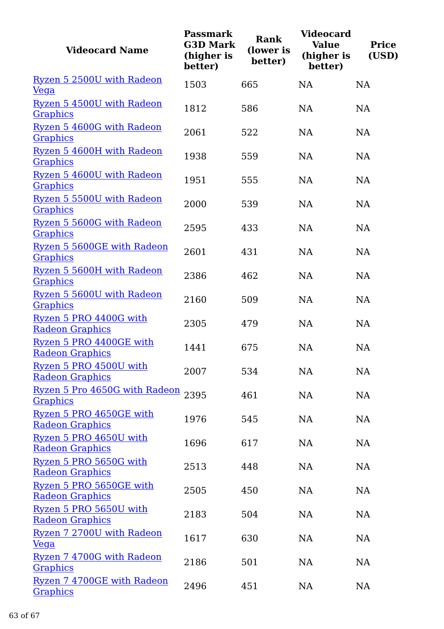| <b>Videocard Name</b>                             | <b>Passmark</b><br><b>G3D Mark</b><br>(higher is<br>better) | <b>Rank</b><br>(lower is<br>better) | <b>Videocard</b><br><b>Value</b><br>(higher is<br>better) | <b>Price</b><br>(USD) |
|---------------------------------------------------|-------------------------------------------------------------|-------------------------------------|-----------------------------------------------------------|-----------------------|
| Ryzen 5 2500U with Radeon<br>$Vega$               | 1503                                                        | 665                                 | <b>NA</b>                                                 | NA                    |
| Ryzen 5 4500U with Radeon<br><b>Graphics</b>      | 1812                                                        | 586                                 | <b>NA</b>                                                 | NA                    |
| Ryzen 5 4600G with Radeon<br><b>Graphics</b>      | 2061                                                        | 522                                 | <b>NA</b>                                                 | NA                    |
| Ryzen 5 4600H with Radeon<br><b>Graphics</b>      | 1938                                                        | 559                                 | <b>NA</b>                                                 | NA                    |
| Ryzen 5 4600U with Radeon<br><b>Graphics</b>      | 1951                                                        | 555                                 | <b>NA</b>                                                 | NA                    |
| Ryzen 5 5500U with Radeon<br><b>Graphics</b>      | 2000                                                        | 539                                 | <b>NA</b>                                                 | NA                    |
| Ryzen 5 5600G with Radeon<br><b>Graphics</b>      | 2595                                                        | 433                                 | <b>NA</b>                                                 | <b>NA</b>             |
| Ryzen 5 5600GE with Radeon<br>Graphics            | 2601                                                        | 431                                 | <b>NA</b>                                                 | NA                    |
| Ryzen 5 5600H with Radeon<br><b>Graphics</b>      | 2386                                                        | 462                                 | <b>NA</b>                                                 | NA                    |
| Ryzen 5 5600U with Radeon<br><b>Graphics</b>      | 2160                                                        | 509                                 | <b>NA</b>                                                 | NA                    |
| Ryzen 5 PRO 4400G with<br><b>Radeon Graphics</b>  | 2305                                                        | 479                                 | <b>NA</b>                                                 | NA                    |
| Ryzen 5 PRO 4400GE with<br><b>Radeon Graphics</b> | 1441                                                        | 675                                 | <b>NA</b>                                                 | NA                    |
| Ryzen 5 PRO 4500U with<br><b>Radeon Graphics</b>  | 2007                                                        | 534                                 | NA                                                        | NA                    |
| Ryzen 5 Pro 4650G with Radeon 2395<br>Graphics    |                                                             | 461                                 | NA                                                        | NA                    |
| Ryzen 5 PRO 4650GE with<br><b>Radeon Graphics</b> | 1976                                                        | 545                                 | <b>NA</b>                                                 | NA                    |
| Ryzen 5 PRO 4650U with<br><b>Radeon Graphics</b>  | 1696                                                        | 617                                 | <b>NA</b>                                                 | NA                    |
| Ryzen 5 PRO 5650G with<br><b>Radeon Graphics</b>  | 2513                                                        | 448                                 | NA                                                        | NA                    |
| Ryzen 5 PRO 5650GE with<br><b>Radeon Graphics</b> | 2505                                                        | 450                                 | NA                                                        | NA                    |
| Ryzen 5 PRO 5650U with<br><b>Radeon Graphics</b>  | 2183                                                        | 504                                 | NA                                                        | NA                    |
| Ryzen 7 2700U with Radeon<br>$Vega$               | 1617                                                        | 630                                 | NA                                                        | NA                    |
| Ryzen 7 4700G with Radeon<br><b>Graphics</b>      | 2186                                                        | 501                                 | <b>NA</b>                                                 | NA                    |
| Ryzen 7 4700GE with Radeon<br><b>Graphics</b>     | 2496                                                        | 451                                 | NA                                                        | NA                    |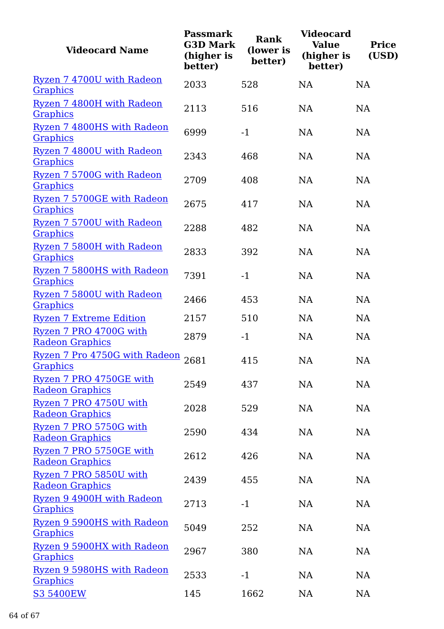| <b>Videocard Name</b>                             | <b>Passmark</b><br><b>G3D Mark</b><br>(higher is<br>better) | <b>Rank</b><br>(lower is<br>better) | <b>Videocard</b><br><b>Value</b><br>(higher is<br>better) | <b>Price</b><br>(USD) |
|---------------------------------------------------|-------------------------------------------------------------|-------------------------------------|-----------------------------------------------------------|-----------------------|
| Ryzen 7 4700U with Radeon<br>Graphics             | 2033                                                        | 528                                 | <b>NA</b>                                                 | <b>NA</b>             |
| Ryzen 7 4800H with Radeon<br><b>Graphics</b>      | 2113                                                        | 516                                 | <b>NA</b>                                                 | NA                    |
| Ryzen 7 4800HS with Radeon<br><b>Graphics</b>     | 6999                                                        | $-1$                                | NA                                                        | NA                    |
| Ryzen 7 4800U with Radeon<br><b>Graphics</b>      | 2343                                                        | 468                                 | NA                                                        | <b>NA</b>             |
| Ryzen 7 5700G with Radeon<br><b>Graphics</b>      | 2709                                                        | 408                                 | <b>NA</b>                                                 | NA                    |
| Ryzen 7 5700GE with Radeon<br><b>Graphics</b>     | 2675                                                        | 417                                 | <b>NA</b>                                                 | NA                    |
| Ryzen 7 5700U with Radeon<br><b>Graphics</b>      | 2288                                                        | 482                                 | <b>NA</b>                                                 | <b>NA</b>             |
| Ryzen 7 5800H with Radeon<br>Graphics             | 2833                                                        | 392                                 | <b>NA</b>                                                 | <b>NA</b>             |
| Ryzen 7 5800HS with Radeon<br><b>Graphics</b>     | 7391                                                        | $-1$                                | <b>NA</b>                                                 | NA                    |
| Ryzen 7 5800U with Radeon<br>Graphics             | 2466                                                        | 453                                 | <b>NA</b>                                                 | NA                    |
| <b>Ryzen 7 Extreme Edition</b>                    | 2157                                                        | 510                                 | <b>NA</b>                                                 | <b>NA</b>             |
| Ryzen 7 PRO 4700G with<br><b>Radeon Graphics</b>  | 2879                                                        | $-1$                                | NA                                                        | NA                    |
| Ryzen 7 Pro 4750G with Radeon<br>Graphics         | 2681                                                        | 415                                 | NA                                                        | <b>NA</b>             |
| Ryzen 7 PRO 4750GE with<br><b>Radeon Graphics</b> | 2549                                                        | 437                                 | NA                                                        | <b>NA</b>             |
| Ryzen 7 PRO 4750U with<br><b>Radeon Graphics</b>  | 2028                                                        | 529                                 | NA                                                        | NA                    |
| Ryzen 7 PRO 5750G with<br><b>Radeon Graphics</b>  | 2590                                                        | 434                                 | NA                                                        | NA                    |
| Ryzen 7 PRO 5750GE with<br><b>Radeon Graphics</b> | 2612                                                        | 426                                 | NA                                                        | NA                    |
| Ryzen 7 PRO 5850U with<br><b>Radeon Graphics</b>  | 2439                                                        | 455                                 | NA                                                        | NA                    |
| Ryzen 9 4900H with Radeon<br><b>Graphics</b>      | 2713                                                        | $-1$                                | NA                                                        | NA                    |
| Ryzen 9 5900HS with Radeon<br><b>Graphics</b>     | 5049                                                        | 252                                 | NA                                                        | NA                    |
| Ryzen 9 5900HX with Radeon<br><b>Graphics</b>     | 2967                                                        | 380                                 | NA                                                        | NA                    |
| Ryzen 9 5980HS with Radeon<br><b>Graphics</b>     | 2533                                                        | $-1$                                | NA                                                        | NA                    |
| <b>S3 5400EW</b>                                  | 145                                                         | 1662                                | NA                                                        | NA                    |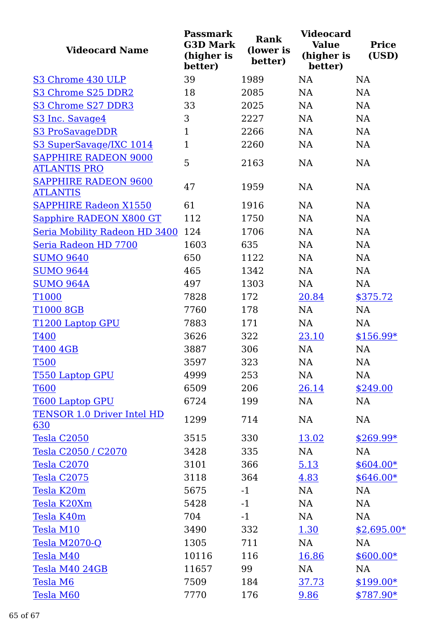| <b>Videocard Name</b>                              | <b>Passmark</b><br><b>G3D Mark</b><br>(higher is<br>better) | <b>Rank</b><br>(lower is<br>better) | <b>Videocard</b><br><b>Value</b><br>(higher is<br>better) | <b>Price</b><br>(USD) |
|----------------------------------------------------|-------------------------------------------------------------|-------------------------------------|-----------------------------------------------------------|-----------------------|
| S3 Chrome 430 ULP                                  | 39                                                          | 1989                                | <b>NA</b>                                                 | <b>NA</b>             |
| S3 Chrome S25 DDR2                                 | 18                                                          | 2085                                | <b>NA</b>                                                 | <b>NA</b>             |
| S3 Chrome S27 DDR3                                 | 33                                                          | 2025                                | <b>NA</b>                                                 | <b>NA</b>             |
| S <sub>3</sub> Inc. Savage4                        | 3                                                           | 2227                                | NA                                                        | NA                    |
| S3 ProSavageDDR                                    | $\mathbf{1}$                                                | 2266                                | NA                                                        | NA                    |
| S3 SuperSavage/IXC 1014                            | $\mathbf{1}$                                                | 2260                                | NA                                                        | NA                    |
| <b>SAPPHIRE RADEON 9000</b><br><b>ATLANTIS PRO</b> | 5                                                           | 2163                                | NA                                                        | NA                    |
| SAPPHIRE RADEON 9600<br><b>ATLANTIS</b>            | 47                                                          | 1959                                | <b>NA</b>                                                 | <b>NA</b>             |
| <b>SAPPHIRE Radeon X1550</b>                       | 61                                                          | 1916                                | NA                                                        | NA                    |
| Sapphire RADEON X800 GT                            | 112                                                         | 1750                                | <b>NA</b>                                                 | NA                    |
| Seria Mobility Radeon HD 3400                      | 124                                                         | 1706                                | NA                                                        | NA                    |
| Seria Radeon HD 7700                               | 1603                                                        | 635                                 | <b>NA</b>                                                 | NA                    |
| <b>SUMO 9640</b>                                   | 650                                                         | 1122                                | <b>NA</b>                                                 | <b>NA</b>             |
| <b>SUMO 9644</b>                                   | 465                                                         | 1342                                | NA                                                        | NA                    |
| <b>SUMO 964A</b>                                   | 497                                                         | 1303                                | <b>NA</b>                                                 | <b>NA</b>             |
| T1000                                              | 7828                                                        | 172                                 | 20.84                                                     | \$375.72              |
| T1000 8GB                                          | 7760                                                        | 178                                 | <b>NA</b>                                                 | <b>NA</b>             |
| T1200 Laptop GPU                                   | 7883                                                        | 171                                 | <b>NA</b>                                                 | NA                    |
| <b>T400</b>                                        | 3626                                                        | 322                                 | 23.10                                                     | \$156.99*             |
| <b>T400 4GB</b>                                    | 3887                                                        | 306                                 | NA                                                        | NA                    |
| <b>T500</b>                                        | 3597                                                        | 323                                 | NA                                                        | <b>NA</b>             |
| T550 Laptop GPU                                    | 4999                                                        | 253                                 | <b>NA</b>                                                 | NA                    |
| <b>T600</b>                                        | 6509                                                        | 206                                 | 26.14                                                     | \$249.00              |
| <b>T600 Laptop GPU</b>                             | 6724                                                        | 199                                 | NA                                                        | NA                    |
| <b>TENSOR 1.0 Driver Intel HD</b><br>630           | 1299                                                        | 714                                 | NA                                                        | NA                    |
| Tesla C2050                                        | 3515                                                        | 330                                 | 13.02                                                     | $$269.99*$            |
| Tesla C2050 / C2070                                | 3428                                                        | 335                                 | NA                                                        | NA                    |
| Tesla C2070                                        | 3101                                                        | 366                                 | 5.13                                                      | $$604.00*$            |
| Tesla C2075                                        | 3118                                                        | 364                                 | 4.83                                                      | $$646.00*$            |
| Tesla K20m                                         | 5675                                                        | $-1$                                | NA                                                        | NA                    |
| Tesla K20Xm                                        | 5428                                                        | $-1$                                | NA                                                        | NA                    |
| Tesla K40m                                         | 704                                                         | $-1$                                | NA                                                        | NA                    |
| Tesla M10                                          | 3490                                                        | 332                                 | <u>1.30</u>                                               | $$2,695.00*$          |
| Tesla M2070-Q                                      | 1305                                                        | 711                                 | NA                                                        | NA                    |
| Tesla M40                                          | 10116                                                       | 116                                 | 16.86                                                     | $$600.00*$            |
| Tesla M40 24GB                                     | 11657                                                       | 99                                  | NA                                                        | NA                    |
| Tesla M6                                           | 7509                                                        | 184                                 | 37.73                                                     | $$199.00*$            |
| Tesla M60                                          | 7770                                                        | 176                                 | 9.86                                                      | \$787.90*             |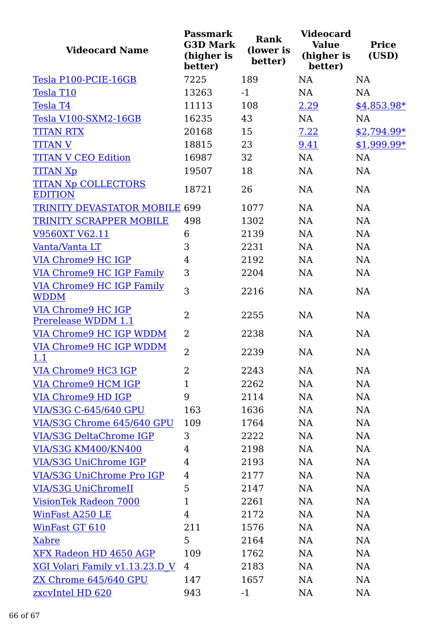| <b>Videocard Name</b>                            | <b>Passmark</b><br><b>G3D Mark</b><br>(higher is<br>better) | <b>Rank</b><br>(lower is<br>better) | <b>Videocard</b><br><b>Value</b><br>(higher is<br>better) | <b>Price</b><br>(USD) |
|--------------------------------------------------|-------------------------------------------------------------|-------------------------------------|-----------------------------------------------------------|-----------------------|
| Tesla P100-PCIE-16GB                             | 7225                                                        | 189                                 | <b>NA</b>                                                 | <b>NA</b>             |
| Tesla T10                                        | 13263                                                       | $-1$                                | <b>NA</b>                                                 | <b>NA</b>             |
| <b>Tesla T4</b>                                  | 11113                                                       | 108                                 | 2.29                                                      | $$4,853.98*$          |
| Tesla V100-SXM2-16GB                             | 16235                                                       | 43                                  | NA                                                        | <b>NA</b>             |
| <b>TITAN RTX</b>                                 | 20168                                                       | 15                                  | 7.22                                                      | <u>\$2,794.99*</u>    |
| <b>TITAN V</b>                                   | 18815                                                       | 23                                  | 9.41                                                      | $$1,999.99*$          |
| <b>TITAN V CEO Edition</b>                       | 16987                                                       | 32                                  | NA                                                        | NA                    |
| <b>TITAN Xp</b>                                  | 19507                                                       | 18                                  | NA                                                        | NA                    |
| <b>TITAN Xp COLLECTORS</b><br><b>EDITION</b>     | 18721                                                       | 26                                  | <b>NA</b>                                                 | <b>NA</b>             |
| <b>TRINITY DEVASTATOR MOBILE 699</b>             |                                                             | 1077                                | <b>NA</b>                                                 | NA                    |
| TRINITY SCRAPPER MOBILE                          | 498                                                         | 1302                                | <b>NA</b>                                                 | <b>NA</b>             |
| V9560XT V62.11                                   | 6                                                           | 2139                                | NA                                                        | NA                    |
| Vanta/Vanta LT                                   | 3                                                           | 2231                                | <b>NA</b>                                                 | NA                    |
| VIA Chrome9 HC IGP                               | 4                                                           | 2192                                | <b>NA</b>                                                 | NA                    |
| <b>VIA Chrome9 HC IGP Family</b>                 | 3                                                           | 2204                                | <b>NA</b>                                                 | NA                    |
| <b>VIA Chrome9 HC IGP Family</b><br><b>WDDM</b>  | 3                                                           | 2216                                | <b>NA</b>                                                 | NA                    |
| <b>VIA Chrome9 HC IGP</b><br>Prerelease WDDM 1.1 | 2                                                           | 2255                                | <b>NA</b>                                                 | NA                    |
| VIA Chrome9 HC IGP WDDM                          | $\overline{2}$                                              | 2238                                | <b>NA</b>                                                 | NA                    |
| VIA Chrome9 HC IGP WDDM<br>1.1                   | $\overline{2}$                                              | 2239                                | <b>NA</b>                                                 | NA                    |
| VIA Chrome9 HC3 IGP                              | 2                                                           | 2243                                | NA                                                        | NA                    |
| VIA Chrome9 HCM IGP                              | $\mathbf 1$                                                 | 2262                                | NA                                                        | NA                    |
| VIA Chrome9 HD IGP                               | 9                                                           | 2114                                | NA                                                        | <b>NA</b>             |
| <b>VIA/S3G C-645/640 GPU</b>                     | 163                                                         | 1636                                | NA                                                        | NA                    |
| VIA/S3G Chrome 645/640 GPU                       | 109                                                         | 1764                                | NA                                                        | <b>NA</b>             |
| <b>VIA/S3G DeltaChrome IGP</b>                   | 3                                                           | 2222                                | NA                                                        | <b>NA</b>             |
| <b>VIA/S3G KM400/KN400</b>                       | $\overline{4}$                                              | 2198                                | NA                                                        | NA                    |
| VIA/S3G UniChrome IGP                            | 4                                                           | 2193                                | NA                                                        | <b>NA</b>             |
| <b>VIA/S3G UniChrome Pro IGP</b>                 | 4                                                           | 2177                                | NA                                                        | NA                    |
| <b>VIA/S3G UniChromeII</b>                       | 5                                                           | 2147                                | NA                                                        | <b>NA</b>             |
| VisionTek Radeon 7000                            | $\mathbf{1}$                                                | 2261                                | NA                                                        | <b>NA</b>             |
| WinFast A250 LE                                  | 4                                                           | 2172                                | <b>NA</b>                                                 | <b>NA</b>             |
| WinFast GT 610                                   | 211                                                         | 1576                                | <b>NA</b>                                                 | <b>NA</b>             |
| <b>Xabre</b>                                     | 5                                                           | 2164                                | NA                                                        | NA                    |
| XFX Radeon HD 4650 AGP                           | 109                                                         | 1762                                | NA                                                        | <b>NA</b>             |
| <u>XGI Volari Family v1.13.23.D V</u>            | $\overline{4}$                                              | 2183                                | NA                                                        | NA                    |
| ZX Chrome 645/640 GPU                            | 147                                                         | 1657                                | NA                                                        | <b>NA</b>             |
| zxcvIntel HD 620                                 | 943                                                         | $-1$                                | NA                                                        | NA                    |